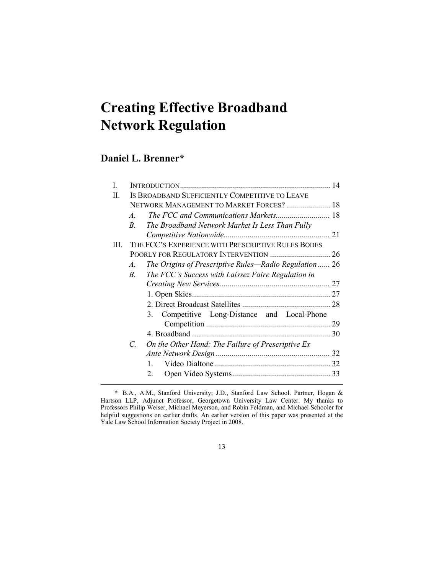# **Creating Effective Broadband Network Regulation**

## **Daniel L. Brenner\***

| L    |                       |                                                        | 14 |
|------|-----------------------|--------------------------------------------------------|----|
| П.   |                       | IS BROADBAND SUFFICIENTLY COMPETITIVE TO LEAVE         |    |
|      |                       | NETWORK MANAGEMENT TO MARKET FORCES? 18                |    |
|      | A.                    |                                                        |    |
|      | $\overline{B}$ .      | The Broadband Network Market Is Less Than Fully        |    |
|      |                       |                                                        |    |
| III. |                       | THE FCC'S EXPERIENCE WITH PRESCRIPTIVE RULES BODES     |    |
|      |                       | POORLY FOR REGULATORY INTERVENTION  26                 |    |
|      | $\mathcal{A}_{\cdot}$ | The Origins of Prescriptive Rules—Radio Regulation  26 |    |
|      | $B_{\cdot}$           | The FCC's Success with Laissez Faire Regulation in     |    |
|      |                       |                                                        |    |
|      |                       |                                                        | 27 |
|      |                       |                                                        |    |
|      |                       | 3. Competitive Long-Distance and Local-Phone           |    |
|      |                       |                                                        | 29 |
|      |                       |                                                        | 30 |
|      | $\mathcal{C}$         | On the Other Hand: The Failure of Prescriptive Ex      |    |
|      |                       |                                                        |    |
|      |                       | $\mathbf{1}$                                           |    |
|      |                       | $2_{-}$                                                |    |
|      |                       |                                                        |    |

 <sup>\*</sup> B.A., A.M., Stanford University; J.D., Stanford Law School. Partner, Hogan & Hartson LLP, Adjunct Professor, Georgetown University Law Center. My thanks to Professors Philip Weiser, Michael Meyerson, and Robin Feldman, and Michael Schooler for helpful suggestions on earlier drafts. An earlier version of this paper was presented at the Yale Law School Information Society Project in 2008.

<sup>13</sup>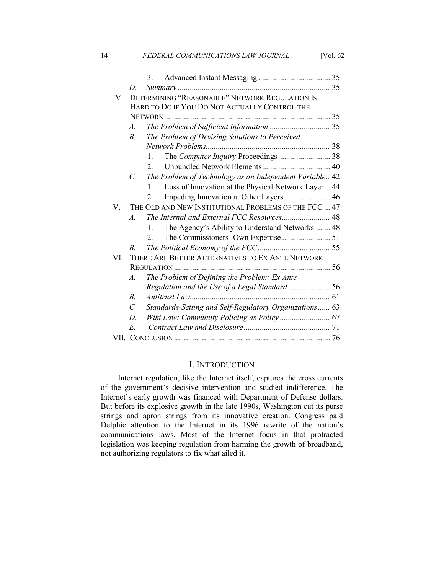|      |                  | 3.                                                                  |  |
|------|------------------|---------------------------------------------------------------------|--|
|      | D.               |                                                                     |  |
| IV.  |                  | DETERMINING "REASONABLE" NETWORK REGULATION IS                      |  |
|      |                  | HARD TO DO IF YOU DO NOT ACTUALLY CONTROL THE                       |  |
|      |                  |                                                                     |  |
|      | $\mathcal{A}$ .  |                                                                     |  |
|      | $\overline{B}$   | The Problem of Devising Solutions to Perceived                      |  |
|      |                  |                                                                     |  |
|      |                  | The Computer Inquiry Proceedings 38<br>1.                           |  |
|      |                  | $2_{-}$                                                             |  |
|      | $\overline{C}$ . | The Problem of Technology as an Independent Variable 42             |  |
|      |                  | Loss of Innovation at the Physical Network Layer 44<br>$\mathbf{1}$ |  |
|      |                  | $\overline{2}$                                                      |  |
| V.   |                  | THE OLD AND NEW INSTITUTIONAL PROBLEMS OF THE FCC  47               |  |
|      | $\overline{A}$   |                                                                     |  |
|      |                  | The Agency's Ability to Understand Networks 48<br>1.                |  |
|      |                  | $2_{-}$                                                             |  |
|      | $B_{\cdot}$      |                                                                     |  |
| VI.  |                  | THERE ARE BETTER ALTERNATIVES TO EX ANTE NETWORK                    |  |
|      |                  |                                                                     |  |
|      | $\mathcal{A}$ .  | The Problem of Defining the Problem: Ex Ante                        |  |
|      |                  |                                                                     |  |
|      | $B$ .            | Antitrust Law                                                       |  |
|      | $\mathcal{C}$ .  | Standards-Setting and Self-Regulatory Organizations 63              |  |
|      | D.               | Wiki Law: Community Policing as Policy  67                          |  |
|      | E.               |                                                                     |  |
| VII. |                  |                                                                     |  |

14 *FEDERAL COMMUNICATIONS LAW JOURNAL* [Vol. 62

## I. INTRODUCTION

Internet regulation, like the Internet itself, captures the cross currents of the government's decisive intervention and studied indifference. The Internet's early growth was financed with Department of Defense dollars. But before its explosive growth in the late 1990s, Washington cut its purse strings and apron strings from its innovative creation. Congress paid Delphic attention to the Internet in its 1996 rewrite of the nation's communications laws. Most of the Internet focus in that protracted legislation was keeping regulation from harming the growth of broadband, not authorizing regulators to fix what ailed it.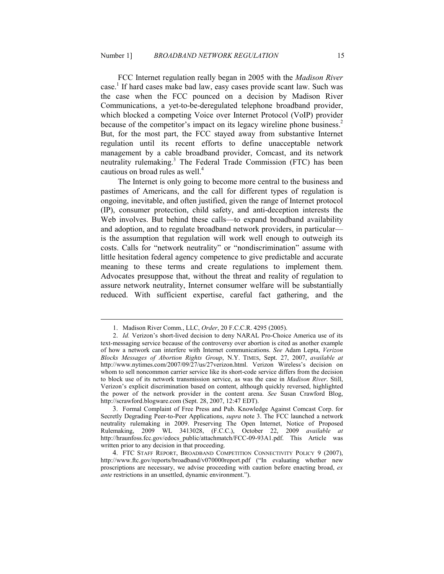FCC Internet regulation really began in 2005 with the *Madison River* case.<sup>1</sup> If hard cases make bad law, easy cases provide scant law. Such was the case when the FCC pounced on a decision by Madison River Communications, a yet-to-be-deregulated telephone broadband provider, which blocked a competing Voice over Internet Protocol (VoIP) provider because of the competitor's impact on its legacy wireline phone business.<sup>2</sup> But, for the most part, the FCC stayed away from substantive Internet regulation until its recent efforts to define unacceptable network management by a cable broadband provider, Comcast, and its network neutrality rulemaking.<sup>3</sup> The Federal Trade Commission (FTC) has been cautious on broad rules as well.<sup>4</sup>

The Internet is only going to become more central to the business and pastimes of Americans, and the call for different types of regulation is ongoing, inevitable, and often justified, given the range of Internet protocol (IP), consumer protection, child safety, and anti-deception interests the Web involves. But behind these calls—to expand broadband availability and adoption, and to regulate broadband network providers, in particular is the assumption that regulation will work well enough to outweigh its costs. Calls for "network neutrality" or "nondiscrimination" assume with little hesitation federal agency competence to give predictable and accurate meaning to these terms and create regulations to implement them. Advocates presuppose that, without the threat and reality of regulation to assure network neutrality, Internet consumer welfare will be substantially reduced. With sufficient expertise, careful fact gathering, and the

 <sup>1.</sup> Madison River Comm., LLC, *Order*, 20 F.C.C.R. 4295 (2005).

 <sup>2.</sup> *Id.* Verizon's short-lived decision to deny NARAL Pro-Choice America use of its text-messaging service because of the controversy over abortion is cited as another example of how a network can interfere with Internet communications. *See* Adam Lepta, *Verizon Blocks Messages of Abortion Rights Group*, N.Y. TIMES, Sept. 27, 2007, *available at* http://www.nytimes.com/2007/09/27/us/27verizon.html. Verizon Wireless's decision on whom to sell noncommon carrier service like its short-code service differs from the decision to block use of its network transmission service, as was the case in *Madison River*. Still, Verizon's explicit discrimination based on content, although quickly reversed, highlighted the power of the network provider in the content arena. *See* Susan Crawford Blog, http://scrawford.blogware.com (Sept. 28, 2007, 12:47 EDT).

<sup>3</sup>. Formal Complaint of Free Press and Pub. Knowledge Against Comcast Corp. for Secretly Degrading Peer-to-Peer Applications, *supra* note 3. The FCC launched a network neutrality rulemaking in 2009. Preserving The Open Internet, Notice of Proposed Rulemaking, 2009 WL 3413028, (F.C.C.), October 22, 2009 *available at* http://hraunfoss.fcc.gov/edocs\_public/attachmatch/FCC-09-93A1.pdf. This Article was written prior to any decision in that proceeding.

<sup>4</sup>. FTC STAFF REPORT, BROADBAND COMPETITION CONNECTIVITY POLICY 9 (2007), http://www.ftc.gov/reports/broadband/v070000report.pdf ("In evaluating whether new proscriptions are necessary, we advise proceeding with caution before enacting broad, *ex ante* restrictions in an unsettled, dynamic environment.").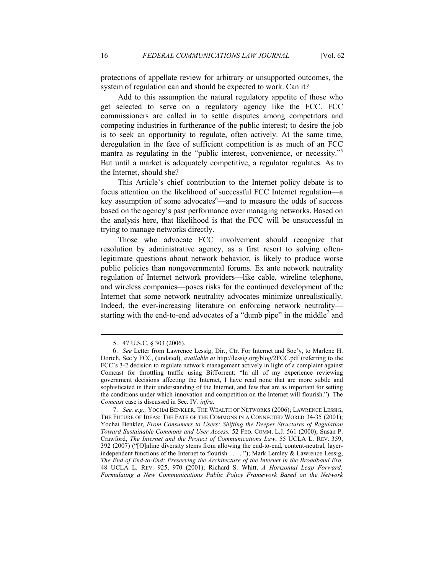protections of appellate review for arbitrary or unsupported outcomes, the system of regulation can and should be expected to work. Can it?

Add to this assumption the natural regulatory appetite of those who get selected to serve on a regulatory agency like the FCC. FCC commissioners are called in to settle disputes among competitors and competing industries in furtherance of the public interest; to desire the job is to seek an opportunity to regulate, often actively. At the same time, deregulation in the face of sufficient competition is as much of an FCC mantra as regulating in the "public interest, convenience, or necessity."<sup>5</sup> But until a market is adequately competitive, a regulator regulates. As to the Internet, should she?

This Article's chief contribution to the Internet policy debate is to focus attention on the likelihood of successful FCC Internet regulation—a key assumption of some advocates  $6$ —and to measure the odds of success based on the agency's past performance over managing networks. Based on the analysis here, that likelihood is that the FCC will be unsuccessful in trying to manage networks directly.

Those who advocate FCC involvement should recognize that resolution by administrative agency, as a first resort to solving oftenlegitimate questions about network behavior, is likely to produce worse public policies than nongovernmental forums. Ex ante network neutrality regulation of Internet network providers—like cable, wireline telephone, and wireless companies—poses risks for the continued development of the Internet that some network neutrality advocates minimize unrealistically. Indeed, the ever-increasing literature on enforcing network neutrality starting with the end-to-end advocates of a "dumb pipe" in the middle<sup>7</sup> and

 <sup>5. 47</sup> U.S.C. § 303 (2006).

<sup>6</sup>. *See* Letter from Lawrence Lessig, Dir., Ctr. For Internet and Soc'y, to Marlene H. Dortch, Sec'y FCC, (undated), *available at* http://lessig.org/blog/2FCC.pdf (referring to the FCC's 3-2 decision to regulate network management actively in light of a complaint against Comcast for throttling traffic using BitTorrent: "In all of my experience reviewing government decisions affecting the Internet, I have read none that are more subtle and sophisticated in their understanding of the Internet, and few that are as important for setting the conditions under which innovation and competition on the Internet will flourish."). The *Comcast* case is discussed in Sec. IV. *infra.*

 <sup>7.</sup> *See, e.g.,* YOCHAI BENKLER, THE WEALTH OF NETWORKS (2006); LAWRENCE LESSIG, THE FUTURE OF IDEAS: THE FATE OF THE COMMONS IN A CONNECTED WORLD 34-35 (2001); Yochai Benkler, *From Consumers to Users: Shifting the Deeper Structures of Regulation Toward Sustainable Commons and User Access,* 52 FED. COMM. L.J. 561 (2000); Susan P. Crawford, *The Internet and the Project of Communications Law*, 55 UCLA L. REV. 359, 392 (2007) ("[O]nline diversity stems from allowing the end-to-end, content-neutral, layerindependent functions of the Internet to flourish . . . . "); Mark Lemley & Lawrence Lessig, *The End of End-to-End: Preserving the Architecture of the Internet in the Broadband Era,*  48 UCLA L. REV. 925, 970 (2001); Richard S. Whitt, *A Horizontal Leap Forward:*  Formulating a New Communications Public Policy Framework Based on the Network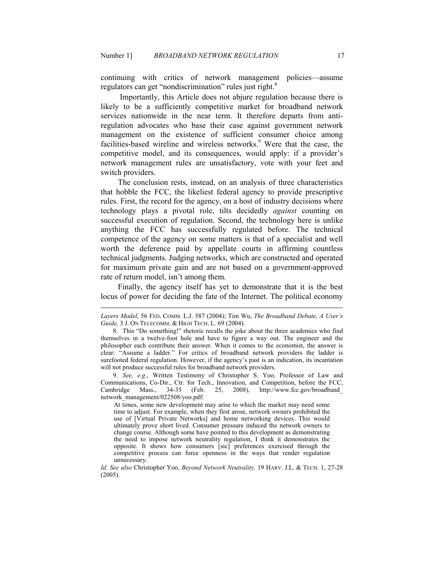continuing with critics of network management policies—assume regulators can get "nondiscrimination" rules just right.<sup>8</sup>

 Importantly, this Article does not abjure regulation because there is likely to be a sufficiently competitive market for broadband network services nationwide in the near term. It therefore departs from antiregulation advocates who base their case against government network management on the existence of sufficient consumer choice among facilities-based wireline and wireless networks.<sup>9</sup> Were that the case, the competitive model, and its consequences, would apply: if a provider's network management rules are unsatisfactory, vote with your feet and switch providers.

The conclusion rests, instead, on an analysis of three characteristics that hobble the FCC, the likeliest federal agency to provide prescriptive rules. First, the record for the agency, on a host of industry decisions where technology plays a pivotal role, tilts decidedly *against* counting on successful execution of regulation. Second, the technology here is unlike anything the FCC has successfully regulated before. The technical competence of the agency on some matters is that of a specialist and well worth the deference paid by appellate courts in affirming countless technical judgments. Judging networks, which are constructed and operated for maximum private gain and are not based on a government-approved rate of return model, isn't among them.

Finally, the agency itself has yet to demonstrate that it is the best locus of power for deciding the fate of the Internet. The political economy

-

 9. *See, e.g.*, Written Testimony of Christopher S. Yoo, Professor of Law and Communications, Co-Dir., Ctr. for Tech., Innovation, and Competition, before the FCC, Cambridge Mass., 34-35 (Feb. 25, 2008), http://www.fcc.gov/broadband 25, 2008), http://www.fcc.gov/broadband\_ network\_management/022508/yoo.pdf:

At times, some new development may arise to which the market may need some time to adjust. For example, when they first arose, network owners prohibited the use of [Virtual Private Networks] and home networking devices. This would ultimately prove short lived. Consumer pressure induced the network owners to change course. Although some have pointed to this development as demonstrating the need to impose network neutrality regulation, I think it demonstrates the opposite. It shows how consumers [sic] preferences exercised through the competitive process can force openness in the ways that render regulation unnecessary.

*Id. See also Christopher Yoo, Beyond Network Neutrality, 19 HARV. J.L. & TECH. 1, 27-28* (2005).

*Layers Model,* 56 FED. COMM. L.J. 587 (2004); Tim Wu, *The Broadband Debate, A User's Guide,* 3 J. ON TELECOMM. & HIGH TECH. L. 69 (2004).

 <sup>8.</sup> This "Do something!" rhetoric recalls the joke about the three academics who find themselves in a twelve-foot hole and have to figure a way out. The engineer and the philosopher each contribute their answer. When it comes to the economist, the answer is clear: "Assume a ladder." For critics of broadband network providers the ladder is surefooted federal regulation. However, if the agency's past is an indication, its incantation will not produce successful rules for broadband network providers.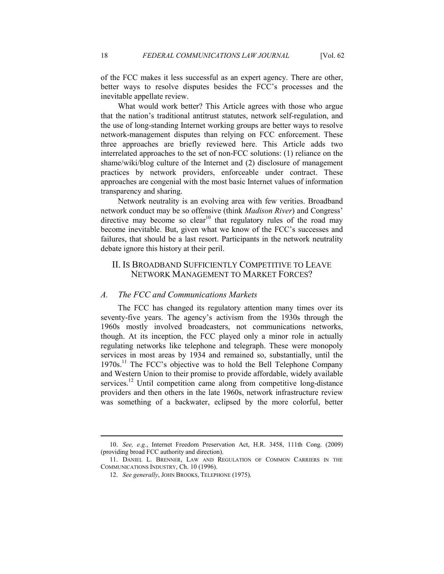of the FCC makes it less successful as an expert agency. There are other, better ways to resolve disputes besides the FCC's processes and the inevitable appellate review.

What would work better? This Article agrees with those who argue that the nation's traditional antitrust statutes, network self-regulation, and the use of long-standing Internet working groups are better ways to resolve network-management disputes than relying on FCC enforcement. These three approaches are briefly reviewed here. This Article adds two interrelated approaches to the set of non-FCC solutions: (1) reliance on the shame/wiki/blog culture of the Internet and (2) disclosure of management practices by network providers, enforceable under contract. These approaches are congenial with the most basic Internet values of information transparency and sharing.

Network neutrality is an evolving area with few verities. Broadband network conduct may be so offensive (think *Madison River*) and Congress' directive may become so clear<sup>10</sup> that regulatory rules of the road may become inevitable. But, given what we know of the FCC's successes and failures, that should be a last resort. Participants in the network neutrality debate ignore this history at their peril.

## II. IS BROADBAND SUFFICIENTLY COMPETITIVE TO LEAVE NETWORK MANAGEMENT TO MARKET FORCES?

#### *A. The FCC and Communications Markets*

The FCC has changed its regulatory attention many times over its seventy-five years. The agency's activism from the 1930s through the 1960s mostly involved broadcasters, not communications networks, though. At its inception, the FCC played only a minor role in actually regulating networks like telephone and telegraph. These were monopoly services in most areas by 1934 and remained so, substantially, until the 1970s.<sup>11</sup> The FCC's objective was to hold the Bell Telephone Company and Western Union to their promise to provide affordable, widely available services.<sup>12</sup> Until competition came along from competitive long-distance providers and then others in the late 1960s, network infrastructure review was something of a backwater, eclipsed by the more colorful, better

 <sup>10.</sup> *See, e.g.*, Internet Freedom Preservation Act, H.R. 3458, 111th Cong. (2009) (providing broad FCC authority and direction).

 <sup>11.</sup> DANIEL L. BRENNER, LAW AND REGULATION OF COMMON CARRIERS IN THE COMMUNICATIONS INDUSTRY, Ch. 10 (1996).

 <sup>12.</sup> *See generally*, JOHN BROOKS, TELEPHONE (1975).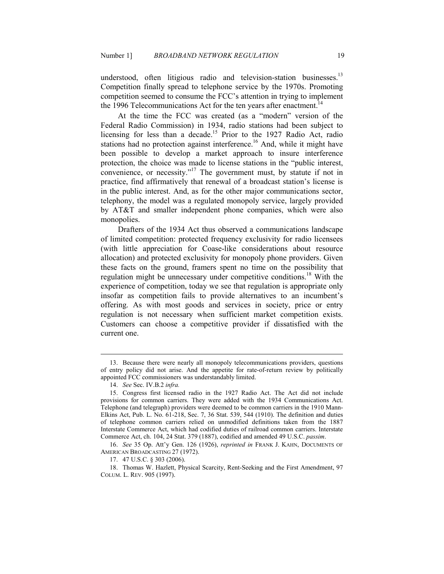understood, often litigious radio and television-station businesses.<sup>13</sup> Competition finally spread to telephone service by the 1970s. Promoting competition seemed to consume the FCC's attention in trying to implement the 1996 Telecommunications Act for the ten years after enactment.<sup>14</sup>

At the time the FCC was created (as a "modern" version of the Federal Radio Commission) in 1934, radio stations had been subject to licensing for less than a decade.<sup>15</sup> Prior to the 1927 Radio Act, radio stations had no protection against interference.<sup>16</sup> And, while it might have been possible to develop a market approach to insure interference protection, the choice was made to license stations in the "public interest, convenience, or necessity."<sup>17</sup> The government must, by statute if not in practice, find affirmatively that renewal of a broadcast station's license is in the public interest. And, as for the other major communications sector, telephony, the model was a regulated monopoly service, largely provided by AT&T and smaller independent phone companies, which were also monopolies.

Drafters of the 1934 Act thus observed a communications landscape of limited competition: protected frequency exclusivity for radio licensees (with little appreciation for Coase-like considerations about resource allocation) and protected exclusivity for monopoly phone providers. Given these facts on the ground, framers spent no time on the possibility that regulation might be unnecessary under competitive conditions.<sup>18</sup> With the experience of competition, today we see that regulation is appropriate only insofar as competition fails to provide alternatives to an incumbent's offering. As with most goods and services in society, price or entry regulation is not necessary when sufficient market competition exists. Customers can choose a competitive provider if dissatisfied with the current one.

 <sup>13.</sup> Because there were nearly all monopoly telecommunications providers, questions of entry policy did not arise. And the appetite for rate-of-return review by politically appointed FCC commissioners was understandably limited.

 <sup>14.</sup> *See* Sec. IV.B.2 *infra.*

 <sup>15.</sup> Congress first licensed radio in the 1927 Radio Act. The Act did not include provisions for common carriers. They were added with the 1934 Communications Act. Telephone (and telegraph) providers were deemed to be common carriers in the 1910 Mann-Elkins Act, Pub. L. No. 61-218, Sec. 7, 36 Stat. 539, 544 (1910). The definition and duties of telephone common carriers relied on unmodified definitions taken from the 1887 Interstate Commerce Act, which had codified duties of railroad common carriers. Interstate Commerce Act, ch. 104, 24 Stat. 379 (1887), codified and amended 49 U.S.C. *passim*.

 <sup>16.</sup> *See* 35 Op. Att'y Gen. 126 (1926), *reprinted in* FRANK J. KAHN, DOCUMENTS OF AMERICAN BROADCASTING 27 (1972).

 <sup>17. 47</sup> U.S.C. § 303 (2006).

 <sup>18.</sup> Thomas W. Hazlett, Physical Scarcity, Rent-Seeking and the First Amendment, 97 COLUM. L. REV. 905 (1997).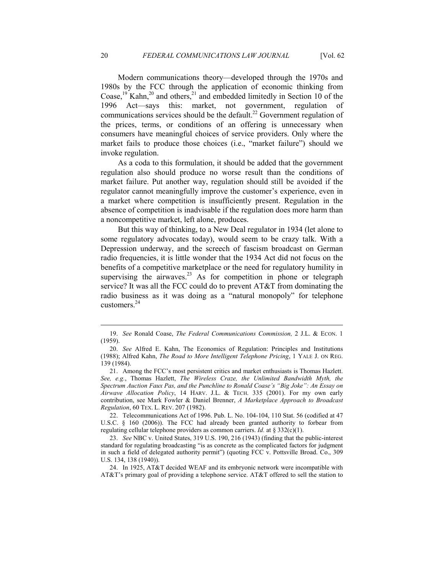Modern communications theory—developed through the 1970s and 1980s by the FCC through the application of economic thinking from Coase,<sup>19</sup> Kahn,<sup>20</sup> and others,<sup>21</sup> and embedded limitedly in Section 10 of the 1996 Act—says this: market, not government, regulation of communications services should be the default.<sup>22</sup> Government regulation of the prices, terms, or conditions of an offering is unnecessary when consumers have meaningful choices of service providers. Only where the market fails to produce those choices (i.e., "market failure") should we invoke regulation.

As a coda to this formulation, it should be added that the government regulation also should produce no worse result than the conditions of market failure. Put another way, regulation should still be avoided if the regulator cannot meaningfully improve the customer's experience, even in a market where competition is insufficiently present. Regulation in the absence of competition is inadvisable if the regulation does more harm than a noncompetitive market, left alone, produces.

But this way of thinking, to a New Deal regulator in 1934 (let alone to some regulatory advocates today), would seem to be crazy talk. With a Depression underway, and the screech of fascism broadcast on German radio frequencies, it is little wonder that the 1934 Act did not focus on the benefits of a competitive marketplace or the need for regulatory humility in supervising the airwaves.<sup>23</sup> As for competition in phone or telegraph service? It was all the FCC could do to prevent AT&T from dominating the radio business as it was doing as a "natural monopoly" for telephone customers.<sup>24</sup>

 22. Telecommunications Act of 1996. Pub. L. No. 104-104, 110 Stat. 56 (codified at 47 U.S.C. § 160 (2006)). The FCC had already been granted authority to forbear from regulating cellular telephone providers as common carriers. *Id.* at § 332(c)(1).

 <sup>19.</sup> *See* Ronald Coase, *The Federal Communications Commission,* 2 J.L. & ECON. 1 (1959).

 <sup>20.</sup> *See* Alfred E. Kahn, The Economics of Regulation: Principles and Institutions (1988); Alfred Kahn, *The Road to More Intelligent Telephone Pricing*, 1 YALE J. ON REG. 139 (1984).

 <sup>21.</sup> Among the FCC's most persistent critics and market enthusiasts is Thomas Hazlett. *See, e.g.*, Thomas Hazlett, *The Wireless Craze, the Unlimited Bandwidth Myth, the Spectrum Auction Faux Pas, and the Punchline to Ronald Coase's "Big Joke": An Essay on Airwave Allocation Policy*, 14 HARV. J.L. & TECH. 335 (2001). For my own early contribution, see Mark Fowler & Daniel Brenner, *A Marketplace Approach to Broadcast Regulation*, 60 TEX. L. REV. 207 (1982).

 <sup>23.</sup> *See* NBC v. United States, 319 U.S. 190, 216 (1943) (finding that the public-interest standard for regulating broadcasting "is as concrete as the complicated factors for judgment in such a field of delegated authority permit") (quoting FCC v. Pottsville Broad. Co., 309 U.S. 134, 138 (1940)).

 <sup>24.</sup> In 1925, AT&T decided WEAF and its embryonic network were incompatible with AT&T's primary goal of providing a telephone service. AT&T offered to sell the station to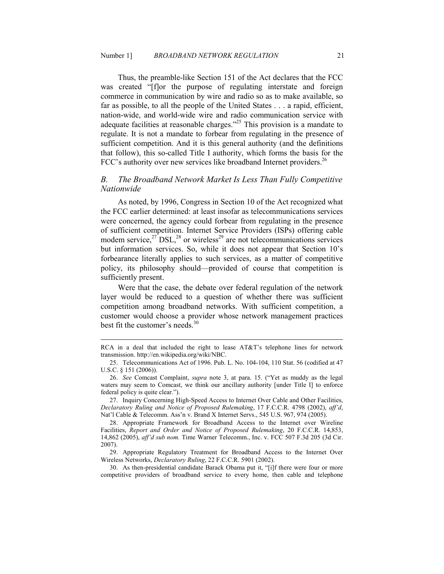Thus, the preamble-like Section 151 of the Act declares that the FCC was created "[f]or the purpose of regulating interstate and foreign commerce in communication by wire and radio so as to make available, so far as possible, to all the people of the United States . . . a rapid, efficient, nation-wide, and world-wide wire and radio communication service with adequate facilities at reasonable charges."<sup>25</sup> This provision is a mandate to regulate. It is not a mandate to forbear from regulating in the presence of sufficient competition. And it is this general authority (and the definitions that follow), this so-called Title I authority, which forms the basis for the FCC's authority over new services like broadband Internet providers.<sup>26</sup>

## **B.** The Broadband Network Market Is Less Than Fully Competitive *Nationwide*

As noted, by 1996, Congress in Section 10 of the Act recognized what the FCC earlier determined: at least insofar as telecommunications services were concerned, the agency could forbear from regulating in the presence of sufficient competition. Internet Service Providers (ISPs) offering cable modem service, $27$  DSL, $28$  or wireless<sup>29</sup> are not telecommunications services but information services. So, while it does not appear that Section 10's forbearance literally applies to such services, as a matter of competitive policy, its philosophy should—provided of course that competition is sufficiently present.

Were that the case, the debate over federal regulation of the network layer would be reduced to a question of whether there was sufficient competition among broadband networks. With sufficient competition, a customer would choose a provider whose network management practices best fit the customer's needs.<sup>30</sup>

-

 27. Inquiry Concerning High-Speed Access to Internet Over Cable and Other Facilities, *Declaratory Ruling and Notice of Proposed Rulemaking*, 17 F.C.C.R. 4798 (2002), *aff'd*, Nat'l Cable & Telecomm. Ass'n v. Brand X Internet Servs., 545 U.S. 967, 974 (2005).

 30. As then-presidential candidate Barack Obama put it, "[i]f there were four or more competitive providers of broadband service to every home, then cable and telephone

RCA in a deal that included the right to lease AT&T's telephone lines for network transmission. http://en.wikipedia.org/wiki/NBC.

 <sup>25.</sup> Telecommunications Act of 1996. Pub. L. No. 104-104, 110 Stat. 56 (codified at 47 U.S.C. § 151 (2006)).

 <sup>26.</sup> *See* Comcast Complaint, *supra* note 3, at para. 15. ("Yet as muddy as the legal waters may seem to Comcast, we think our ancillary authority [under Title I] to enforce federal policy is quite clear.").

 <sup>28.</sup> Appropriate Framework for Broadband Access to the Internet over Wireline Facilities, *Report and Order and Notice of Proposed Rulemaking*, 20 F.C.C.R. 14,853, 14,862 (2005), *aff'd sub nom.* Time Warner Telecomm., Inc. v. FCC 507 F.3d 205 (3d Cir. 2007).

 <sup>29.</sup> Appropriate Regulatory Treatment for Broadband Access to the Internet Over Wireless Networks, *Declaratory Ruling*, 22 F.C.C.R. 5901 (2002).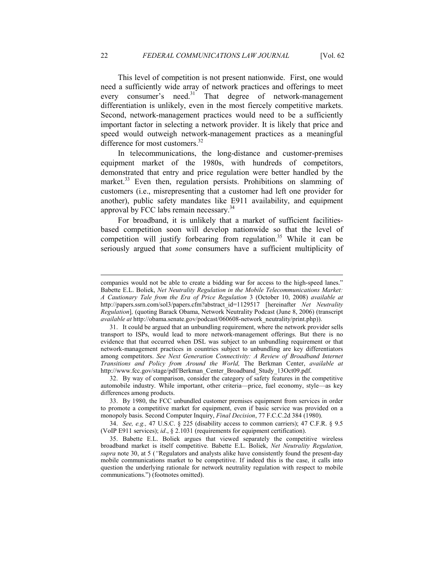This level of competition is not present nationwide. First, one would need a sufficiently wide array of network practices and offerings to meet every consumer's need.<sup>31</sup> That degree of network-management differentiation is unlikely, even in the most fiercely competitive markets. Second, network-management practices would need to be a sufficiently important factor in selecting a network provider. It is likely that price and speed would outweigh network-management practices as a meaningful difference for most customers.<sup>32</sup>

In telecommunications, the long-distance and customer-premises equipment market of the 1980s, with hundreds of competitors, demonstrated that entry and price regulation were better handled by the market.<sup>33</sup> Even then, regulation persists. Prohibitions on slamming of customers (i.e., misrepresenting that a customer had left one provider for another), public safety mandates like E911 availability, and equipment approval by FCC labs remain necessary.<sup>34</sup>

For broadband, it is unlikely that a market of sufficient facilitiesbased competition soon will develop nationwide so that the level of competition will justify forbearing from regulation. <sup>35</sup> While it can be seriously argued that *some* consumers have a sufficient multiplicity of

companies would not be able to create a bidding war for access to the high-speed lanes." Babette E.L. Boliek, *Net Neutrality Regulation in the Mobile Telecommunications Market: A Cautionary Tale from the Era of Price Regulation* 3 (October 10, 2008) *available at*  http://papers.ssrn.com/sol3/papers.cfm?abstract\_id=1129517 [hereinafter *Net Neutrality Regulation*], (quoting Barack Obama, Network Neutrality Podcast (June 8, 2006) (transcript *available at* http://obama.senate.gov/podcast/060608-network\_neutrality/print.php)).

 <sup>31.</sup> It could be argued that an unbundling requirement, where the network provider sells transport to ISPs, would lead to more network-management offerings. But there is no evidence that that occurred when DSL was subject to an unbundling requirement or that network-management practices in countries subject to unbundling are key differentiators among competitors. See Next Generation Connectivity: A Review of Broadband Internet *Transitions and Policy from Around the World,* The Berkman Center, *available at*  http://www.fcc.gov/stage/pdf/Berkman\_Center\_Broadband\_Study\_13Oct09.pdf.

 <sup>32.</sup> By way of comparison, consider the category of safety features in the competitive automobile industry. While important, other criteria—price, fuel economy, style—as key differences among products.

 <sup>33.</sup> By 1980, the FCC unbundled customer premises equipment from services in order to promote a competitive market for equipment, even if basic service was provided on a monopoly basis. Second Computer Inquiry, *Final Decision*, 77 F.C.C.2d 384 (1980).

 <sup>34.</sup> *See, e.g.,* 47 U.S.C. § 225 (disability access to common carriers); 47 C.F.R. § 9.5 (VoIP E911 services); *id*., § 2.1031 (requirements for equipment certification).

 <sup>35.</sup> Babette E.L. Boliek argues that viewed separately the competitive wireless broadband market is itself competitive. Babette E.L. Boliek, *Net Neutrality Regulation*, *supra* note 30, at 5 (*"*Regulators and analysts alike have consistently found the present-day mobile communications market to be competitive. If indeed this is the case, it calls into question the underlying rationale for network neutrality regulation with respect to mobile communications.") (footnotes omitted).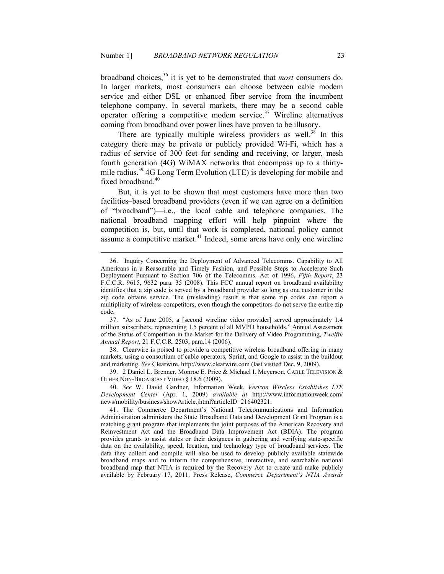-

broadband choices,<sup>36</sup> it is yet to be demonstrated that *most* consumers do. In larger markets, most consumers can choose between cable modem service and either DSL or enhanced fiber service from the incumbent telephone company. In several markets, there may be a second cable operator offering a competitive modem service.<sup>37</sup> Wireline alternatives coming from broadband over power lines have proven to be illusory.

There are typically multiple wireless providers as well.<sup>38</sup> In this category there may be private or publicly provided Wi-Fi, which has a radius of service of 300 feet for sending and receiving, or larger, mesh fourth generation (4G) WiMAX networks that encompass up to a thirtymile radius.<sup>39</sup> 4G Long Term Evolution (LTE) is developing for mobile and fixed broadband.<sup>40</sup>

But, it is yet to be shown that most customers have more than two facilities–based broadband providers (even if we can agree on a definition of "broadband")—i.e., the local cable and telephone companies. The national broadband mapping effort will help pinpoint where the competition is, but, until that work is completed, national policy cannot assume a competitive market. $41$  Indeed, some areas have only one wireline

 38. Clearwire is poised to provide a competitive wireless broadband offering in many markets, using a consortium of cable operators, Sprint, and Google to assist in the buildout and marketing. *See* Clearwire, http://www.clearwire.com (last visited Dec. 9, 2009).

 39. 2 Daniel L. Brenner, Monroe E. Price & Michael I. Meyerson, CABLE TELEVISION & OTHER NON-BROADCAST VIDEO § 18.6 (2009).

 40. *See* W. David Gardner, Information Week, *Verizon Wireless Establishes LTE Development Center* (Apr. 1, 2009) *available at* http://www.informationweek.com/ news/mobility/business/showArticle.jhtml?articleID=216402321.

 <sup>36.</sup> Inquiry Concerning the Deployment of Advanced Telecomms. Capability to All Americans in a Reasonable and Timely Fashion, and Possible Steps to Accelerate Such Deployment Pursuant to Section 706 of the Telecomms. Act of 1996, *Fifth Report*, 23 F.C.C.R. 9615, 9632 para. 35 (2008). This FCC annual report on broadband availability identifies that a zip code is served by a broadband provider so long as one customer in the zip code obtains service. The (misleading) result is that some zip codes can report a multiplicity of wireless competitors, even though the competitors do not serve the entire zip code.

 <sup>37. &</sup>quot;As of June 2005, a [second wireline video provider] served approximately 1.4 million subscribers, representing 1.5 percent of all MVPD households." Annual Assessment of the Status of Competition in the Market for the Delivery of Video Programming, *Twelfth Annual Report*, 21 F.C.C.R. 2503, para.14 (2006).

 <sup>41.</sup> The Commerce Department's National Telecommunications and Information Administration administers the State Broadband Data and Development Grant Program is a matching grant program that implements the joint purposes of the American Recovery and Reinvestment Act and the Broadband Data Improvement Act (BDIA). The program provides grants to assist states or their designees in gathering and verifying state-specific data on the availability, speed, location, and technology type of broadband services. The data they collect and compile will also be used to develop publicly available statewide broadband maps and to inform the comprehensive, interactive, and searchable national broadband map that NTIA is required by the Recovery Act to create and make publicly available by February 17, 2011. Press Release, *Commerce Department's TIA Awards*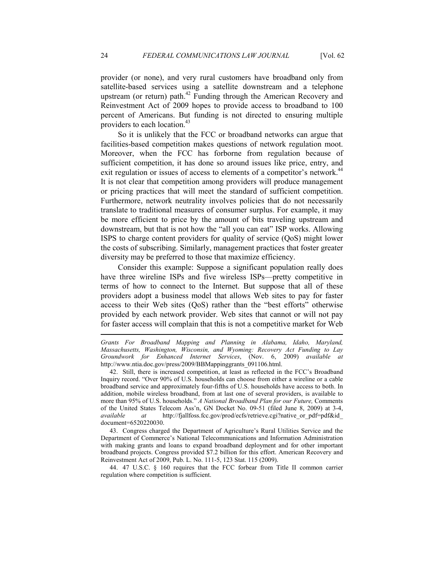provider (or none), and very rural customers have broadband only from satellite-based services using a satellite downstream and a telephone upstream (or return) path.<sup>42</sup> Funding through the American Recovery and Reinvestment Act of 2009 hopes to provide access to broadband to 100 percent of Americans. But funding is not directed to ensuring multiple providers to each location.<sup>43</sup>

So it is unlikely that the FCC or broadband networks can argue that facilities-based competition makes questions of network regulation moot. Moreover, when the FCC has forborne from regulation because of sufficient competition, it has done so around issues like price, entry, and exit regulation or issues of access to elements of a competitor's network.<sup>44</sup> It is not clear that competition among providers will produce management or pricing practices that will meet the standard of sufficient competition. Furthermore, network neutrality involves policies that do not necessarily translate to traditional measures of consumer surplus. For example, it may be more efficient to price by the amount of bits traveling upstream and downstream, but that is not how the "all you can eat" ISP works. Allowing ISPS to charge content providers for quality of service (QoS) might lower the costs of subscribing. Similarly, management practices that foster greater diversity may be preferred to those that maximize efficiency.

Consider this example: Suppose a significant population really does have three wireline ISPs and five wireless ISPs—pretty competitive in terms of how to connect to the Internet. But suppose that all of these providers adopt a business model that allows Web sites to pay for faster access to their Web sites (QoS) rather than the "best efforts" otherwise provided by each network provider. Web sites that cannot or will not pay for faster access will complain that this is not a competitive market for Web

 43. Congress charged the Department of Agriculture's Rural Utilities Service and the Department of Commerce's National Telecommunications and Information Administration with making grants and loans to expand broadband deployment and for other important broadband projects. Congress provided \$7.2 billion for this effort. American Recovery and Reinvestment Act of 2009, Pub. L. No. 111-5, 123 Stat. 115 (2009).

 44. 47 U.S.C. § 160 requires that the FCC forbear from Title II common carrier regulation where competition is sufficient.

*Grants For Broadband Mapping and Planning in Alabama, Idaho, Maryland, Massachusetts, Washington, Wisconsin, and Wyoming: Recovery Act Funding to Lay Groundwork for Enhanced Internet Services*, (Nov. 6, 2009) *available at*  http://www.ntia.doc.gov/press/2009/BBMappinggrants\_091106.html.

 <sup>42.</sup> Still, there is increased competition, at least as reflected in the FCC's Broadband Inquiry record. "Over 90% of U.S. households can choose from either a wireline or a cable broadband service and approximately four-fifths of U.S. households have access to both. In addition, mobile wireless broadband, from at last one of several providers, is available to more than 95% of U.S. households." *A National Broadband Plan for our Future*, Comments of the United States Telecom Ass'n, GN Docket No. 09-51 (filed June 8, 2009) at 3-4, *available at* http://fjallfoss.fcc.gov/prod/ecfs/retrieve.cgi?native\_or\_pdf=pdf&id document=6520220030.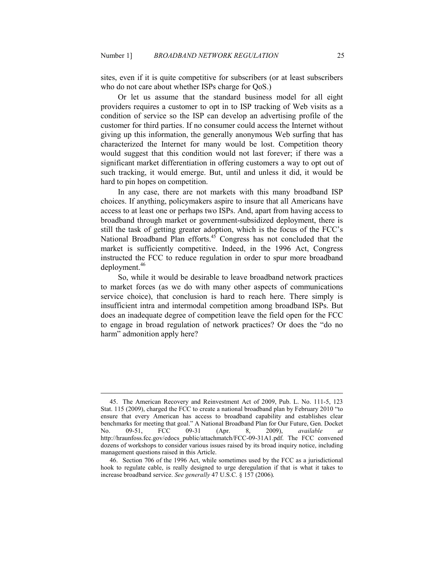sites, even if it is quite competitive for subscribers (or at least subscribers who do not care about whether ISPs charge for QoS.)

Or let us assume that the standard business model for all eight providers requires a customer to opt in to ISP tracking of Web visits as a condition of service so the ISP can develop an advertising profile of the customer for third parties. If no consumer could access the Internet without giving up this information, the generally anonymous Web surfing that has characterized the Internet for many would be lost. Competition theory would suggest that this condition would not last forever; if there was a significant market differentiation in offering customers a way to opt out of such tracking, it would emerge. But, until and unless it did, it would be hard to pin hopes on competition.

In any case, there are not markets with this many broadband ISP choices. If anything, policymakers aspire to insure that all Americans have access to at least one or perhaps two ISPs. And, apart from having access to broadband through market or government-subsidized deployment, there is still the task of getting greater adoption, which is the focus of the FCC's National Broadband Plan efforts. $45$  Congress has not concluded that the market is sufficiently competitive. Indeed, in the 1996 Act, Congress instructed the FCC to reduce regulation in order to spur more broadband deployment.<sup>46</sup>

So, while it would be desirable to leave broadband network practices to market forces (as we do with many other aspects of communications service choice), that conclusion is hard to reach here. There simply is insufficient intra and intermodal competition among broadband ISPs. But does an inadequate degree of competition leave the field open for the FCC to engage in broad regulation of network practices? Or does the "do no harm" admonition apply here?

 <sup>45.</sup> The American Recovery and Reinvestment Act of 2009, Pub. L. No. 111-5, 123 Stat. 115 (2009), charged the FCC to create a national broadband plan by February 2010 "to ensure that every American has access to broadband capability and establishes clear benchmarks for meeting that goal." A National Broadband Plan for Our Future, Gen. Docket<br>No. 09-51, FCC 09-31 (Apr. 8, 2009), *available at* No. 09-51, FCC 09-31 (Apr. 8, 2009), *available at* http://hraunfoss.fcc.gov/edocs\_public/attachmatch/FCC-09-31A1.pdf. The FCC convened dozens of workshops to consider various issues raised by its broad inquiry notice, including management questions raised in this Article.

 <sup>46.</sup> Section 706 of the 1996 Act, while sometimes used by the FCC as a jurisdictional hook to regulate cable, is really designed to urge deregulation if that is what it takes to increase broadband service. *See generally* 47 U.S.C. § 157 (2006).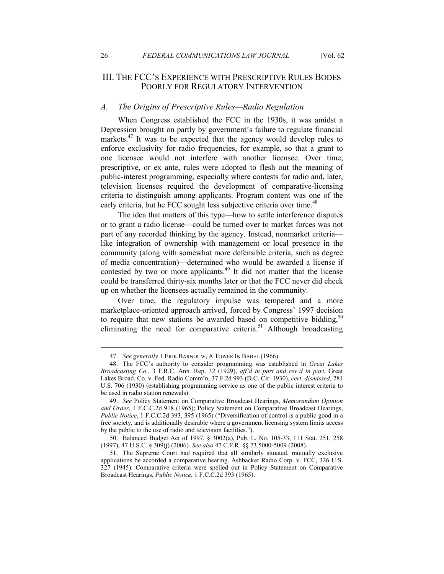## III. THE FCC'S EXPERIENCE WITH PRESCRIPTIVE RULES BODES POORLY FOR REGULATORY INTERVENTION

#### *A. The Origins of Prescriptive Rules—Radio Regulation*

When Congress established the FCC in the 1930s, it was amidst a Depression brought on partly by government's failure to regulate financial markets.<sup>47</sup> It was to be expected that the agency would develop rules to enforce exclusivity for radio frequencies, for example, so that a grant to one licensee would not interfere with another licensee. Over time, prescriptive, or ex ante, rules were adopted to flesh out the meaning of public-interest programming, especially where contests for radio and, later, television licenses required the development of comparative-licensing criteria to distinguish among applicants. Program content was one of the early criteria, but he FCC sought less subjective criteria over time.<sup>48</sup>

The idea that matters of this type—how to settle interference disputes or to grant a radio license—could be turned over to market forces was not part of any recorded thinking by the agency. Instead, nonmarket criteria like integration of ownership with management or local presence in the community (along with somewhat more defensible criteria, such as degree of media concentration)—determined who would be awarded a license if contested by two or more applicants.<sup>49</sup> It did not matter that the license could be transferred thirty-six months later or that the FCC never did check up on whether the licensees actually remained in the community.

Over time, the regulatory impulse was tempered and a more marketplace-oriented approach arrived, forced by Congress' 1997 decision to require that new stations be awarded based on competitive bidding,  $50$ eliminating the need for comparative criteria.<sup>51</sup> Although broadcasting

 <sup>47.</sup> *See generally* 1 ERIK BARNOUW, A TOWER IN BABEL (1966).

 <sup>48.</sup> The FCC's authority to consider programming was established in *Great Lakes Broadcasting Co.*, 3 F.R.C. Ann. Rep. 32 (1929), *aff'd in part and rev'd in part*, Great Lakes Broad. Co. v. Fed. Radio Comm'n, 37 F.2d 993 (D.C. Cir. 1930), *cert. dismissed*, 281 U.S. 706 (1930) (establishing programming service as one of the public interest criteria to be used in radio station renewals).

 <sup>49.</sup> *See* Policy Statement on Comparative Broadcast Hearings, *Memorandum Opinion and Order*, 1 F.C.C.2d 918 (1965); Policy Statement on Comparative Broadcast Hearings, *Public Notice*, 1 F.C.C.2d 393, 395 (1965) ("Diversification of control is a public good in a free society, and is additionally desirable where a government licensing system limits access by the public to the use of radio and television facilities.").

 <sup>50.</sup> Balanced Budget Act of 1997, § 3002(a), Pub. L. No. 105-33, 111 Stat. 251, 258 (1997), 47 U.S.C. § 309(j) (2006). *See also* 47 C.F.R. §§ 73.5000-5009 (2008).

 <sup>51.</sup> The Supreme Court had required that all similarly situated, mutually exclusive applications be accorded a comparative hearing. Ashbacker Radio Corp. v. FCC, 326 U.S. 327 (1945). Comparative criteria were spelled out in Policy Statement on Comparative Broadcast Hearings, *Public Notice*, 1 F.C.C.2d 393 (1965).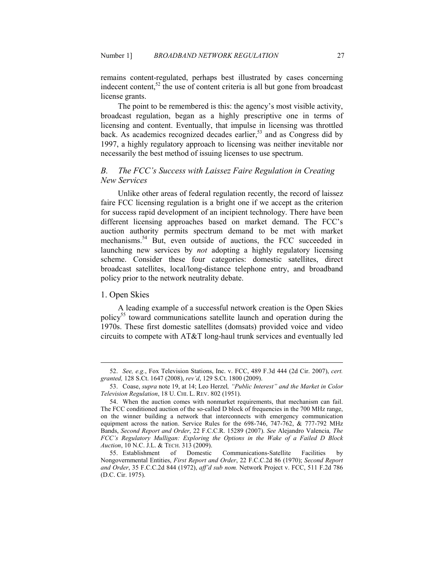remains content-regulated, perhaps best illustrated by cases concerning indecent content,<sup>52</sup> the use of content criteria is all but gone from broadcast license grants.

The point to be remembered is this: the agency's most visible activity, broadcast regulation, began as a highly prescriptive one in terms of licensing and content. Eventually, that impulse in licensing was throttled back. As academics recognized decades earlier,<sup>53</sup> and as Congress did by 1997, a highly regulatory approach to licensing was neither inevitable nor necessarily the best method of issuing licenses to use spectrum.

## *B. The FCC's Success with Laissez Faire Regulation in Creating*  **New Services**

Unlike other areas of federal regulation recently, the record of laissez faire FCC licensing regulation is a bright one if we accept as the criterion for success rapid development of an incipient technology. There have been different licensing approaches based on market demand. The FCC's auction authority permits spectrum demand to be met with market mechanisms.<sup>54</sup> But, even outside of auctions, the FCC succeeded in launching new services by *not* adopting a highly regulatory licensing scheme. Consider these four categories: domestic satellites, direct broadcast satellites, local/long-distance telephone entry, and broadband policy prior to the network neutrality debate.

## 1. Open Skies

<u>.</u>

A leading example of a successful network creation is the Open Skies policy<sup>55</sup> toward communications satellite launch and operation during the 1970s. These first domestic satellites (domsats) provided voice and video circuits to compete with AT&T long-haul trunk services and eventually led

 <sup>52.</sup> *See, e.g.*, Fox Television Stations, Inc. v. FCC, 489 F.3d 444 (2d Cir. 2007), *cert. granted,* 128 S.Ct. 1647 (2008), *rev'd*, 129 S.Ct. 1800 (2009).

 <sup>53.</sup> Coase, *supra* note 19, at 14; Leo Herzel*, "Public Interest" and the Market in Color Television Regulation*, 18 U. CHI. L. REV. 802 (1951).

 <sup>54.</sup> When the auction comes with nonmarket requirements, that mechanism can fail. The FCC conditioned auction of the so-called D block of frequencies in the 700 MHz range, on the winner building a network that interconnects with emergency communication equipment across the nation. Service Rules for the  $698-746$ ,  $747-762$ ,  $\& 777-792$  MHz Bands, *Second Report and Order*, 22 F.C.C.R. 15289 (2007). *See* Alejandro Valencia*, The FCC's Regulatory Mulligan: Exploring the Options in the Wake of a Failed D Block Auction*, 10 N.C. J.L. & TECH. 313 (2009).

<sup>55.</sup> Establishment of Domestic Communications-Satellite Facilities Nongovernmental Entities, *First Report and Order*, 22 F.C.C.2d 86 (1970); *Second Report and Order*, 35 F.C.C.2d 844 (1972), *aff'd sub nom.* Network Project v. FCC, 511 F.2d 786 (D.C. Cir. 1975).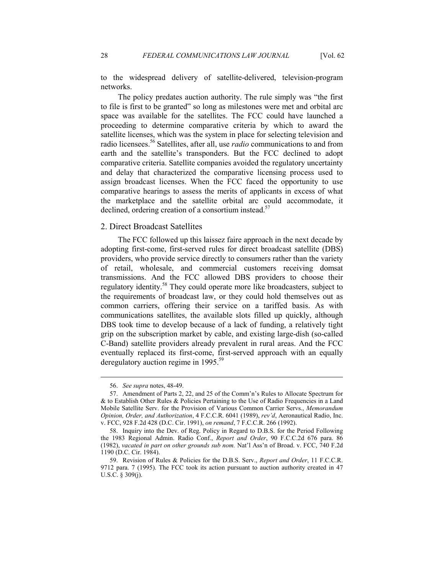to the widespread delivery of satellite-delivered, television-program networks.

The policy predates auction authority. The rule simply was "the first to file is first to be granted" so long as milestones were met and orbital arc space was available for the satellites. The FCC could have launched a proceeding to determine comparative criteria by which to award the satellite licenses, which was the system in place for selecting television and radio licensees.<sup>56</sup> Satellites, after all, use *radio* communications to and from earth and the satellite's transponders. But the FCC declined to adopt comparative criteria. Satellite companies avoided the regulatory uncertainty and delay that characterized the comparative licensing process used to assign broadcast licenses. When the FCC faced the opportunity to use comparative hearings to assess the merits of applicants in excess of what the marketplace and the satellite orbital arc could accommodate, it declined, ordering creation of a consortium instead.<sup>57</sup>

#### 2. Direct Broadcast Satellites

The FCC followed up this laissez faire approach in the next decade by adopting first-come, first-served rules for direct broadcast satellite (DBS) providers, who provide service directly to consumers rather than the variety of retail, wholesale, and commercial customers receiving domsat transmissions. And the FCC allowed DBS providers to choose their regulatory identity.<sup>58</sup> They could operate more like broadcasters, subject to the requirements of broadcast law, or they could hold themselves out as common carriers, offering their service on a tariffed basis. As with communications satellites, the available slots filled up quickly, although DBS took time to develop because of a lack of funding, a relatively tight grip on the subscription market by cable, and existing large-dish (so-called C-Band) satellite providers already prevalent in rural areas. And the FCC eventually replaced its first-come, first-served approach with an equally deregulatory auction regime in 1995.<sup>59</sup>

 <sup>56.</sup> *See supra* notes, 48-49.

 <sup>57.</sup> Amendment of Parts 2, 22, and 25 of the Comm'n's Rules to Allocate Spectrum for & to Establish Other Rules & Policies Pertaining to the Use of Radio Frequencies in a Land Mobile Satellite Serv. for the Provision of Various Common Carrier Servs., *Memorandum Opinion, Order, and Authorization*, 4 F.C.C.R. 6041 (1989), *rev'd*, Aeronautical Radio, Inc. v. FCC, 928 F.2d 428 (D.C. Cir. 1991), *on remand*, 7 F.C.C.R. 266 (1992).

 <sup>58.</sup> Inquiry into the Dev. of Reg. Policy in Regard to D.B.S. for the Period Following the 1983 Regional Admin. Radio Conf., *Report and Order*, 90 F.C.C.2d 676 para. 86 (1982), *vacated in part on other grounds sub nom.* Nat'l Ass'n of Broad. v. FCC, 740 F.2d 1190 (D.C. Cir. 1984).

 <sup>59.</sup> Revision of Rules & Policies for the D.B.S. Serv., *Report and Order*, 11 F.C.C.R. 9712 para. 7 (1995). The FCC took its action pursuant to auction authority created in 47 U.S.C. § 309(j).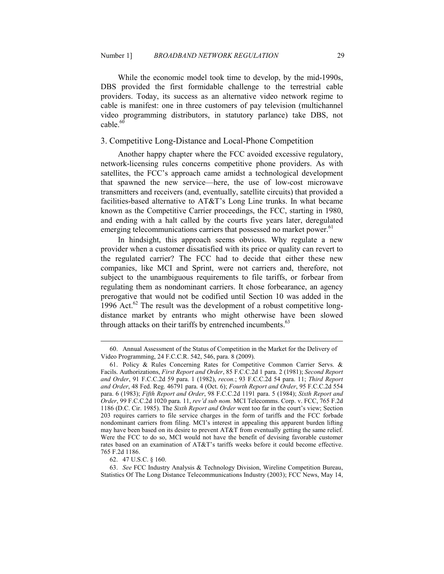While the economic model took time to develop, by the mid-1990s, DBS provided the first formidable challenge to the terrestrial cable providers. Today, its success as an alternative video network regime to cable is manifest: one in three customers of pay television (multichannel video programming distributors, in statutory parlance) take DBS, not  $cable.60$ 

## 3. Competitive Long-Distance and Local-Phone Competition

Another happy chapter where the FCC avoided excessive regulatory, network-licensing rules concerns competitive phone providers. As with satellites, the FCC's approach came amidst a technological development that spawned the new service—here, the use of low-cost microwave transmitters and receivers (and, eventually, satellite circuits) that provided a facilities-based alternative to AT&T's Long Line trunks. In what became known as the Competitive Carrier proceedings, the FCC, starting in 1980, and ending with a halt called by the courts five years later, deregulated emerging telecommunications carriers that possessed no market power.<sup>61</sup>

In hindsight, this approach seems obvious. Why regulate a new provider when a customer dissatisfied with its price or quality can revert to the regulated carrier? The FCC had to decide that either these new companies, like MCI and Sprint, were not carriers and, therefore, not subject to the unambiguous requirements to file tariffs, or forbear from regulating them as nondominant carriers. It chose forbearance, an agency prerogative that would not be codified until Section 10 was added in the 1996 Act. $62$  The result was the development of a robust competitive longdistance market by entrants who might otherwise have been slowed through attacks on their tariffs by entrenched incumbents.<sup>63</sup>

60. Annual Assessment of the Status of Competition in the Market for the Delivery of Video Programming, 24 F.C.C.R. 542, 546, para. 8 (2009).

 <sup>61.</sup> Policy & Rules Concerning Rates for Competitive Common Carrier Servs. & Facils. Authorizations, *First Report and Order*, 85 F.C.C.2d 1 para. 2 (1981); *Second Report and Order*, 91 F.C.C.2d 59 para. 1 (1982), *recon.*; 93 F.C.C.2d 54 para. 11; *Third Report and Order*, 48 Fed. Reg. 46791 para. 4 (Oct. 6); *Fourth Report and Order*, 95 F.C.C.2d 554 para. 6 (1983); *Fifth Report and Order*, 98 F.C.C.2d 1191 para. 5 (1984); *Sixth Report and Order*, 99 F.C.C.2d 1020 para. 11, *rev'd sub nom.* MCI Telecomms. Corp. v. FCC, 765 F.2d 1186 (D.C. Cir. 1985). The *Sixth Report and Order* went too far in the court's view; Section 203 requires carriers to file service charges in the form of tariffs and the FCC forbade nondominant carriers from filing. MCI's interest in appealing this apparent burden lifting may have been based on its desire to prevent AT&T from eventually getting the same relief. Were the FCC to do so, MCI would not have the benefit of devising favorable customer rates based on an examination of AT&T's tariffs weeks before it could become effective. 765 F.2d 1186.

 <sup>62. 47</sup> U.S.C. § 160.

 <sup>63.</sup> *See* FCC Industry Analysis & Technology Division, Wireline Competition Bureau, Statistics Of The Long Distance Telecommunications Industry (2003); FCC News, May 14,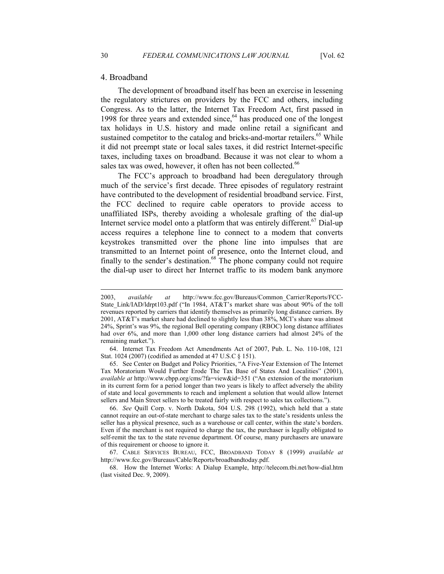#### 4. Broadband

The development of broadband itself has been an exercise in lessening the regulatory strictures on providers by the FCC and others, including Congress. As to the latter, the Internet Tax Freedom Act, first passed in 1998 for three years and extended since, $64$  has produced one of the longest tax holidays in U.S. history and made online retail a significant and sustained competitor to the catalog and bricks-and-mortar retailers.<sup>65</sup> While it did not preempt state or local sales taxes, it did restrict Internet-specific taxes, including taxes on broadband. Because it was not clear to whom a sales tax was owed, however, it often has not been collected.<sup>66</sup>

The FCC's approach to broadband had been deregulatory through much of the service's first decade. Three episodes of regulatory restraint have contributed to the development of residential broadband service. First, the FCC declined to require cable operators to provide access to unaffiliated ISPs, thereby avoiding a wholesale grafting of the dial-up Internet service model onto a platform that was entirely different.<sup>67</sup> Dial-up access requires a telephone line to connect to a modem that converts keystrokes transmitted over the phone line into impulses that are transmitted to an Internet point of presence, onto the Internet cloud, and finally to the sender's destination.<sup>68</sup> The phone company could not require the dial-up user to direct her Internet traffic to its modem bank anymore

<sup>2003,</sup> *available at* http://www.fcc.gov/Bureaus/Common\_Carrier/Reports/FCC-State\_Link/IAD/ldrpt103.pdf ("In 1984, AT&T's market share was about 90% of the toll revenues reported by carriers that identify themselves as primarily long distance carriers. By 2001, AT&T's market share had declined to slightly less than 38%, MCI's share was almost 24%, Sprint's was 9%, the regional Bell operating company (RBOC) long distance affiliates had over 6%, and more than 1,000 other long distance carriers had almost 24% of the remaining market.").

 <sup>64.</sup> Internet Tax Freedom Act Amendments Act of 2007, Pub. L. No. 110-108, 121 Stat. 1024 (2007) (codified as amended at 47 U.S.C § 151).

 <sup>65.</sup> See Center on Budget and Policy Priorities, "A Five-Year Extension of The Internet Tax Moratorium Would Further Erode The Tax Base of States And Localities" (2001), *available at* http://www.cbpp.org/cms/?fa=view&id=351 ("An extension of the moratorium in its current form for a period longer than two years is likely to affect adversely the ability of state and local governments to reach and implement a solution that would allow Internet sellers and Main Street sellers to be treated fairly with respect to sales tax collections.").

 <sup>66.</sup> *See* Quill Corp. v. North Dakota, 504 U.S. 298 (1992), which held that a state cannot require an out-of-state merchant to charge sales tax to the state's residents unless the seller has a physical presence, such as a warehouse or call center, within the state's borders. Even if the merchant is not required to charge the tax, the purchaser is legally obligated to self-remit the tax to the state revenue department. Of course, many purchasers are unaware of this requirement or choose to ignore it.

 <sup>67.</sup> CABLE SERVICES BUREAU, FCC, BROADBAND TODAY 8 (1999) *available at*  http://www.fcc.gov/Bureaus/Cable/Reports/broadbandtoday.pdf.

 <sup>68.</sup> How the Internet Works: A Dialup Example, http://telecom.tbi.net/how-dial.htm (last visited Dec. 9, 2009).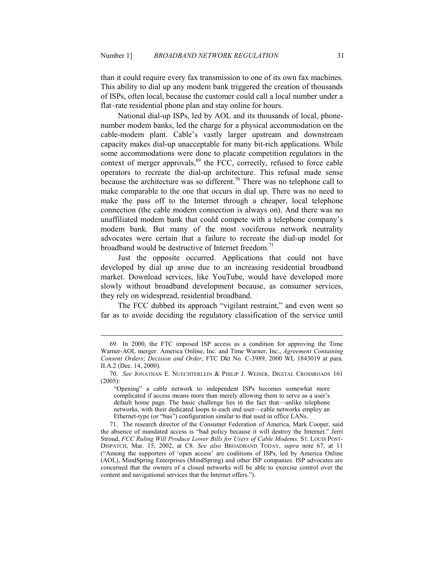than it could require every fax transmission to one of its own fax machines. This ability to dial up any modem bank triggered the creation of thousands of ISPs, often local, because the customer could call a local number under a flat–rate residential phone plan and stay online for hours.

National dial-up ISPs, led by AOL and its thousands of local, phonenumber modem banks, led the charge for a physical accommodation on the cable-modem plant. Cable's vastly larger upstream and downstream capacity makes dial-up unacceptable for many bit-rich applications. While some accommodations were done to placate competition regulators in the context of merger approvals,<sup>69</sup> the FCC, correctly, refused to force cable operators to recreate the dial-up architecture. This refusal made sense because the architecture was so different.<sup>70</sup> There was no telephone call to make comparable to the one that occurs in dial up. There was no need to make the pass off to the Internet through a cheaper, local telephone connection (the cable modem connection is always on). And there was no unaffiliated modem bank that could compete with a telephone company's modem bank. But many of the most vociferous network neutrality advocates were certain that a failure to recreate the dial-up model for broadband would be destructive of Internet freedom.<sup>71</sup>

Just the opposite occurred. Applications that could not have developed by dial up arose due to an increasing residential broadband market. Download services, like YouTube, would have developed more slowly without broadband development because, as consumer services, they rely on widespread, residential broadband.

The FCC dubbed its approach "vigilant restraint," and even went so far as to avoide deciding the regulatory classification of the service until

 <sup>69.</sup> In 2000, the FTC imposed ISP access as a condition for approving the Time Warner-AOL merger. America Online, Inc. and Time Warner, Inc., *Agreement Containing Consent Orders*; *Decision and Order*, FTC Dkt No. C-3989, 2000 WL 1843019 at para. II.A.2 (Dec. 14, 2000).

 <sup>70.</sup> *See* JONATHAN E. NUECHTERLEIN & PHILIP J. WEISER, DIGITAL CROSSROADS 161 (2005):

<sup>&</sup>quot;Opening" a cable network to independent ISPs becomes somewhat more complicated if access means more than merely allowing them to serve as a user's default home page. The basic challenge lies in the fact that—unlike telephone networks, with their dedicated loops to each end user—cable networks employ an Ethernet-type (or "bus") configuration similar to that used in office LANs.

 <sup>71.</sup> The research director of the Consumer Federation of America, Mark Cooper, said the absence of mandated access is "bad policy because it will destroy the Internet." Jerri Stroud, *FCC Ruling Will Produce Lower Bills for Users of Cable Modems*, *ST. LOUIS POST-*DISPATCH, Mar. 15, 2002, at C8. *See also* BROADBAND TODAY, *supra* note 67, at 11 ("Among the supporters of 'open access' are coalitions of ISPs, led by America Online (AOL), MindSpring Enterprises (MindSpring) and other ISP companies. ISP advocates are concerned that the owners of a closed networks will be able to exercise control over the content and navigational services that the Internet offers.").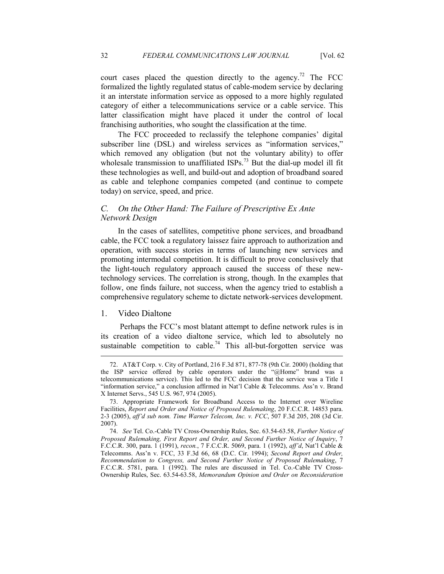court cases placed the question directly to the agency.<sup>72</sup> The FCC formalized the lightly regulated status of cable-modem service by declaring it an interstate information service as opposed to a more highly regulated category of either a telecommunications service or a cable service. This latter classification might have placed it under the control of local franchising authorities, who sought the classification at the time.

The FCC proceeded to reclassify the telephone companies' digital subscriber line (DSL) and wireless services as "information services," which removed any obligation (but not the voluntary ability) to offer wholesale transmission to unaffiliated ISPs.<sup>73</sup> But the dial-up model ill fit these technologies as well, and build-out and adoption of broadband soared as cable and telephone companies competed (and continue to compete today) on service, speed, and price.

## *C. On the Other Hand: The Failure of Prescriptive Ex Ante*  **Network Design**

In the cases of satellites, competitive phone services, and broadband cable, the FCC took a regulatory laissez faire approach to authorization and operation, with success stories in terms of launching new services and promoting intermodal competition. It is difficult to prove conclusively that the light-touch regulatory approach caused the success of these newtechnology services. The correlation is strong, though. In the examples that follow, one finds failure, not success, when the agency tried to establish a comprehensive regulatory scheme to dictate network-services development.

#### 1. Video Dialtone

<u>.</u>

Perhaps the FCC's most blatant attempt to define network rules is in its creation of a video dialtone service, which led to absolutely no sustainable competition to cable.<sup>74</sup> This all-but-forgotten service was

 <sup>72.</sup> AT&T Corp. v. City of Portland, 216 F.3d 871, 877-78 (9th Cir. 2000) (holding that the ISP service offered by cable operators under the "@Home" brand was a telecommunications service). This led to the FCC decision that the service was a Title I "information service," a conclusion affirmed in Nat'l Cable & Telecomms. Ass'n v. Brand X Internet Servs., 545 U.S. 967, 974 (2005).

 <sup>73.</sup> Appropriate Framework for Broadband Access to the Internet over Wireline Facilities, *Report and Order and Notice of Proposed Rulemaking*, 20 F.C.C.R. 14853 para. 2-3 (2005), *aff'd sub nom. Time Warner Telecom, Inc. v. FCC*, 507 F.3d 205, 208 (3d Cir. 2007).

 <sup>74.</sup> *See* Tel. Co.-Cable TV Cross-Ownership Rules, Sec. 63.54-63.58, *Further otice of*  Proposed Rulemaking, First Report and Order, and Second Further Notice of Inquiry, 7 F.C.C.R. 300, para. 1 (1991), *recon.*, 7 F.C.C.R. 5069, para. 1 (1992), *aff'd*, Nat'l Cable & Telecomms. Ass'n v. FCC, 33 F.3d 66, 68 (D.C. Cir. 1994); *Second Report and Order, Recommendation to Congress, and Second Further Notice of Proposed Rulemaking, 7* F.C.C.R. 5781, para. 1 (1992). The rules are discussed in Tel. Co.-Cable TV Cross-Ownership Rules, Sec. 63.54-63.58, *Memorandum Opinion and Order on Reconsideration*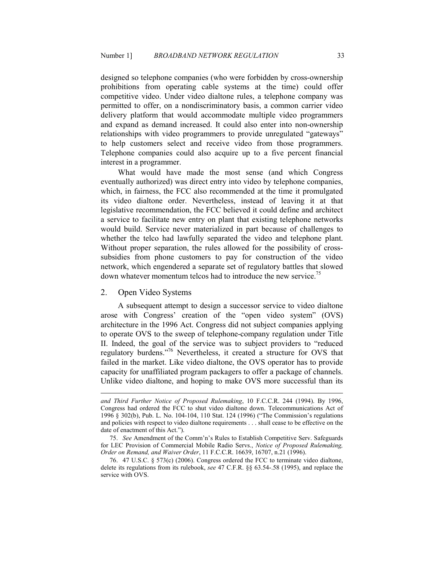designed so telephone companies (who were forbidden by cross-ownership prohibitions from operating cable systems at the time) could offer competitive video. Under video dialtone rules, a telephone company was permitted to offer, on a nondiscriminatory basis, a common carrier video delivery platform that would accommodate multiple video programmers and expand as demand increased. It could also enter into non-ownership relationships with video programmers to provide unregulated "gateways" to help customers select and receive video from those programmers. Telephone companies could also acquire up to a five percent financial interest in a programmer.

What would have made the most sense (and which Congress eventually authorized) was direct entry into video by telephone companies, which, in fairness, the FCC also recommended at the time it promulgated its video dialtone order. Nevertheless, instead of leaving it at that legislative recommendation, the FCC believed it could define and architect a service to facilitate new entry on plant that existing telephone networks would build. Service never materialized in part because of challenges to whether the telco had lawfully separated the video and telephone plant. Without proper separation, the rules allowed for the possibility of crosssubsidies from phone customers to pay for construction of the video network, which engendered a separate set of regulatory battles that slowed down whatever momentum telcos had to introduce the new service.<sup>75</sup>

## 2. Open Video Systems

<u>.</u>

A subsequent attempt to design a successor service to video dialtone arose with Congress' creation of the "open video system" (OVS) architecture in the 1996 Act. Congress did not subject companies applying to operate OVS to the sweep of telephone-company regulation under Title II. Indeed, the goal of the service was to subject providers to "reduced regulatory burdens."<sup>76</sup> Nevertheless, it created a structure for OVS that failed in the market. Like video dialtone, the OVS operator has to provide capacity for unaffiliated program packagers to offer a package of channels. Unlike video dialtone, and hoping to make OVS more successful than its

and Third Further Notice of Proposed Rulemaking, 10 F.C.C.R. 244 (1994). By 1996, Congress had ordered the FCC to shut video dialtone down. Telecommunications Act of 1996 § 302(b), Pub. L. No. 104-104, 110 Stat. 124 (1996) ("The Commission's regulations and policies with respect to video dialtone requirements . . . shall cease to be effective on the date of enactment of this Act.").

 <sup>75.</sup> *See* Amendment of the Comm'n's Rules to Establish Competitive Serv. Safeguards for LEC Provision of Commercial Mobile Radio Servs., *Notice of Proposed Rulemaking*, *Order on Remand, and Waiver Order*, 11 F.C.C.R. 16639, 16707, n.21 (1996).

 <sup>76. 47</sup> U.S.C. § 573(c) (2006). Congress ordered the FCC to terminate video dialtone, delete its regulations from its rulebook, *see* 47 C.F.R. §§ 63.54-.58 (1995), and replace the service with OVS.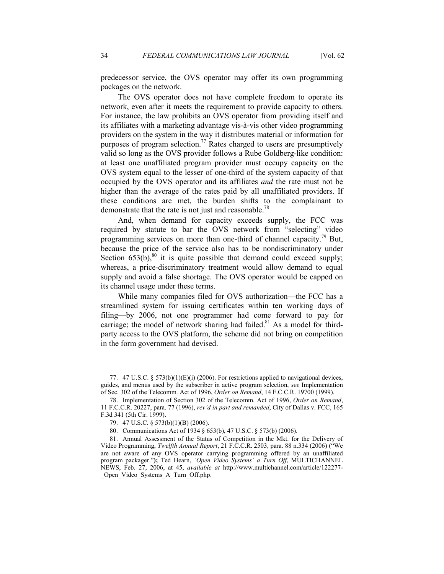predecessor service, the OVS operator may offer its own programming packages on the network.

The OVS operator does not have complete freedom to operate its network, even after it meets the requirement to provide capacity to others. For instance, the law prohibits an OVS operator from providing itself and its affiliates with a marketing advantage vis-à-vis other video programming providers on the system in the way it distributes material or information for purposes of program selection.<sup>77</sup> Rates charged to users are presumptively valid so long as the OVS provider follows a Rube Goldberg-like condition: at least one unaffiliated program provider must occupy capacity on the OVS system equal to the lesser of one-third of the system capacity of that occupied by the OVS operator and its affiliates *and* the rate must not be higher than the average of the rates paid by all unaffiliated providers. If these conditions are met, the burden shifts to the complainant to demonstrate that the rate is not just and reasonable.<sup>78</sup>

And, when demand for capacity exceeds supply, the FCC was required by statute to bar the OVS network from "selecting" video programming services on more than one-third of channel capacity.<sup>79</sup> But, because the price of the service also has to be nondiscriminatory under Section  $653(b)$ , <sup>80</sup> it is quite possible that demand could exceed supply; whereas, a price-discriminatory treatment would allow demand to equal supply and avoid a false shortage. The OVS operator would be capped on its channel usage under these terms.

While many companies filed for OVS authorization—the FCC has a streamlined system for issuing certificates within ten working days of filing—by 2006, not one programmer had come forward to pay for carriage; the model of network sharing had failed.<sup>81</sup> As a model for thirdparty access to the OVS platform, the scheme did not bring on competition in the form government had devised.

 <sup>77. 47</sup> U.S.C. § 573(b)(1)(E)(i) (2006). For restrictions applied to navigational devices, guides, and menus used by the subscriber in active program selection, *see* Implementation of Sec. 302 of the Telecomm. Act of 1996, *Order on Remand*, 14 F.C.C.R. 19700 (1999).

 <sup>78.</sup> Implementation of Section 302 of the Telecomm. Act of 1996, *Order on Remand*, 11 F.C.C.R. 20227, para. 77 (1996), *rev'd in part and remanded*, City of Dallas v. FCC, 165 F.3d 341 (5th Cir. 1999).

 <sup>79. 47</sup> U.S.C. § 573(b)(1)(B) (2006).

 <sup>80.</sup> Communications Act of 1934 § 653(b), 47 U.S.C. § 573(b) (2006).

 <sup>81.</sup> Annual Assessment of the Status of Competition in the Mkt. for the Delivery of Video Programming, *Twelfth Annual Report*, 21 F.C.C.R. 2503, para. 88 n.334 (2006) ("We are not aware of any OVS operator carrying programming offered by an unaffiliated program packager."**);** Ted Hearn, *'Open Video Systems' a Turn Off*, MULTICHANNEL NEWS, Feb. 27, 2006, at 45, *available at* http://www.multichannel.com/article/122277- Open Video Systems A Turn Off.php.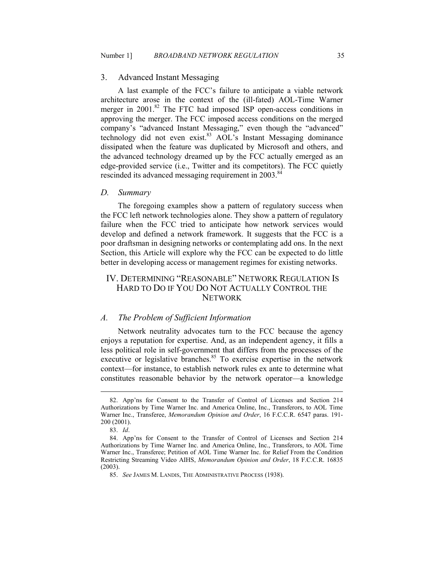#### 3. Advanced Instant Messaging

A last example of the FCC's failure to anticipate a viable network architecture arose in the context of the (ill-fated) AOL-Time Warner merger in 2001.<sup>82</sup> The FTC had imposed ISP open-access conditions in approving the merger. The FCC imposed access conditions on the merged company's "advanced Instant Messaging," even though the "advanced" technology did not even exist.<sup>83</sup> AOL's Instant Messaging dominance dissipated when the feature was duplicated by Microsoft and others, and the advanced technology dreamed up by the FCC actually emerged as an edge-provided service (i.e., Twitter and its competitors). The FCC quietly rescinded its advanced messaging requirement in 2003.<sup>84</sup>

#### *D. Summary*

The foregoing examples show a pattern of regulatory success when the FCC left network technologies alone. They show a pattern of regulatory failure when the FCC tried to anticipate how network services would develop and defined a network framework. It suggests that the FCC is a poor draftsman in designing networks or contemplating add ons. In the next Section, this Article will explore why the FCC can be expected to do little better in developing access or management regimes for existing networks.

## IV. DETERMINING "REASONABLE" NETWORK REGULATION IS HARD TO DO IF YOU DO NOT ACTUALLY CONTROL THE **NETWORK**

#### *A. The Problem of Sufficient Information*

Network neutrality advocates turn to the FCC because the agency enjoys a reputation for expertise. And, as an independent agency, it fills a less political role in self-government that differs from the processes of the executive or legislative branches.<sup>85</sup> To exercise expertise in the network context—for instance, to establish network rules ex ante to determine what constitutes reasonable behavior by the network operator—a knowledge

 <sup>82.</sup> App'ns for Consent to the Transfer of Control of Licenses and Section 214 Authorizations by Time Warner Inc. and America Online, Inc., Transferors, to AOL Time Warner Inc., Transferee, *Memorandum Opinion and Order*, 16 F.C.C.R. 6547 paras. 191- 200 (2001).

 <sup>83.</sup> *Id*.

 <sup>84.</sup> App'ns for Consent to the Transfer of Control of Licenses and Section 214 Authorizations by Time Warner Inc. and America Online, Inc., Transferors, to AOL Time Warner Inc., Transferee; Petition of AOL Time Warner Inc. for Relief From the Condition Restricting Streaming Video AIHS, *Memorandum Opinion and Order*, 18 F.C.C.R. 16835 (2003).

 <sup>85.</sup> *See* JAMES M. LANDIS, THE ADMINISTRATIVE PROCESS (1938).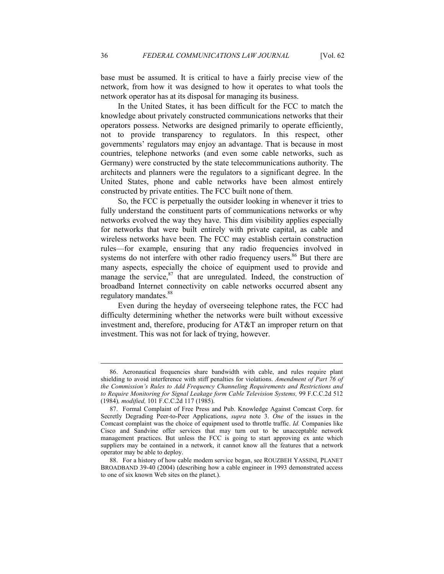base must be assumed. It is critical to have a fairly precise view of the network, from how it was designed to how it operates to what tools the network operator has at its disposal for managing its business.

In the United States, it has been difficult for the FCC to match the knowledge about privately constructed communications networks that their operators possess. Networks are designed primarily to operate efficiently, not to provide transparency to regulators. In this respect, other governments' regulators may enjoy an advantage. That is because in most countries, telephone networks (and even some cable networks, such as Germany) were constructed by the state telecommunications authority. The architects and planners were the regulators to a significant degree. In the United States, phone and cable networks have been almost entirely constructed by private entities. The FCC built none of them.

So, the FCC is perpetually the outsider looking in whenever it tries to fully understand the constituent parts of communications networks or why networks evolved the way they have. This dim visibility applies especially for networks that were built entirely with private capital, as cable and wireless networks have been. The FCC may establish certain construction rules—for example, ensuring that any radio frequencies involved in systems do not interfere with other radio frequency users.<sup>86</sup> But there are many aspects, especially the choice of equipment used to provide and manage the service, $87$  that are unregulated. Indeed, the construction of broadband Internet connectivity on cable networks occurred absent any regulatory mandates.<sup>88</sup>

Even during the heyday of overseeing telephone rates, the FCC had difficulty determining whether the networks were built without excessive investment and, therefore, producing for AT&T an improper return on that investment. This was not for lack of trying, however.

 <sup>86.</sup> Aeronautical frequencies share bandwidth with cable, and rules require plant shielding to avoid interference with stiff penalties for violations. *Amendment of Part 76 of the Commission's Rules to Add Frequency Channeling Requirements and Restrictions and to Require Monitoring for Signal Leakage form Cable Television Systems,* 99 F.C.C.2d 512 (1984)*, modified,* 101 F.C.C.2d 117 (1985).

 <sup>87.</sup> Formal Complaint of Free Press and Pub. Knowledge Against Comcast Corp. for Secretly Degrading Peer-to-Peer Applications, *supra* note 3. *One* of the issues in the Comcast complaint was the choice of equipment used to throttle traffic. *Id.* Companies like Cisco and Sandvine offer services that may turn out to be unacceptable network management practices. But unless the FCC is going to start approving ex ante which suppliers may be contained in a network, it cannot know all the features that a network operator may be able to deploy.

 <sup>88.</sup> For a history of how cable modem service began, see ROUZBEH YASSINI, PLANET BROADBAND 39-40 (2004) (describing how a cable engineer in 1993 demonstrated access to one of six known Web sites on the planet.).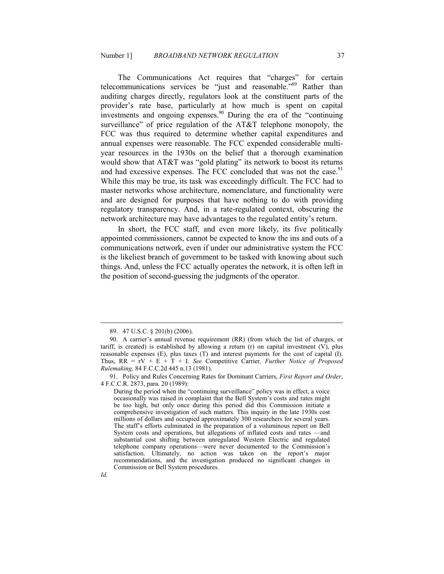The Communications Act requires that "charges" for certain telecommunications services be "just and reasonable."<sup>89</sup> Rather than auditing charges directly, regulators look at the constituent parts of the provider's rate base, particularly at how much is spent on capital investments and ongoing expenses.<sup>90</sup> During the era of the "continuing" surveillance" of price regulation of the AT&T telephone monopoly, the FCC was thus required to determine whether capital expenditures and annual expenses were reasonable. The FCC expended considerable multiyear resources in the 1930s on the belief that a thorough examination would show that AT&T was "gold plating" its network to boost its returns and had excessive expenses. The FCC concluded that was not the case.<sup>91</sup> While this may be true, its task was exceedingly difficult. The FCC had to master networks whose architecture, nomenclature, and functionality were and are designed for purposes that have nothing to do with providing regulatory transparency. And, in a rate-regulated context, obscuring the network architecture may have advantages to the regulated entity's return.

In short, the FCC staff, and even more likely, its five politically appointed commissioners, cannot be expected to know the ins and outs of a communications network, even if under our administrative system the FCC is the likeliest branch of government to be tasked with knowing about such things. And, unless the FCC actually operates the network, it is often left in the position of second-guessing the judgments of the operator.

 <sup>89. 47</sup> U.S.C. § 201(b) (2006).

 <sup>90.</sup> A carrier's annual revenue requirement (RR) (from which the list of charges, or tariff, is created) is established by allowing a return  $(r)$  on capital investment  $(V)$ , plus reasonable expenses (E), plus taxes (T) and interest payments for the cost of capital (I). Thus,  $RR = rV + E + T + I$ . *See* Competitive Carrier, *Further Notice of Proposed Rulemaking,* 84 F.C.C.2d 445 n.13 (1981).

 <sup>91.</sup> Policy and Rules Concerning Rates for Dominant Carriers, *First Report and Order*, 4 F.C.C.R. 2873, para. 20 (1989):

During the period when the "continuing surveillance" policy was in effect, a voice occasionally was raised in complaint that the Bell System's costs and rates might be too high, but only once during this period did this Commission initiate a comprehensive investigation of such matters. This inquiry in the late 1930s cost millions of dollars and occupied approximately 300 researchers for several years. The staff's efforts culminated in the preparation of a voluminous report on Bell System costs and operations, but allegations of inflated costs and rates —and substantial cost shifting between unregulated Western Electric and regulated telephone company operations—were never documented to the Commission's satisfaction. Ultimately, no action was taken on the report's major recommendations, and the investigation produced no significant changes in Commission or Bell System procedures.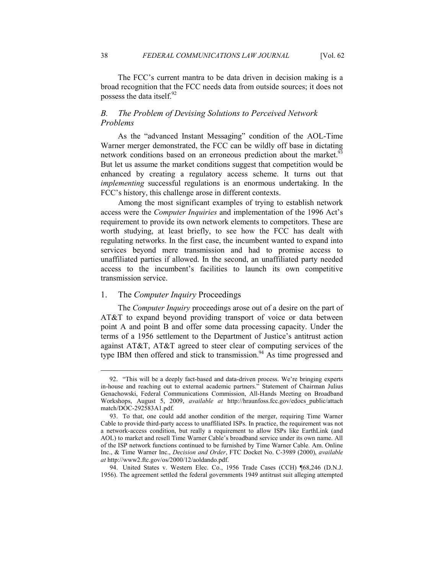The FCC's current mantra to be data driven in decision making is a broad recognition that the FCC needs data from outside sources; it does not possess the data itself.<sup>92</sup>

## **B.** The Problem of Devising Solutions to Perceived Network *Problems*

As the "advanced Instant Messaging" condition of the AOL-Time Warner merger demonstrated, the FCC can be wildly off base in dictating network conditions based on an erroneous prediction about the market.<sup>93</sup> But let us assume the market conditions suggest that competition would be enhanced by creating a regulatory access scheme. It turns out that *implementing* successful regulations is an enormous undertaking. In the FCC's history, this challenge arose in different contexts.

 Among the most significant examples of trying to establish network access were the *Computer Inquiries* and implementation of the 1996 Act's requirement to provide its own network elements to competitors. These are worth studying, at least briefly, to see how the FCC has dealt with regulating networks. In the first case, the incumbent wanted to expand into services beyond mere transmission and had to promise access to unaffiliated parties if allowed. In the second, an unaffiliated party needed access to the incumbent's facilities to launch its own competitive transmission service.

## 1. The *Computer Inquiry* Proceedings

The *Computer Inquiry* proceedings arose out of a desire on the part of AT&T to expand beyond providing transport of voice or data between point A and point B and offer some data processing capacity. Under the terms of a 1956 settlement to the Department of Justice's antitrust action against AT&T, AT&T agreed to steer clear of computing services of the type IBM then offered and stick to transmission. $94$  As time progressed and

 94. United States v. Western Elec. Co., 1956 Trade Cases (CCH) ¶68,246 (D.N.J. 1956). The agreement settled the federal governments 1949 antitrust suit alleging attempted

<sup>92</sup>. "This will be a deeply fact-based and data-driven process. We're bringing experts in-house and reaching out to external academic partners." Statement of Chairman Julius Genachowski, Federal Communications Commission, All-Hands Meeting on Broadband Workshops, August 5, 2009, *available at* http://hraunfoss.fcc.gov/edocs\_public/attach match/DOC-292583A1.pdf.

 <sup>93.</sup> To that, one could add another condition of the merger, requiring Time Warner Cable to provide third-party access to unaffiliated ISPs. In practice, the requirement was not a network-access condition, but really a requirement to allow ISPs like EarthLink (and AOL) to market and resell Time Warner Cable's broadband service under its own name. All of the ISP network functions continued to be furnished by Time Warner Cable. Am. Online Inc., & Time Warner Inc., *Decision and Order*, FTC Docket No. C-3989 (2000), *available at* http://www2.ftc.gov/os/2000/12/aoldando.pdf.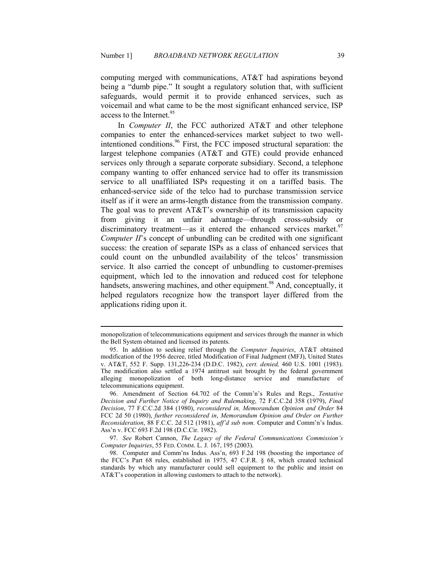computing merged with communications, AT&T had aspirations beyond being a "dumb pipe." It sought a regulatory solution that, with sufficient safeguards, would permit it to provide enhanced services, such as voicemail and what came to be the most significant enhanced service, ISP access to the Internet.<sup>95</sup>

In *Computer II*, the FCC authorized AT&T and other telephone companies to enter the enhanced-services market subject to two wellintentioned conditions.<sup>96</sup> First, the FCC imposed structural separation: the largest telephone companies (AT&T and GTE) could provide enhanced services only through a separate corporate subsidiary. Second, a telephone company wanting to offer enhanced service had to offer its transmission service to all unaffiliated ISPs requesting it on a tariffed basis. The enhanced-service side of the telco had to purchase transmission service itself as if it were an arms-length distance from the transmission company. The goal was to prevent AT&T's ownership of its transmission capacity from giving it an unfair advantage—through cross-subsidy or discriminatory treatment—as it entered the enhanced services market.<sup>97</sup> *Computer II*'s concept of unbundling can be credited with one significant success: the creation of separate ISPs as a class of enhanced services that could count on the unbundled availability of the telcos' transmission service. It also carried the concept of unbundling to customer-premises equipment, which led to the innovation and reduced cost for telephone handsets, answering machines, and other equipment.<sup>98</sup> And, conceptually, it helped regulators recognize how the transport layer differed from the applications riding upon it.

monopolization of telecommunications equipment and services through the manner in which the Bell System obtained and licensed its patents.

 <sup>95.</sup> In addition to seeking relief through the *Computer Inquiries*, AT&T obtained modification of the 1956 decree, titled Modification of Final Judgment (MFJ), United States v. AT&T, 552 F. Supp. 131,226-234 (D.D.C. 1982), *cert. denied,* 460 U.S. 1001 (1983). The modification also settled a 1974 antitrust suit brought by the federal government alleging monopolization of both long-distance service and manufacture of telecommunications equipment.

 <sup>96.</sup> Amendment of Section 64.702 of the Comm'n's Rules and Regs., *Tentative Decision and Further Notice of Inquiry and Rulemaking*, 72 F.C.C.2d 358 (1979), *Final Decision*, 77 F.C.C.2d 384 (1980), *reconsidered in, Memorandum Opinion and Order* 84 FCC 2d 50 (1980), *further reconsidered in*, *Memorandum Opinion and Order on Further Reconsideration*, 88 F.C.C. 2d 512 (1981), *aff'd sub nom.* Computer and Comm'n's Indus. Ass'n v. FCC 693 F.2d 198 (D.C.Cir. 1982).

 <sup>97.</sup> *See* Robert Cannon, *The Legacy of the Federal Communications Commission's Computer Inquiries*, 55 FED. COMM. L. J. 167, 195 (2003).

 <sup>98.</sup> Computer and Comm'ns Indus. Ass'n, 693 F.2d 198 (boosting the importance of the FCC's Part 68 rules, established in 1975, 47 C.F.R. § 68, which created technical standards by which any manufacturer could sell equipment to the public and insist on AT&T's cooperation in allowing customers to attach to the network).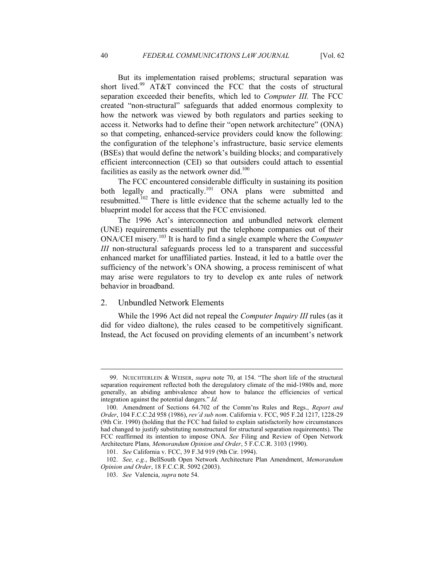But its implementation raised problems; structural separation was short lived.<sup>99</sup> AT&T convinced the FCC that the costs of structural separation exceeded their benefits, which led to *Computer III.* The FCC created "non-structural" safeguards that added enormous complexity to how the network was viewed by both regulators and parties seeking to access it. Networks had to define their "open network architecture" (ONA) so that competing, enhanced-service providers could know the following: the configuration of the telephone's infrastructure, basic service elements (BSEs) that would define the network's building blocks; and comparatively efficient interconnection (CEI) so that outsiders could attach to essential facilities as easily as the network owner did. $100$ 

The FCC encountered considerable difficulty in sustaining its position both legally and practically.<sup>101</sup> ONA plans were submitted and resubmitted.<sup>102</sup> There is little evidence that the scheme actually led to the blueprint model for access that the FCC envisioned.

The 1996 Act's interconnection and unbundled network element (UNE) requirements essentially put the telephone companies out of their ONA/CEI misery.<sup>103</sup> It is hard to find a single example where the *Computer III* non-structural safeguards process led to a transparent and successful enhanced market for unaffiliated parties. Instead, it led to a battle over the sufficiency of the network's ONA showing, a process reminiscent of what may arise were regulators to try to develop ex ante rules of network behavior in broadband.

## 2. Unbundled Network Elements

While the 1996 Act did not repeal the *Computer Inquiry III* rules (as it did for video dialtone), the rules ceased to be competitively significant. Instead, the Act focused on providing elements of an incumbent's network

 <sup>99.</sup> NUECHTERLEIN & WEISER, *supra* note 70, at 154. "The short life of the structural separation requirement reflected both the deregulatory climate of the mid-1980s and, more generally, an abiding ambivalence about how to balance the efficiencies of vertical integration against the potential dangers." *Id.* 

 <sup>100.</sup> Amendment of Sections 64.702 of the Comm'ns Rules and Regs., *Report and Order*, 104 F.C.C.2d 958 (1986), *rev'd sub nom*. California v. FCC, 905 F.2d 1217, 1228-29 (9th Cir. 1990) (holding that the FCC had failed to explain satisfactorily how circumstances had changed to justify substituting nonstructural for structural separation requirements). The FCC reaffirmed its intention to impose ONA. *See* Filing and Review of Open Network Architecture Plans*, Memorandum Opinion and Order*, 5 F.C.C.R. 3103 (1990).

 <sup>101.</sup> *See* California v. FCC, 39 F.3d 919 (9th Cir. 1994).

<sup>102.</sup> *See, e.g.*, BellSouth Open Network Architecture Plan Amendment, *Memorandum Opinion and Order*, 18 F.C.C.R. 5092 (2003).

 <sup>103.</sup> *See* Valencia, *supra* note 54.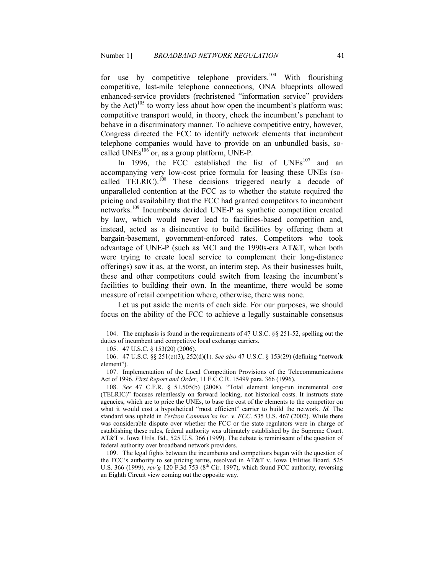for use by competitive telephone providers.<sup>104</sup> With flourishing competitive, last-mile telephone connections, ONA blueprints allowed enhanced-service providers (rechristened "information service" providers by the Act)<sup>105</sup> to worry less about how open the incumbent's platform was; competitive transport would, in theory, check the incumbent's penchant to behave in a discriminatory manner. To achieve competitive entry, however, Congress directed the FCC to identify network elements that incumbent telephone companies would have to provide on an unbundled basis, socalled  $UNEs<sup>106</sup>$  or, as a group platform, UNE-P.

In 1996, the FCC established the list of  $UNEs<sup>107</sup>$  and an accompanying very low-cost price formula for leasing these UNEs (socalled TELRIC).<sup>108</sup> These decisions triggered nearly a decade of unparalleled contention at the FCC as to whether the statute required the pricing and availability that the FCC had granted competitors to incumbent networks.<sup>109</sup> Incumbents derided UNE-P as synthetic competition created by law, which would never lead to facilities-based competition and, instead, acted as a disincentive to build facilities by offering them at bargain-basement, government-enforced rates. Competitors who took advantage of UNE-P (such as MCI and the 1990s-era AT&T, when both were trying to create local service to complement their long-distance offerings) saw it as, at the worst, an interim step. As their businesses built, these and other competitors could switch from leasing the incumbent's facilities to building their own. In the meantime, there would be some measure of retail competition where, otherwise, there was none.

Let us put aside the merits of each side. For our purposes, we should focus on the ability of the FCC to achieve a legally sustainable consensus

<u>.</u>

 109. The legal fights between the incumbents and competitors began with the question of the FCC's authority to set pricing terms, resolved in AT&T v. Iowa Utilities Board, 525 U.S. 366 (1999), *rev'g* 120 F.3d 753 (8<sup>th</sup> Cir. 1997), which found FCC authority, reversing an Eighth Circuit view coming out the opposite way.

 <sup>104.</sup> The emphasis is found in the requirements of 47 U.S.C. §§ 251-52, spelling out the duties of incumbent and competitive local exchange carriers.

 <sup>105. 47</sup> U.S.C. § 153(20) (2006).

 <sup>106. 47</sup> U.S.C. §§ 251(c)(3), 252(d)(1). *See also* 47 U.S.C. § 153(29) (defining "network element").

 <sup>107.</sup> Implementation of the Local Competition Provisions of the Telecommunications Act of 1996, *First Report and Order*, 11 F.C.C.R. 15499 para. 366 (1996).

 <sup>108.</sup> *See* 47 C.F.R. § 51.505(b) (2008). "Total element long-run incremental cost (TELRIC)" focuses relentlessly on forward looking, not historical costs. It instructs state agencies, which are to price the UNEs, to base the cost of the elements to the competitor on what it would cost a hypothetical "most efficient" carrier to build the network. *Id.* The standard was upheld in *Verizon Commun'ns Inc. v. FCC*. 535 U.S. 467 (2002). While there was considerable dispute over whether the FCC or the state regulators were in charge of establishing these rules, federal authority was ultimately established by the Supreme Court. AT&T v. Iowa Utils. Bd., 525 U.S. 366 (1999). The debate is reminiscent of the question of federal authority over broadband network providers.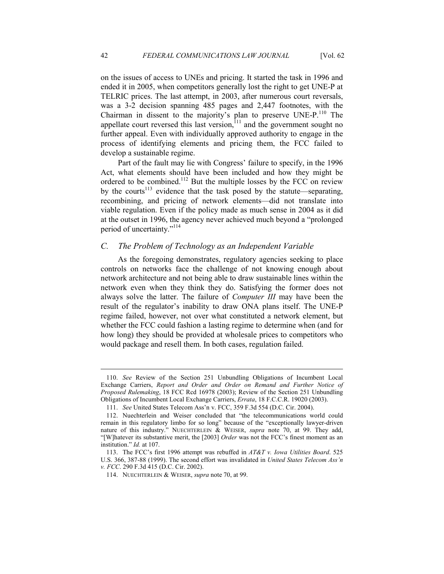on the issues of access to UNEs and pricing. It started the task in 1996 and ended it in 2005, when competitors generally lost the right to get UNE-P at TELRIC prices. The last attempt, in 2003, after numerous court reversals, was a 3-2 decision spanning 485 pages and 2,447 footnotes, with the Chairman in dissent to the majority's plan to preserve UNE-P.<sup>110</sup> The appellate court reversed this last version, $11$  and the government sought no further appeal. Even with individually approved authority to engage in the process of identifying elements and pricing them, the FCC failed to develop a sustainable regime.

Part of the fault may lie with Congress' failure to specify, in the 1996 Act, what elements should have been included and how they might be ordered to be combined.<sup>112</sup> But the multiple losses by the FCC on review by the courts<sup>113</sup> evidence that the task posed by the statute—separating, recombining, and pricing of network elements—did not translate into viable regulation. Even if the policy made as much sense in 2004 as it did at the outset in 1996, the agency never achieved much beyond a "prolonged period of uncertainty."<sup>114</sup>

#### *C. The Problem of Technology as an Independent Variable*

As the foregoing demonstrates, regulatory agencies seeking to place controls on networks face the challenge of not knowing enough about network architecture and not being able to draw sustainable lines within the network even when they think they do. Satisfying the former does not always solve the latter. The failure of *Computer III* may have been the result of the regulator's inability to draw ONA plans itself. The UNE-P regime failed, however, not over what constituted a network element, but whether the FCC could fashion a lasting regime to determine when (and for how long) they should be provided at wholesale prices to competitors who would package and resell them. In both cases, regulation failed.

 <sup>110.</sup> *See* Review of the Section 251 Unbundling Obligations of Incumbent Local Exchange Carriers, *Report and Order and Order on Remand and Further Notice of Proposed Rulemaking*, 18 FCC Rcd 16978 (2003); Review of the Section 251 Unbundling Obligations of Incumbent Local Exchange Carriers, *Errata*, 18 F.C.C.R. 19020 (2003).

 <sup>111.</sup> *See* United States Telecom Ass'n v. FCC, 359 F.3d 554 (D.C. Cir. 2004).

 <sup>112.</sup> Nuechterlein and Weiser concluded that "the telecommunications world could remain in this regulatory limbo for so long" because of the "exceptionally lawyer-driven nature of this industry." NUECHTERLEIN & WEISER, *supra* note 70, at 99. They add, "[W]hatever its substantive merit, the [2003] *Order* was not the FCC's finest moment as an institution." *Id.* at 107.

 <sup>113.</sup> The FCC's first 1996 attempt was rebuffed in *AT&T v. Iowa Utilities Board*. 525 U.S. 366, 387-88 (1999). The second effort was invalidated in *United States Telecom Ass'n v. FCC*. 290 F.3d 415 (D.C. Cir. 2002).

 <sup>114.</sup> NUECHTERLEIN & WEISER, *supra* note 70, at 99.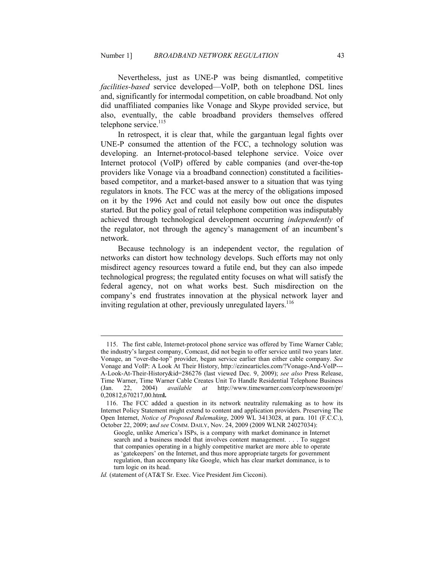Nevertheless, just as UNE-P was being dismantled, competitive *facilities-based* service developed—VoIP, both on telephone DSL lines and, significantly for intermodal competition, on cable broadband. Not only did unaffiliated companies like Vonage and Skype provided service, but also, eventually, the cable broadband providers themselves offered telephone service.<sup>115</sup>

In retrospect, it is clear that, while the gargantuan legal fights over UNE-P consumed the attention of the FCC, a technology solution was developing. an Internet-protocol-based telephone service. Voice over Internet protocol (VoIP) offered by cable companies (and over-the-top providers like Vonage via a broadband connection) constituted a facilitiesbased competitor, and a market-based answer to a situation that was tying regulators in knots. The FCC was at the mercy of the obligations imposed on it by the 1996 Act and could not easily bow out once the disputes started. But the policy goal of retail telephone competition was indisputably achieved through technological development occurring *independently* of the regulator, not through the agency's management of an incumbent's network.

Because technology is an independent vector, the regulation of networks can distort how technology develops. Such efforts may not only misdirect agency resources toward a futile end, but they can also impede technological progress; the regulated entity focuses on what will satisfy the federal agency, not on what works best. Such misdirection on the company's end frustrates innovation at the physical network layer and inviting regulation at other, previously unregulated layers.<sup>116</sup>

 <sup>115.</sup> The first cable, Internet-protocol phone service was offered by Time Warner Cable; the industry's largest company, Comcast, did not begin to offer service until two years later. Vonage, an "over-the-top" provider, began service earlier than either cable company. *See* Vonage and VoIP: A Look At Their History, http://ezinearticles.com/?Vonage-And-VoIP--- A-Look-At-Their-History&id=286276 (last viewed Dec. 9, 2009); *see also* Press Release, Time Warner, Time Warner Cable Creates Unit To Handle Residential Telephone Business (Jan. 22, 2004) *available at* http://www.timewarner.com/corp/newsroom/pr/ 0,20812,670217,00.htm**l.**

 <sup>116.</sup> The FCC added a question in its network neutrality rulemaking as to how its Internet Policy Statement might extend to content and application providers. Preserving The Open Internet, *Notice of Proposed Rulemaking*, 2009 WL 3413028, at para. 101 (F.C.C.), October 22, 2009; a*nd see* COMM. DAILY, Nov. 24, 2009 (2009 WLNR 24027034):

Google, unlike America's ISPs, is a company with market dominance in Internet search and a business model that involves content management. . . . To suggest that companies operating in a highly competitive market are more able to operate as 'gatekeepers' on the Internet, and thus more appropriate targets for government regulation, than accompany like Google, which has clear market dominance, is to turn logic on its head.

*Id.* (statement of (AT&T Sr. Exec. Vice President Jim Cicconi).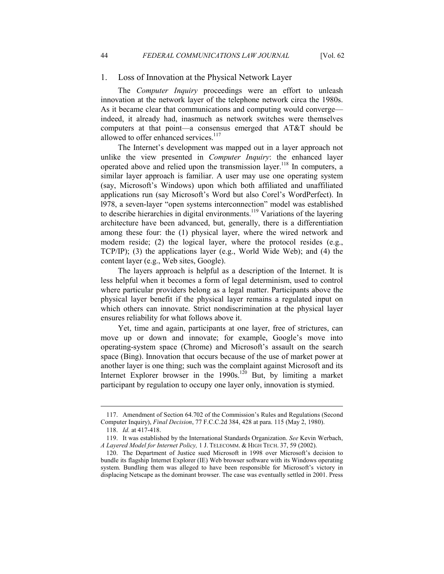#### 1. Loss of Innovation at the Physical Network Layer

The *Computer Inquiry* proceedings were an effort to unleash innovation at the network layer of the telephone network circa the 1980s. As it became clear that communications and computing would converge indeed, it already had, inasmuch as network switches were themselves computers at that point—a consensus emerged that AT&T should be allowed to offer enhanced services.<sup>117</sup>

The Internet's development was mapped out in a layer approach not unlike the view presented in *Computer Inquiry*: the enhanced layer operated above and relied upon the transmission layer.<sup>118</sup> In computers, a similar layer approach is familiar. A user may use one operating system (say, Microsoft's Windows) upon which both affiliated and unaffiliated applications run (say Microsoft's Word but also Corel's WordPerfect). In l978, a seven-layer "open systems interconnection" model was established to describe hierarchies in digital environments.<sup>119</sup> Variations of the layering architecture have been advanced, but, generally, there is a differentiation among these four: the (1) physical layer, where the wired network and modem reside; (2) the logical layer, where the protocol resides (e.g., TCP/IP); (3) the applications layer (e.g., World Wide Web); and (4) the content layer (e.g., Web sites, Google).

The layers approach is helpful as a description of the Internet. It is less helpful when it becomes a form of legal determinism, used to control where particular providers belong as a legal matter. Participants above the physical layer benefit if the physical layer remains a regulated input on which others can innovate. Strict nondiscrimination at the physical layer ensures reliability for what follows above it.

Yet, time and again, participants at one layer, free of strictures, can move up or down and innovate; for example, Google's move into operating-system space (Chrome) and Microsoft's assault on the search space (Bing). Innovation that occurs because of the use of market power at another layer is one thing; such was the complaint against Microsoft and its Internet Explorer browser in the  $1990s$ .<sup>120</sup> But, by limiting a market participant by regulation to occupy one layer only, innovation is stymied.

 <sup>117.</sup> Amendment of Section 64.702 of the Commission's Rules and Regulations (Second Computer Inquiry), *Final Decision*, 77 F.C.C.2d 384, 428 at para. 115 (May 2, 1980).

 <sup>118.</sup> *Id.* at 417-418.

 <sup>119.</sup> It was established by the International Standards Organization. *See* Kevin Werbach, *A Layered Model for Internet Policy,* 1 J. TELECOMM. & HIGH TECH. 37, 59 (2002).

<sup>120.</sup> The Department of Justice sued Microsoft in 1998 over Microsoft's decision to bundle its flagship Internet Explorer (IE) Web browser software with its Windows operating system. Bundling them was alleged to have been responsible for Microsoft's victory in displacing Netscape as the dominant browser. The case was eventually settled in 2001. Press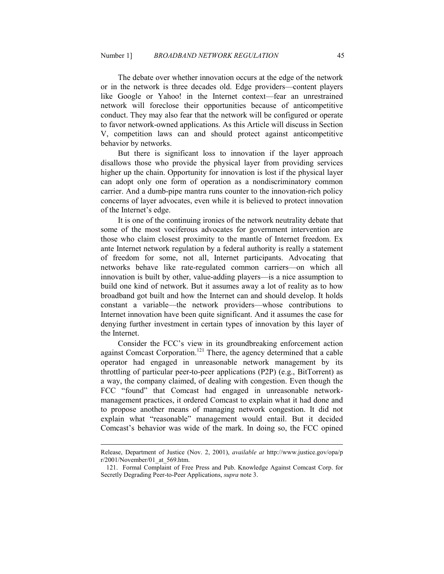The debate over whether innovation occurs at the edge of the network or in the network is three decades old. Edge providers—content players like Google or Yahoo! in the Internet context—fear an unrestrained network will foreclose their opportunities because of anticompetitive conduct. They may also fear that the network will be configured or operate to favor network-owned applications. As this Article will discuss in Section V, competition laws can and should protect against anticompetitive behavior by networks.

But there is significant loss to innovation if the layer approach disallows those who provide the physical layer from providing services higher up the chain. Opportunity for innovation is lost if the physical layer can adopt only one form of operation as a nondiscriminatory common carrier. And a dumb-pipe mantra runs counter to the innovation-rich policy concerns of layer advocates, even while it is believed to protect innovation of the Internet's edge.

It is one of the continuing ironies of the network neutrality debate that some of the most vociferous advocates for government intervention are those who claim closest proximity to the mantle of Internet freedom. Ex ante Internet network regulation by a federal authority is really a statement of freedom for some, not all, Internet participants. Advocating that networks behave like rate-regulated common carriers—on which all innovation is built by other, value-adding players—is a nice assumption to build one kind of network. But it assumes away a lot of reality as to how broadband got built and how the Internet can and should develop. It holds constant a variable—the network providers—whose contributions to Internet innovation have been quite significant. And it assumes the case for denying further investment in certain types of innovation by this layer of the Internet.

Consider the FCC's view in its groundbreaking enforcement action against Comcast Corporation.<sup>121</sup> There, the agency determined that a cable operator had engaged in unreasonable network management by its throttling of particular peer-to-peer applications (P2P) (e.g., BitTorrent) as a way, the company claimed, of dealing with congestion. Even though the FCC "found" that Comcast had engaged in unreasonable networkmanagement practices, it ordered Comcast to explain what it had done and to propose another means of managing network congestion. It did not explain what "reasonable" management would entail. But it decided Comcast's behavior was wide of the mark. In doing so, the FCC opined

Release, Department of Justice (Nov. 2, 2001), *available at* http://www.justice.gov/opa/p r/2001/November/01\_at\_569.htm.

 <sup>121.</sup> Formal Complaint of Free Press and Pub. Knowledge Against Comcast Corp. for Secretly Degrading Peer-to-Peer Applications, *supra* note 3.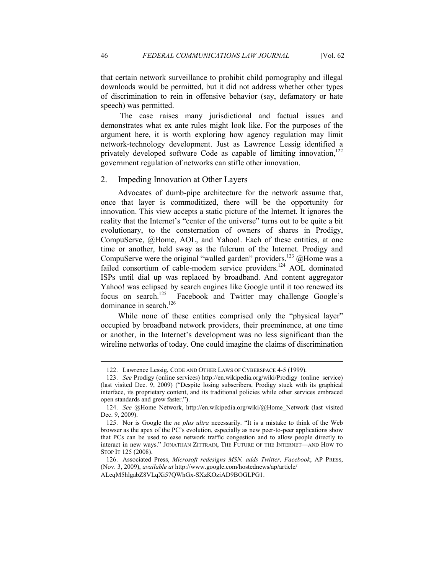that certain network surveillance to prohibit child pornography and illegal downloads would be permitted, but it did not address whether other types of discrimination to rein in offensive behavior (say, defamatory or hate speech) was permitted.

 The case raises many jurisdictional and factual issues and demonstrates what ex ante rules might look like. For the purposes of the argument here, it is worth exploring how agency regulation may limit network-technology development. Just as Lawrence Lessig identified a privately developed software Code as capable of limiting innovation,<sup>122</sup> government regulation of networks can stifle other innovation.

#### 2. Impeding Innovation at Other Layers

Advocates of dumb-pipe architecture for the network assume that, once that layer is commoditized, there will be the opportunity for innovation. This view accepts a static picture of the Internet. It ignores the reality that the Internet's "center of the universe" turns out to be quite a bit evolutionary, to the consternation of owners of shares in Prodigy, CompuServe, @Home, AOL, and Yahoo!. Each of these entities, at one time or another, held sway as the fulcrum of the Internet. Prodigy and CompuServe were the original "walled garden" providers.<sup>123</sup> @Home was a failed consortium of cable-modem service providers.<sup>124</sup> AOL dominated ISPs until dial up was replaced by broadband. And content aggregator Yahoo! was eclipsed by search engines like Google until it too renewed its focus on search.<sup>125</sup> Facebook and Twitter may challenge Google's dominance in search.<sup>126</sup>

While none of these entities comprised only the "physical laver" occupied by broadband network providers, their preeminence, at one time or another, in the Internet's development was no less significant than the wireline networks of today. One could imagine the claims of discrimination

 <sup>122.</sup> Lawrence Lessig, CODE AND OTHER LAWS OF CYBERSPACE 4-5 (1999).

 <sup>123.</sup> *See* Prodigy (online services) http://en.wikipedia.org/wiki/Prodigy\_(online\_service) (last visited Dec. 9, 2009) ("Despite losing subscribers, Prodigy stuck with its graphical interface, its proprietary content, and its traditional policies while other services embraced open standards and grew faster.").

 <sup>124.</sup> *See* @Home Network, http://en.wikipedia.org/wiki/@Home\_Network (last visited Dec. 9, 2009).

 <sup>125.</sup> Nor is Google the *ne plus ultra* necessarily. "It is a mistake to think of the Web browser as the apex of the PC's evolution, especially as new peer-to-peer applications show that PCs can be used to ease network traffic congestion and to allow people directly to interact in new ways." JONATHAN ZITTRAIN, THE FUTURE OF THE INTERNET––AND HOW TO STOP IT 125 (2008).

<sup>126.</sup> Associated Press, *Microsoft redesigns MSN, adds Twitter, Facebook*, AP PRESS, (Nov. 3, 2009), *available at* http://www.google.com/hostednews/ap/article/

ALeqM5hlgabZ8VLqXi57QWhGx-SXzKOziAD9BOGLPG1.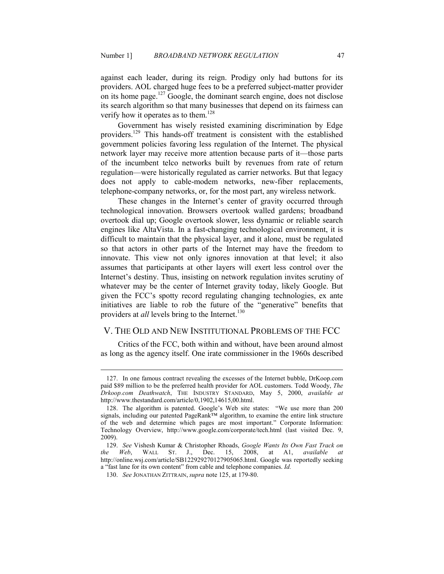against each leader, during its reign. Prodigy only had buttons for its providers. AOL charged huge fees to be a preferred subject-matter provider on its home page.<sup>127</sup> Google, the dominant search engine, does not disclose its search algorithm so that many businesses that depend on its fairness can verify how it operates as to them.<sup>128</sup>

Government has wisely resisted examining discrimination by Edge providers.<sup>129</sup> This hands-off treatment is consistent with the established government policies favoring less regulation of the Internet. The physical network layer may receive more attention because parts of it—those parts of the incumbent telco networks built by revenues from rate of return regulation—were historically regulated as carrier networks. But that legacy does not apply to cable-modem networks, new-fiber replacements, telephone-company networks, or, for the most part, any wireless network.

These changes in the Internet's center of gravity occurred through technological innovation. Browsers overtook walled gardens; broadband overtook dial up; Google overtook slower, less dynamic or reliable search engines like AltaVista. In a fast-changing technological environment, it is difficult to maintain that the physical layer, and it alone, must be regulated so that actors in other parts of the Internet may have the freedom to innovate. This view not only ignores innovation at that level; it also assumes that participants at other layers will exert less control over the Internet's destiny. Thus, insisting on network regulation invites scrutiny of whatever may be the center of Internet gravity today, likely Google. But given the FCC's spotty record regulating changing technologies, ex ante initiatives are liable to rob the future of the "generative" benefits that providers at *all* levels bring to the Internet.<sup>130</sup>

## V. THE OLD AND NEW INSTITUTIONAL PROBLEMS OF THE FCC

Critics of the FCC, both within and without, have been around almost as long as the agency itself. One irate commissioner in the 1960s described

 <sup>127.</sup> In one famous contract revealing the excesses of the Internet bubble, DrKoop.com paid \$89 million to be the preferred health provider for AOL customers. Todd Woody, *The Drkoop.com Deathwatch*, THE INDUSTRY STANDARD, May 5, 2000, *available at* http://www.thestandard.com/article/0,1902,14615,00.html.

 <sup>128.</sup> The algorithm is patented. Google's Web site states: "We use more than 200 signals, including our patented PageRank™ algorithm, to examine the entire link structure of the web and determine which pages are most important." Corporate Information: Technology Overview, http://www.google.com/corporate/tech.html (last visited Dec. 9, 2009).

 <sup>129.</sup> *See* Vishesh Kumar & Christopher Rhoads, *Google Wants Its Own Fast Track on the Web*, WALL ST. J., Dec. 15, 2008, at A1, *available at* http://online.wsj.com/article/SB122929270127905065.html. Google was reportedly seeking a "fast lane for its own content" from cable and telephone companies. *Id.* 

 <sup>130.</sup> *See* JONATHAN ZITTRAIN, *supra* note 125, at 179-80.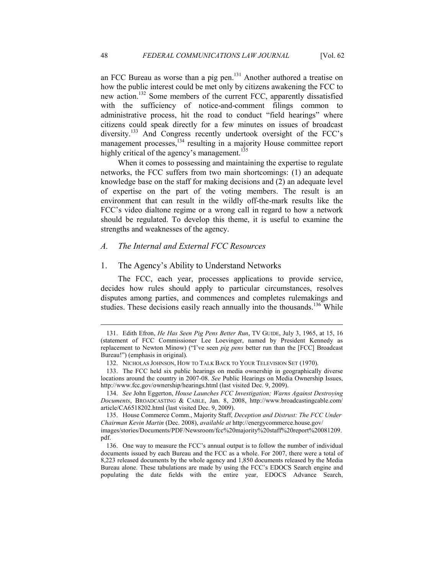an FCC Bureau as worse than a pig pen.<sup>131</sup> Another authored a treatise on how the public interest could be met only by citizens awakening the FCC to new action.<sup>132</sup> Some members of the current FCC, apparently dissatisfied with the sufficiency of notice-and-comment filings common to administrative process, hit the road to conduct "field hearings" where citizens could speak directly for a few minutes on issues of broadcast diversity.<sup>133</sup> And Congress recently undertook oversight of the FCC's management processes,<sup>134</sup> resulting in a majority House committee report highly critical of the agency's management.<sup>135</sup>

When it comes to possessing and maintaining the expertise to regulate networks, the FCC suffers from two main shortcomings: (1) an adequate knowledge base on the staff for making decisions and (2) an adequate level of expertise on the part of the voting members. The result is an environment that can result in the wildly off-the-mark results like the FCC's video dialtone regime or a wrong call in regard to how a network should be regulated. To develop this theme, it is useful to examine the strengths and weaknesses of the agency.

#### *A. The Internal and External FCC Resources*

#### 1. The Agency's Ability to Understand Networks

The FCC, each year, processes applications to provide service, decides how rules should apply to particular circumstances, resolves disputes among parties, and commences and completes rulemakings and studies. These decisions easily reach annually into the thousands.<sup>136</sup> While

 <sup>131.</sup> Edith Efron, *He Has Seen Pig Pens Better Run*, TV GUIDE, July 3, 1965, at 15, 16 (statement of FCC Commissioner Lee Loevinger, named by President Kennedy as replacement to Newton Minow) ("I've seen *pig pens* better run than the [FCC] Broadcast Bureau!") (emphasis in original).

 <sup>132.</sup> NICHOLAS JOHNSON, HOW TO TALK BACK TO YOUR TELEVISION SET (1970).

 <sup>133.</sup> The FCC held six public hearings on media ownership in geographically diverse locations around the country in 2007-08. *See* Public Hearings on Media Ownership Issues, http://www.fcc.gov/ownership/hearings.html (last visited Dec. 9, 2009).

 <sup>134.</sup> *See* John Eggerton, *House Launches FCC Investigation; Warns Against Destroying Documents*, BROADCASTING & CABLE, Jan. 8, 2008, http://www.broadcastingcable.com/ article/CA6518202.html (last visited Dec. 9, 2009).

 <sup>135.</sup> House Commerce Comm., Majority Staff, *Deception and Distrust: The FCC Under Chairman Kevin Martin* (Dec. 2008), *available at* http://energycommerce.house.gov/

images/stories/Documents/PDF/Newsroom/fcc%20majority%20staff%20report%20081209. pdf.

 <sup>136.</sup> One way to measure the FCC's annual output is to follow the number of individual documents issued by each Bureau and the FCC as a whole. For 2007, there were a total of 8,223 released documents by the whole agency and 1,850 documents released by the Media Bureau alone. These tabulations are made by using the FCC's EDOCS Search engine and populating the date fields with the entire year, EDOCS Advance Search,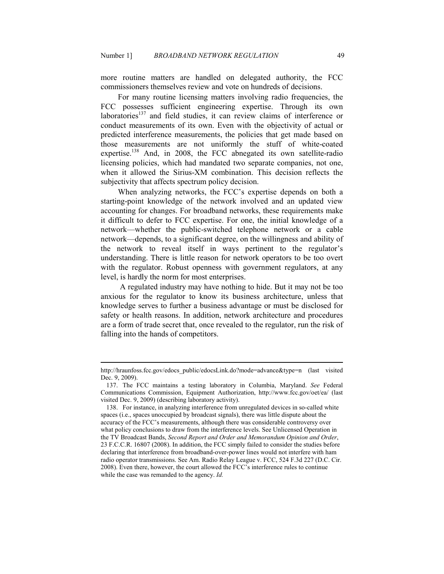more routine matters are handled on delegated authority, the FCC commissioners themselves review and vote on hundreds of decisions.

For many routine licensing matters involving radio frequencies, the FCC possesses sufficient engineering expertise. Through its own laboratories<sup>137</sup> and field studies, it can review claims of interference or conduct measurements of its own. Even with the objectivity of actual or predicted interference measurements, the policies that get made based on those measurements are not uniformly the stuff of white-coated expertise.<sup>138</sup> And, in 2008, the FCC abnegated its own satellite-radio licensing policies, which had mandated two separate companies, not one, when it allowed the Sirius-XM combination. This decision reflects the subjectivity that affects spectrum policy decision.

When analyzing networks, the FCC's expertise depends on both a starting-point knowledge of the network involved and an updated view accounting for changes. For broadband networks, these requirements make it difficult to defer to FCC expertise. For one, the initial knowledge of a network—whether the public-switched telephone network or a cable network—depends, to a significant degree, on the willingness and ability of the network to reveal itself in ways pertinent to the regulator's understanding. There is little reason for network operators to be too overt with the regulator. Robust openness with government regulators, at any level, is hardly the norm for most enterprises.

 A regulated industry may have nothing to hide. But it may not be too anxious for the regulator to know its business architecture, unless that knowledge serves to further a business advantage or must be disclosed for safety or health reasons. In addition, network architecture and procedures are a form of trade secret that, once revealed to the regulator, run the risk of falling into the hands of competitors.

http://hraunfoss.fcc.gov/edocs\_public/edocsLink.do?mode=advance&type=n (last visited Dec. 9, 2009).

 <sup>137.</sup> The FCC maintains a testing laboratory in Columbia, Maryland. *See* Federal Communications Commission, Equipment Authorization, http://www.fcc.gov/oet/ea/ (last visited Dec. 9, 2009) (describing laboratory activity).

 <sup>138.</sup> For instance, in analyzing interference from unregulated devices in so-called white spaces (i.e., spaces unoccupied by broadcast signals), there was little dispute about the accuracy of the FCC's measurements, although there was considerable controversy over what policy conclusions to draw from the interference levels. See Unlicensed Operation in the TV Broadcast Bands, *Second Report and Order and Memorandum Opinion and Order*, 23 F.C.C.R. 16807 (2008). In addition, the FCC simply failed to consider the studies before declaring that interference from broadband-over-power lines would not interfere with ham radio operator transmissions. See Am. Radio Relay League v. FCC, 524 F.3d 227 (D.C. Cir. 2008). Even there, however, the court allowed the FCC's interference rules to continue while the case was remanded to the agency. *Id.*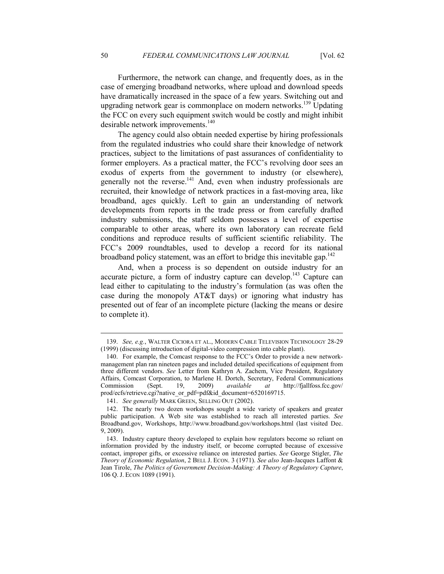Furthermore, the network can change, and frequently does, as in the case of emerging broadband networks, where upload and download speeds have dramatically increased in the space of a few years. Switching out and upgrading network gear is commonplace on modern networks.<sup>139</sup> Updating the FCC on every such equipment switch would be costly and might inhibit desirable network improvements.<sup>140</sup>

The agency could also obtain needed expertise by hiring professionals from the regulated industries who could share their knowledge of network practices, subject to the limitations of past assurances of confidentiality to former employers. As a practical matter, the FCC's revolving door sees an exodus of experts from the government to industry (or elsewhere), generally not the reverse.<sup>141</sup> And, even when industry professionals are recruited, their knowledge of network practices in a fast-moving area, like broadband, ages quickly. Left to gain an understanding of network developments from reports in the trade press or from carefully drafted industry submissions, the staff seldom possesses a level of expertise comparable to other areas, where its own laboratory can recreate field conditions and reproduce results of sufficient scientific reliability. The FCC's 2009 roundtables, used to develop a record for its national broadband policy statement, was an effort to bridge this inevitable gap.<sup>142</sup>

And, when a process is so dependent on outside industry for an accurate picture, a form of industry capture can develop.<sup>143</sup> Capture can lead either to capitulating to the industry's formulation (as was often the case during the monopoly AT&T days) or ignoring what industry has presented out of fear of an incomplete picture (lacking the means or desire to complete it).

 <sup>139.</sup> *See, e.g.*, WALTER CICIORA ET AL., MODERN CABLE TELEVISION TECHNOLOGY 28-29 (1999) (discussing introduction of digital-video compression into cable plant).

 <sup>140.</sup> For example, the Comcast response to the FCC's Order to provide a new networkmanagement plan ran nineteen pages and included detailed specifications of equipment from three different vendors. *See* Letter from Kathryn A. Zachem, Vice President, Regulatory Affairs, Comcast Corporation, to Marlene H. Dortch, Secretary, Federal Communications Commission (Sept. 19, 2009) *available at* http://fjallfoss.fcc.gov/ prod/ecfs/retrieve.cgi?native\_or\_pdf=pdf&id\_document=6520169715.

 <sup>141.</sup> *See generally* MARK GREEN, SELLING OUT (2002).

 <sup>142.</sup> The nearly two dozen workshops sought a wide variety of speakers and greater public participation. A Web site was established to reach all interested parties. *See* Broadband.gov, Workshops, http://www.broadband.gov/workshops.html (last visited Dec. 9, 2009).

 <sup>143.</sup> Industry capture theory developed to explain how regulators become so reliant on information provided by the industry itself, or become corrupted because of excessive contact, improper gifts, or excessive reliance on interested parties. *See* George Stigler, *The Theory of Economic Regulation*, 2 BELL J. ECON. 3 (1971). *See also* Jean-Jacques Laffont & Jean Tirole, *The Politics of Government Decision-Making: A Theory of Regulatory Capture*, 106 Q. J. ECON 1089 (1991).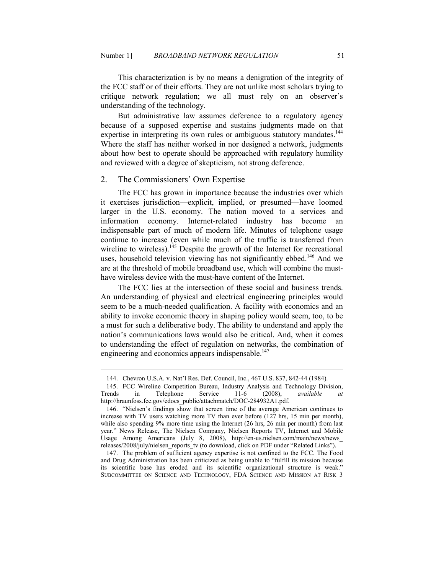This characterization is by no means a denigration of the integrity of the FCC staff or of their efforts. They are not unlike most scholars trying to critique network regulation; we all must rely on an observer's understanding of the technology.

But administrative law assumes deference to a regulatory agency because of a supposed expertise and sustains judgments made on that expertise in interpreting its own rules or ambiguous statutory mandates.<sup>144</sup> Where the staff has neither worked in nor designed a network, judgments about how best to operate should be approached with regulatory humility and reviewed with a degree of skepticism, not strong deference.

## 2. The Commissioners' Own Expertise

-

The FCC has grown in importance because the industries over which it exercises jurisdiction—explicit, implied, or presumed—have loomed larger in the U.S. economy. The nation moved to a services and information economy. Internet-related industry has become an indispensable part of much of modern life. Minutes of telephone usage continue to increase (even while much of the traffic is transferred from wireline to wireless).<sup>145</sup> Despite the growth of the Internet for recreational uses, household television viewing has not significantly ebbed.<sup>146</sup> And we are at the threshold of mobile broadband use, which will combine the musthave wireless device with the must-have content of the Internet.

The FCC lies at the intersection of these social and business trends. An understanding of physical and electrical engineering principles would seem to be a much-needed qualification. A facility with economics and an ability to invoke economic theory in shaping policy would seem, too, to be a must for such a deliberative body. The ability to understand and apply the nation's communications laws would also be critical. And, when it comes to understanding the effect of regulation on networks, the combination of engineering and economics appears indispensable.<sup>147</sup>

 <sup>144.</sup> Chevron U.S.A. v. Nat'l Res. Def. Council, Inc., 467 U.S. 837, 842-44 (1984).

 <sup>145.</sup> FCC Wireline Competition Bureau, Industry Analysis and Technology Division, Trends in Telephone Service 11-6 (2008), *available at*  http://hraunfoss.fcc.gov/edocs\_public/attachmatch/DOC-284932A1.pdf.

 <sup>146. &</sup>quot;Nielsen's findings show that screen time of the average American continues to increase with TV users watching more TV than ever before (127 hrs, 15 min per month), while also spending 9% more time using the Internet (26 hrs, 26 min per month) from last year." News Release, The Nielsen Company, Nielsen Reports TV, Internet and Mobile Usage Among Americans (July 8, 2008), http://en-us.nielsen.com/main/news/news\_ releases/2008/july/nielsen\_reports\_tv (to download, click on PDF under "Related Links").

 <sup>147.</sup> The problem of sufficient agency expertise is not confined to the FCC. The Food and Drug Administration has been criticized as being unable to "fulfill its mission because its scientific base has eroded and its scientific organizational structure is weak." SUBCOMMITTEE ON SCIENCE AND TECHNOLOGY, FDA SCIENCE AND MISSION AT RISK 3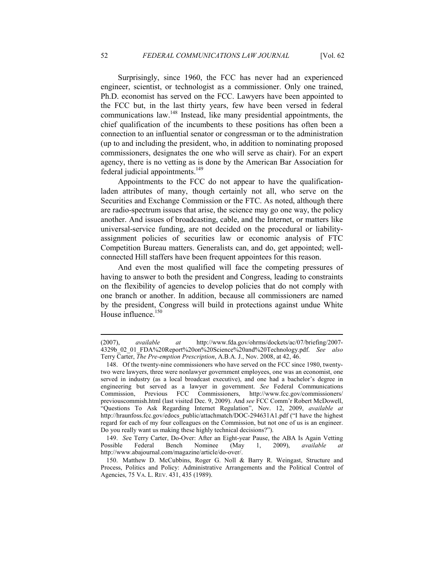Surprisingly, since 1960, the FCC has never had an experienced engineer, scientist, or technologist as a commissioner. Only one trained, Ph.D. economist has served on the FCC. Lawyers have been appointed to the FCC but, in the last thirty years, few have been versed in federal communications law.<sup>148</sup> Instead, like many presidential appointments, the chief qualification of the incumbents to these positions has often been a connection to an influential senator or congressman or to the administration (up to and including the president, who, in addition to nominating proposed commissioners, designates the one who will serve as chair). For an expert agency, there is no vetting as is done by the American Bar Association for federal judicial appointments.<sup>149</sup>

Appointments to the FCC do not appear to have the qualificationladen attributes of many, though certainly not all, who serve on the Securities and Exchange Commission or the FTC. As noted, although there are radio-spectrum issues that arise, the science may go one way, the policy another. And issues of broadcasting, cable, and the Internet, or matters like universal-service funding, are not decided on the procedural or liabilityassignment policies of securities law or economic analysis of FTC Competition Bureau matters. Generalists can, and do, get appointed; wellconnected Hill staffers have been frequent appointees for this reason.

And even the most qualified will face the competing pressures of having to answer to both the president and Congress, leading to constraints on the flexibility of agencies to develop policies that do not comply with one branch or another. In addition, because all commissioners are named by the president, Congress will build in protections against undue White House influence.<sup>150</sup>

<sup>(2007),</sup> *available at* http://www.fda.gov/ohrms/dockets/ac/07/briefing/2007- 4329b\_02\_01\_FDA%20Report%20on%20Science%20and%20Technology.pdf. *See also* Terry Carter, *The Pre-emption Prescription*, A.B.A. J., Nov. 2008, at 42, 46.

 <sup>148.</sup> Of the twenty-nine commissioners who have served on the FCC since 1980, twentytwo were lawyers, three were nonlawyer government employees, one was an economist, one served in industry (as a local broadcast executive), and one had a bachelor's degree in engineering but served as a lawyer in government. *See* Federal Communications Commission, Previous FCC Commissioners, http://www.fcc.gov/commissioners/ previouscommish.html (last visited Dec. 9, 2009). And *see* FCC Comm'r Robert McDowell, "Questions To Ask Regarding Internet Regulation", Nov. 12, 2009, *available at* http://hraunfoss.fcc.gov/edocs\_public/attachmatch/DOC-294631A1.pdf ("I have the highest regard for each of my four colleagues on the Commission, but not one of us is an engineer. Do you really want us making these highly technical decisions?").

 <sup>149.</sup> *Se*e Terry Carter, Do-Over: After an Eight-year Pause, the ABA Is Again Vetting Possible Federal Bench Nominee (May 1, 2009), *available at*  http://www.abajournal.com/magazine/article/do-over/.

 <sup>150.</sup> Matthew D. McCubbins, Roger G. Noll & Barry R. Weingast, Structure and Process, Politics and Policy: Administrative Arrangements and the Political Control of Agencies, 75 VA. L. REV. 431, 435 (1989).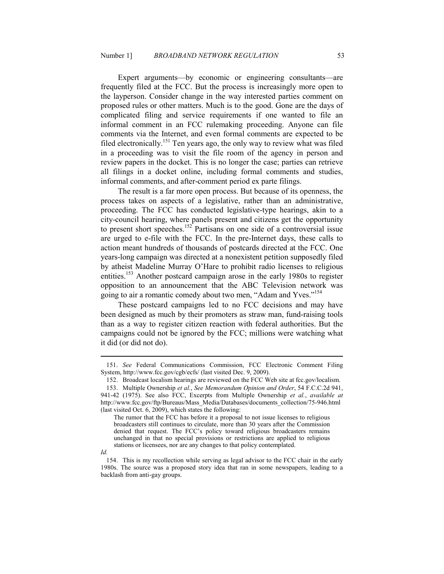Expert arguments—by economic or engineering consultants—are frequently filed at the FCC. But the process is increasingly more open to the layperson. Consider change in the way interested parties comment on proposed rules or other matters. Much is to the good. Gone are the days of complicated filing and service requirements if one wanted to file an informal comment in an FCC rulemaking proceeding. Anyone can file comments via the Internet, and even formal comments are expected to be filed electronically.<sup>151</sup> Ten years ago, the only way to review what was filed in a proceeding was to visit the file room of the agency in person and review papers in the docket. This is no longer the case; parties can retrieve all filings in a docket online, including formal comments and studies, informal comments, and after-comment period ex parte filings.

The result is a far more open process. But because of its openness, the process takes on aspects of a legislative, rather than an administrative, proceeding. The FCC has conducted legislative-type hearings, akin to a city-council hearing, where panels present and citizens get the opportunity to present short speeches.<sup>152</sup> Partisans on one side of a controversial issue are urged to e-file with the FCC. In the pre-Internet days, these calls to action meant hundreds of thousands of postcards directed at the FCC. One years-long campaign was directed at a nonexistent petition supposedly filed by atheist Madeline Murray O'Hare to prohibit radio licenses to religious entities.<sup>153</sup> Another postcard campaign arose in the early 1980s to register opposition to an announcement that the ABC Television network was going to air a romantic comedy about two men, "Adam and Yves."<sup>154</sup>

These postcard campaigns led to no FCC decisions and may have been designed as much by their promoters as straw man, fund-raising tools than as a way to register citizen reaction with federal authorities. But the campaigns could not be ignored by the FCC; millions were watching what it did (or did not do).

 <sup>151.</sup> *See* Federal Communications Commission, FCC Electronic Comment Filing System, http://www.fcc.gov/cgb/ecfs/ (last visited Dec. 9, 2009).

 <sup>152.</sup> Broadcast localism hearings are reviewed on the FCC Web site at fcc.gov/localism.

 <sup>153.</sup> Multiple Ownership *et al.*, *See Memorandum Opinion and Order*, 54 F.C.C.2d 941, 941-42 (1975). See also FCC, Excerpts from Multiple Ownership *et al.*, *available at* http://www.fcc.gov/ftp/Bureaus/Mass\_Media/Databases/documents\_collection/75-946.html (last visited Oct. 6, 2009), which states the following:

The rumor that the FCC has before it a proposal to not issue licenses to religious broadcasters still continues to circulate, more than 30 years after the Commission denied that request. The FCC's policy toward religious broadcasters remains unchanged in that no special provisions or restrictions are applied to religious stations or licensees, nor are any changes to that policy contemplated.

*Id.* 

 <sup>154.</sup> This is my recollection while serving as legal advisor to the FCC chair in the early 1980s. The source was a proposed story idea that ran in some newspapers, leading to a backlash from anti-gay groups.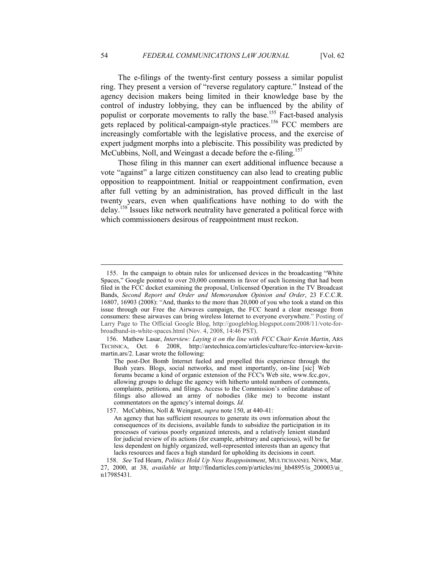The e-filings of the twenty-first century possess a similar populist ring. They present a version of "reverse regulatory capture." Instead of the agency decision makers being limited in their knowledge base by the control of industry lobbying, they can be influenced by the ability of populist or corporate movements to rally the base.<sup>155</sup> Fact-based analysis gets replaced by political-campaign-style practices.<sup>156</sup> FCC members are increasingly comfortable with the legislative process, and the exercise of expert judgment morphs into a plebiscite. This possibility was predicted by McCubbins, Noll, and Weingast a decade before the e-filing.<sup>157</sup>

Those filing in this manner can exert additional influence because a vote "against" a large citizen constituency can also lead to creating public opposition to reappointment. Initial or reappointment confirmation, even after full vetting by an administration, has proved difficult in the last twenty years, even when qualifications have nothing to do with the delay.<sup>158</sup> Issues like network neutrality have generated a political force with which commissioners desirous of reappointment must reckon.

 <sup>155.</sup> In the campaign to obtain rules for unlicensed devices in the broadcasting "White Spaces," Google pointed to over 20,000 comments in favor of such licensing that had been filed in the FCC docket examining the proposal, Unlicensed Operation in the TV Broadcast Bands, *Second Report and Order and Memorandum Opinion and Order*, 23 F.C.C.R. 16807, 16903 (2008): "And, thanks to the more than 20,000 of you who took a stand on this issue through our Free the Airwaves campaign, the FCC heard a clear message from consumers: these airwaves can bring wireless Internet to everyone everywhere." Posting of Larry Page to The Official Google Blog, http://googleblog.blogspot.com/2008/11/vote-forbroadband-in-white-spaces.html (Nov. 4, 2008, 14:46 PST).

 <sup>156.</sup> Mathew Lasar, *Interview: Laying it on the line with FCC Chair Kevin Martin*, ARS TECHNICA, Oct. 6 2008, http://arstechnica.com/articles/culture/fcc-interview-kevinmartin.ars/2. Lasar wrote the following:

The post-Dot Bomb Internet fueled and propelled this experience through the Bush years. Blogs, social networks, and most importantly, on-line [sic] Web forums became a kind of organic extension of the FCC's Web site, www.fcc.gov, allowing groups to deluge the agency with hitherto untold numbers of comments, complaints, petitions, and filings. Access to the Commission's online database of filings also allowed an army of nobodies (like me) to become instant commentators on the agency's internal doings. *Id.* 

 <sup>157.</sup> McCubbins, Noll & Weingast, *supra* note 150, at 440-41:

An agency that has sufficient resources to generate its own information about the consequences of its decisions, available funds to subsidize the participation in its processes of various poorly organized interests, and a relatively lenient standard for judicial review of its actions (for example, arbitrary and capricious), will be far less dependent on highly organized, well-represented interests than an agency that lacks resources and faces a high standard for upholding its decisions in court.

<sup>158.</sup> See Ted Hearn, *Politics Hold Up Ness Reappointment*, MULTICHANNEL NEWS, Mar. 27, 2000, at 38, *available at* http://findarticles.com/p/articles/mi\_hb4895/is\_200003/ai\_ n17985431.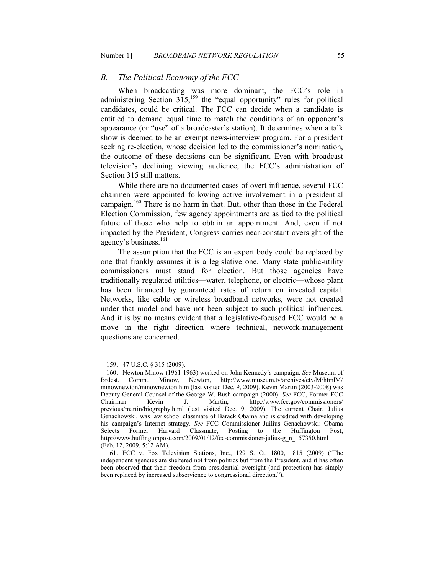#### *B. The Political Economy of the FCC*

When broadcasting was more dominant, the FCC's role in administering Section  $315$ ,<sup>159</sup>, the "equal opportunity" rules for political candidates, could be critical. The FCC can decide when a candidate is entitled to demand equal time to match the conditions of an opponent's appearance (or "use" of a broadcaster's station). It determines when a talk show is deemed to be an exempt news-interview program. For a president seeking re-election, whose decision led to the commissioner's nomination, the outcome of these decisions can be significant. Even with broadcast television's declining viewing audience, the FCC's administration of Section 315 still matters.

While there are no documented cases of overt influence, several FCC chairmen were appointed following active involvement in a presidential campaign.<sup>160</sup> There is no harm in that. But, other than those in the Federal Election Commission, few agency appointments are as tied to the political future of those who help to obtain an appointment. And, even if not impacted by the President, Congress carries near-constant oversight of the agency's business.<sup>161</sup>

The assumption that the FCC is an expert body could be replaced by one that frankly assumes it is a legislative one. Many state public-utility commissioners must stand for election. But those agencies have traditionally regulated utilities—water, telephone, or electric—whose plant has been financed by guaranteed rates of return on invested capital. Networks, like cable or wireless broadband networks, were not created under that model and have not been subject to such political influences. And it is by no means evident that a legislative-focused FCC would be a move in the right direction where technical, network-management questions are concerned.

 <sup>159. 47</sup> U.S.C. § 315 (2009).

 <sup>160.</sup> Newton Minow (1961-1963) worked on John Kennedy's campaign. *See* Museum of Brdcst. Comm., Minow, Newton, http://www.museum.tv/archives/etv/M/htmlM/ minownewton/minownewton.htm (last visited Dec. 9, 2009). Kevin Martin (2003-2008) was Deputy General Counsel of the George W. Bush campaign (2000). *See* FCC, Former FCC Chairman Kevin J. Martin, http://www.fcc.gov/commissioners/ previous/martin/biography.html (last visited Dec. 9, 2009). The current Chair, Julius Genachowski, was law school classmate of Barack Obama and is credited with developing his campaign's Internet strategy. *See* FCC Commissioner Juilius Genachowski: Obama Selects Former Harvard Classmate, Posting to the Huffington Post, http://www.huffingtonpost.com/2009/01/12/fcc-commissioner-julius-g\_n\_157350.html (Feb. 12, 2009, 5:12 AM).

 <sup>161.</sup> FCC v. Fox Television Stations, Inc., 129 S. Ct. 1800, 1815 (2009) ("The independent agencies are sheltered not from politics but from the President, and it has often been observed that their freedom from presidential oversight (and protection) has simply been replaced by increased subservience to congressional direction.").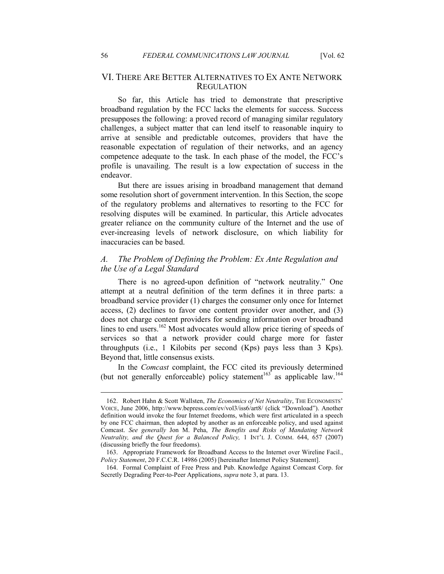## VI. THERE ARE BETTER ALTERNATIVES TO EX ANTE NETWORK **REGULATION**

So far, this Article has tried to demonstrate that prescriptive broadband regulation by the FCC lacks the elements for success. Success presupposes the following: a proved record of managing similar regulatory challenges, a subject matter that can lend itself to reasonable inquiry to arrive at sensible and predictable outcomes, providers that have the reasonable expectation of regulation of their networks, and an agency competence adequate to the task. In each phase of the model, the FCC's profile is unavailing. The result is a low expectation of success in the endeavor.

But there are issues arising in broadband management that demand some resolution short of government intervention. In this Section, the scope of the regulatory problems and alternatives to resorting to the FCC for resolving disputes will be examined. In particular, this Article advocates greater reliance on the community culture of the Internet and the use of ever-increasing levels of network disclosure, on which liability for inaccuracies can be based.

## *A. The Problem of Defining the Problem: Ex Ante Regulation and the Use of a Legal Standard*

There is no agreed-upon definition of "network neutrality." One attempt at a neutral definition of the term defines it in three parts: a broadband service provider (1) charges the consumer only once for Internet access, (2) declines to favor one content provider over another, and (3) does not charge content providers for sending information over broadband lines to end users.<sup>162</sup> Most advocates would allow price tiering of speeds of services so that a network provider could charge more for faster throughputs (i.e., 1 Kilobits per second (Kps) pays less than 3 Kps). Beyond that, little consensus exists.

In the *Comcast* complaint, the FCC cited its previously determined (but not generally enforceable) policy statement<sup>163</sup> as applicable law.<sup>164</sup>

<sup>162.</sup> Robert Hahn & Scott Wallsten, *The Economics of Net Neutrality*, THE ECONOMISTS' VOICE, June 2006, http://www.bepress.com/ev/vol3/iss6/art8/ (click "Download"). Another definition would invoke the four Internet freedoms, which were first articulated in a speech by one FCC chairman, then adopted by another as an enforceable policy, and used against Comcast. See generally Jon M. Peha, *The Benefits and Risks of Mandating Network eutrality, and the Quest for a Balanced Policy,* 1 INT'L J. COMM. 644, 657 (2007) (discussing briefly the four freedoms).

 <sup>163.</sup> Appropriate Framework for Broadband Access to the Internet over Wireline Facil., *Policy Statement*, 20 F.C.C.R. 14986 (2005) [hereinafter Internet Policy Statement].

 <sup>164.</sup> Formal Complaint of Free Press and Pub. Knowledge Against Comcast Corp. for Secretly Degrading Peer-to-Peer Applications, *supra* note 3, at para. 13.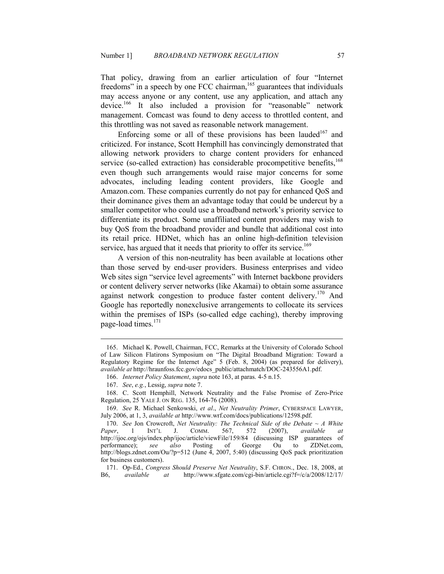That policy, drawing from an earlier articulation of four "Internet freedoms" in a speech by one FCC chairman,<sup>165</sup> guarantees that individuals may access anyone or any content, use any application, and attach any device.<sup>166</sup> It also included a provision for "reasonable" network management. Comcast was found to deny access to throttled content, and this throttling was not saved as reasonable network management.

Enforcing some or all of these provisions has been lauded<sup>167</sup> and criticized. For instance, Scott Hemphill has convincingly demonstrated that allowing network providers to charge content providers for enhanced service (so-called extraction) has considerable procompetitive benefits, $168$ even though such arrangements would raise major concerns for some advocates, including leading content providers, like Google and Amazon.com. These companies currently do not pay for enhanced QoS and their dominance gives them an advantage today that could be undercut by a smaller competitor who could use a broadband network's priority service to differentiate its product. Some unaffiliated content providers may wish to buy QoS from the broadband provider and bundle that additional cost into its retail price. HDNet, which has an online high-definition television service, has argued that it needs that priority to offer its service.<sup>169</sup>

A version of this non-neutrality has been available at locations other than those served by end-user providers. Business enterprises and video Web sites sign "service level agreements" with Internet backbone providers or content delivery server networks (like Akamai) to obtain some assurance against network congestion to produce faster content delivery.<sup>170</sup> And Google has reportedly nonexclusive arrangements to collocate its services within the premises of ISPs (so-called edge caching), thereby improving page-load times.<sup>171</sup>

 <sup>165.</sup> Michael K. Powell, Chairman, FCC, Remarks at the University of Colorado School of Law Silicon Flatirons Symposium on "The Digital Broadband Migration: Toward a Regulatory Regime for the Internet Age" 5 (Feb. 8, 2004) (as prepared for delivery), *available at* http://hraunfoss.fcc.gov/edocs\_public/attachmatch/DOC-243556A1.pdf.

 <sup>166.</sup> *Internet Policy Statement*, *supra* note 163, at paras. 4-5 n.15.

 <sup>167.</sup> *See*, *e.g.*, Lessig, *supra* note 7.

 <sup>168.</sup> C. Scott Hemphill, Network Neutrality and the False Promise of Zero-Price Regulation, 25 YALE J. ON REG. 135, 164-76 (2008).

 <sup>169.</sup> *See* R. Michael Senkowski, *et al*., *et eutrality Primer*, CYBERSPACE LAWYER, July 2006, at 1, 3, *available at* http://www.wrf.com/docs/publications/12598.pdf.

<sup>170.</sup> *See* Jon Crowcroft, *Net Neutrality: The Technical Side of the Debate*  $\sim A$  White *aper*, 1 INT'L J. COMM. 567, 572 (2007), *available at Paper*, 1 INT'L J. COMM. 567, 572 (2007), *available at*  http://ijoc.org/ojs/index.php/ijoc/article/viewFile/159/84 (discussing ISP guarantees of performance); *see also* Posting of George Ou to ZDNet.com, http://blogs.zdnet.com/Ou/?p=512 (June 4, 2007, 5:40) (discussing QoS pack prioritization for business customers).

<sup>171.</sup> Op-Ed., *Congress Should Preserve Net Neutrality*, S.F. CHRON., Dec. 18, 2008, at a cavailable at http://www.sfgate.com/cgi-bin/article.cgi?f=/c/a/2008/12/17/ B6, *available at* http://www.sfgate.com/cgi-bin/article.cgi?f=/c/a/2008/12/17/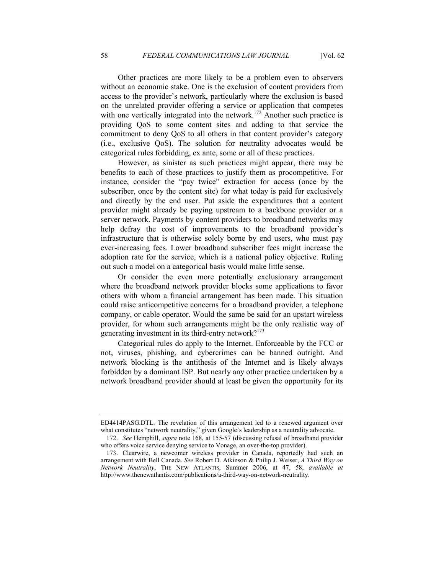Other practices are more likely to be a problem even to observers without an economic stake. One is the exclusion of content providers from access to the provider's network, particularly where the exclusion is based on the unrelated provider offering a service or application that competes with one vertically integrated into the network.<sup>172</sup> Another such practice is providing QoS to some content sites and adding to that service the commitment to deny QoS to all others in that content provider's category (i.e., exclusive QoS). The solution for neutrality advocates would be categorical rules forbidding, ex ante, some or all of these practices.

However, as sinister as such practices might appear, there may be benefits to each of these practices to justify them as procompetitive. For instance, consider the "pay twice" extraction for access (once by the subscriber, once by the content site) for what today is paid for exclusively and directly by the end user. Put aside the expenditures that a content provider might already be paying upstream to a backbone provider or a server network. Payments by content providers to broadband networks may help defray the cost of improvements to the broadband provider's infrastructure that is otherwise solely borne by end users, who must pay ever-increasing fees. Lower broadband subscriber fees might increase the adoption rate for the service, which is a national policy objective. Ruling out such a model on a categorical basis would make little sense.

Or consider the even more potentially exclusionary arrangement where the broadband network provider blocks some applications to favor others with whom a financial arrangement has been made. This situation could raise anticompetitive concerns for a broadband provider, a telephone company, or cable operator. Would the same be said for an upstart wireless provider, for whom such arrangements might be the only realistic way of generating investment in its third-entry network?<sup>173</sup>

Categorical rules do apply to the Internet. Enforceable by the FCC or not, viruses, phishing, and cybercrimes can be banned outright. And network blocking is the antithesis of the Internet and is likely always forbidden by a dominant ISP. But nearly any other practice undertaken by a network broadband provider should at least be given the opportunity for its

ED4414PASG.DTL. The revelation of this arrangement led to a renewed argument over what constitutes "network neutrality," given Google's leadership as a neutrality advocate.

 <sup>172.</sup> *See* Hemphill, *supra* note 168, at 155-57 (discussing refusal of broadband provider who offers voice service denying service to Vonage, an over-the-top provider).

 <sup>173.</sup> Clearwire, a newcomer wireless provider in Canada, reportedly had such an arrangement with Bell Canada. *See* Robert D. Atkinson & Philip J. Weiser, *A Third Way on etwork eutrality*, THE NEW ATLANTIS, Summer 2006, at 47, 58, *available at* http://www.thenewatlantis.com/publications/a-third-way-on-network-neutrality.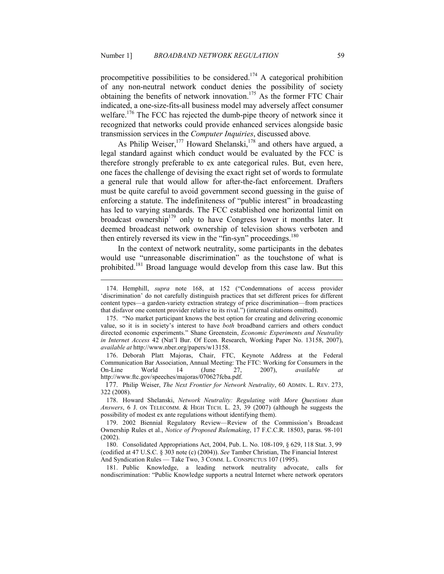procompetitive possibilities to be considered.<sup>174</sup> A categorical prohibition of any non-neutral network conduct denies the possibility of society obtaining the benefits of network innovation.<sup>175</sup> As the former FTC Chair indicated, a one-size-fits-all business model may adversely affect consumer welfare.<sup>176</sup> The FCC has rejected the dumb-pipe theory of network since it recognized that networks could provide enhanced services alongside basic transmission services in the *Computer Inquiries*, discussed above*.* 

As Philip Weiser,  $177$  Howard Shelanski,  $178$  and others have argued, a legal standard against which conduct would be evaluated by the FCC is therefore strongly preferable to ex ante categorical rules. But, even here, one faces the challenge of devising the exact right set of words to formulate a general rule that would allow for after-the-fact enforcement. Drafters must be quite careful to avoid government second guessing in the guise of enforcing a statute. The indefiniteness of "public interest" in broadcasting has led to varying standards. The FCC established one horizontal limit on broadcast ownership<sup>179</sup> only to have Congress lower it months later. It deemed broadcast network ownership of television shows verboten and then entirely reversed its view in the "fin-syn" proceedings.<sup>180</sup>

In the context of network neutrality, some participants in the debates would use "unreasonable discrimination" as the touchstone of what is prohibited.<sup>181</sup> Broad language would develop from this case law. But this

-

 176. Deborah Platt Majoras, Chair, FTC, Keynote Address at the Federal Communication Bar Association, Annual Meeting: The FTC: Working for Consumers in the On-Line World 14 (June 27, 2007), *available at* http://www.ftc.gov/speeches/majoras/070627fcba.pdf.

 <sup>174.</sup> Hemphill, *supra* note 168, at 152 ("Condemnations of access provider 'discrimination' do not carefully distinguish practices that set different prices for different content types—a garden-variety extraction strategy of price discrimination—from practices that disfavor one content provider relative to its rival.") (internal citations omitted).

 <sup>175. &</sup>quot;No market participant knows the best option for creating and delivering economic value, so it is in society's interest to have *both* broadband carriers and others conduct directed economic experiments." Shane Greenstein, *Economic Experiments and Neutrality in Internet Access* 42 (Nat'l Bur. Of Econ. Research, Working Paper No. 13158, 2007), *available at* http://www.nber.org/papers/w13158.

<sup>177.</sup> Philip Weiser, *The Next Frontier for Network Neutrality*, 60 ADMIN. L. REV. 273, 322 (2008).

<sup>178.</sup> Howard Shelanski, *Network Neutrality: Regulating with More Ouestions than Answers*, 6 J. ON TELECOMM. & HIGH TECH. L. 23, 39 (2007) (although he suggests the possibility of modest ex ante regulations without identifying them).

 <sup>179. 2002</sup> Biennial Regulatory Review—Review of the Commission's Broadcast Ownership Rules et al., *Notice of Proposed Rulemaking*, 17 F.C.C.R. 18503, paras. 98-101 (2002).

 <sup>180.</sup> Consolidated Appropriations Act, 2004, Pub. L. No. 108-109, § 629, 118 Stat. 3, 99 (codified at 47 U.S.C. § 303 note (c) (2004)). *See* Tamber Christian, The Financial Interest And Syndication Rules - Take Two, 3 COMM. L. CONSPECTUS 107 (1995).

 <sup>181.</sup> Public Knowledge, a leading network neutrality advocate, calls for nondiscrimination: "Public Knowledge supports a neutral Internet where network operators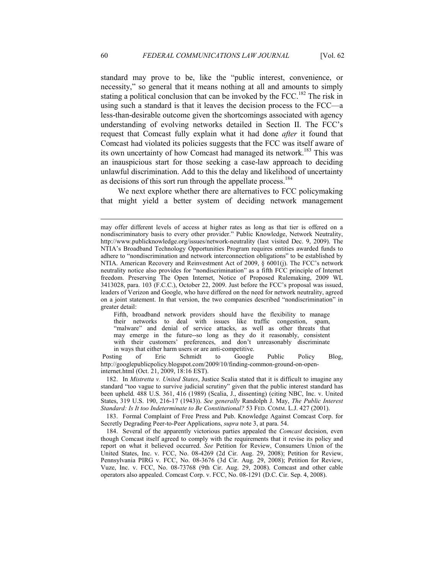standard may prove to be, like the "public interest, convenience, or necessity," so general that it means nothing at all and amounts to simply stating a political conclusion that can be invoked by the FCC.<sup>182</sup> The risk in using such a standard is that it leaves the decision process to the FCC—a less-than-desirable outcome given the shortcomings associated with agency understanding of evolving networks detailed in Section II. The FCC's request that Comcast fully explain what it had done *after* it found that Comcast had violated its policies suggests that the FCC was itself aware of its own uncertainty of how Comcast had managed its network.<sup>183</sup> This was an inauspicious start for those seeking a case-law approach to deciding unlawful discrimination. Add to this the delay and likelihood of uncertainty as decisions of this sort run through the appellate process.<sup>184</sup>

We next explore whether there are alternatives to FCC policymaking that might yield a better system of deciding network management

Fifth, broadband network providers should have the flexibility to manage their networks to deal with issues like traffic congestion, spam, "malware" and denial of service attacks, as well as other threats that may emerge in the future--so long as they do it reasonably, consistent with their customers' preferences, and don't unreasonably discriminate in ways that either harm users or are anti-competitive.

 Posting of Eric Schmidt to Google Public Policy Blog, http://googlepublicpolicy.blogspot.com/2009/10/finding-common-ground-on-openinternet.html (Oct. 21, 2009, 18:16 EST).

 182. In *Mistretta v. United States*, Justice Scalia stated that it is difficult to imagine any standard "too vague to survive judicial scrutiny" given that the public interest standard has been upheld. 488 U.S. 361, 416 (1989) (Scalia, J., dissenting) (citing NBC, Inc. v. United States, 319 U.S. 190, 216-17 (1943)). *See generally* Randolph J. May, *The Public Interest Standard: Is It too Indeterminate to Be Constitutional?* 53 FED. COMM. L.J. 427 (2001).

 183. Formal Complaint of Free Press and Pub. Knowledge Against Comcast Corp. for Secretly Degrading Peer-to-Peer Applications, *supra* note 3, at para. 54.

 184. Several of the apparently victorious parties appealed the *Comcast* decision, even though Comcast itself agreed to comply with the requirements that it revise its policy and report on what it believed occurred. *See* Petition for Review, Consumers Union of the United States, Inc. v. FCC, No. 08-4269 (2d Cir. Aug. 29, 2008); Petition for Review, Pennsylvania PIRG v. FCC, No. 08-3676 (3d Cir. Aug. 29, 2008); Petition for Review, Vuze, Inc. v. FCC, No. 08-73768 (9th Cir. Aug. 29, 2008). Comcast and other cable operators also appealed. Comcast Corp. v. FCC, No. 08-1291 (D.C. Cir. Sep. 4, 2008).

may offer different levels of access at higher rates as long as that tier is offered on a nondiscriminatory basis to every other provider." Public Knowledge, Network Neutrality, http://www.publicknowledge.org/issues/network-neutrality (last visited Dec. 9, 2009). The NTIA's Broadband Technology Opportunities Program requires entities awarded funds to adhere to "nondiscrimination and network interconnection obligations" to be established by NTIA. American Recovery and Reinvestment Act of 2009, § 6001(j). The FCC's network neutrality notice also provides for "nondiscrimination" as a fifth FCC principle of Internet freedom. Preserving The Open Internet, Notice of Proposed Rulemaking, 2009 WL 3413028, para. 103 (F.C.C.), October 22, 2009. Just before the FCC's proposal was issued, leaders of Verizon and Google, who have differed on the need for network neutrality, agreed on a joint statement. In that version, the two companies described "nondiscrimination" in greater detail: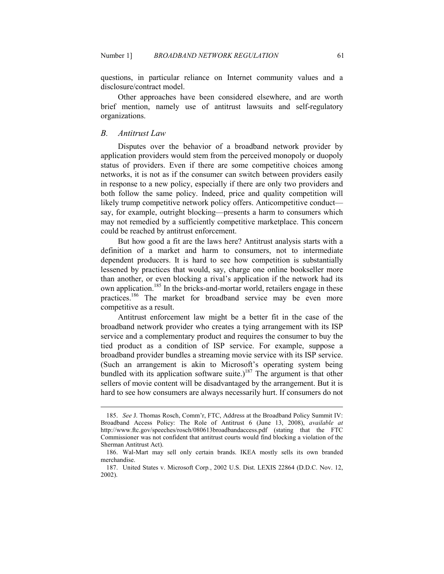questions, in particular reliance on Internet community values and a disclosure/contract model.

Other approaches have been considered elsewhere, and are worth brief mention, namely use of antitrust lawsuits and self-regulatory organizations.

#### *B. Antitrust Law*

-

Disputes over the behavior of a broadband network provider by application providers would stem from the perceived monopoly or duopoly status of providers. Even if there are some competitive choices among networks, it is not as if the consumer can switch between providers easily in response to a new policy, especially if there are only two providers and both follow the same policy. Indeed, price and quality competition will likely trump competitive network policy offers. Anticompetitive conduct say, for example, outright blocking—presents a harm to consumers which may not remedied by a sufficiently competitive marketplace. This concern could be reached by antitrust enforcement.

But how good a fit are the laws here? Antitrust analysis starts with a definition of a market and harm to consumers, not to intermediate dependent producers. It is hard to see how competition is substantially lessened by practices that would, say, charge one online bookseller more than another, or even blocking a rival's application if the network had its own application.<sup>185</sup> In the bricks-and-mortar world, retailers engage in these practices.<sup>186</sup> The market for broadband service may be even more competitive as a result.

Antitrust enforcement law might be a better fit in the case of the broadband network provider who creates a tying arrangement with its ISP service and a complementary product and requires the consumer to buy the tied product as a condition of ISP service. For example, suppose a broadband provider bundles a streaming movie service with its ISP service. (Such an arrangement is akin to Microsoft's operating system being bundled with its application software suite.)<sup>187</sup> The argument is that other sellers of movie content will be disadvantaged by the arrangement. But it is hard to see how consumers are always necessarily hurt. If consumers do not

 <sup>185.</sup> *See* J. Thomas Rosch, Comm'r, FTC, Address at the Broadband Policy Summit IV: Broadband Access Policy: The Role of Antitrust 6 (June 13, 2008), *available at* http://www.ftc.gov/speeches/rosch/080613broadbandaccess.pdf (stating that the FTC Commissioner was not confident that antitrust courts would find blocking a violation of the Sherman Antitrust Act).

 <sup>186.</sup> Wal-Mart may sell only certain brands. IKEA mostly sells its own branded merchandise.

 <sup>187.</sup> United States v. Microsoft Corp*.*, 2002 U.S. Dist. LEXIS 22864 (D.D.C. Nov. 12, 2002).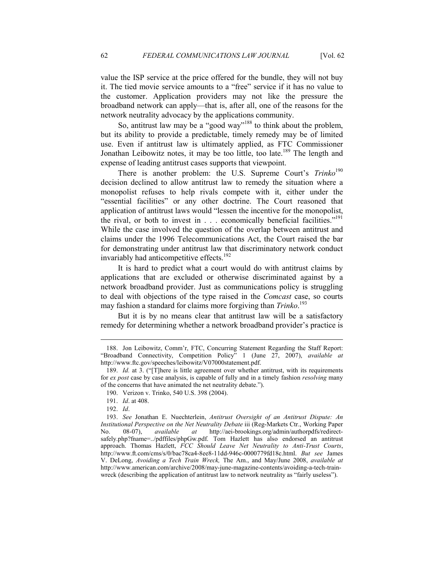value the ISP service at the price offered for the bundle, they will not buy it. The tied movie service amounts to a "free" service if it has no value to the customer. Application providers may not like the pressure the broadband network can apply—that is, after all, one of the reasons for the network neutrality advocacy by the applications community.

 So, antitrust law may be a "good way"<sup>188</sup> to think about the problem, but its ability to provide a predictable, timely remedy may be of limited use. Even if antitrust law is ultimately applied, as FTC Commissioner Jonathan Leibowitz notes, it may be too little, too late.<sup>189</sup> The length and expense of leading antitrust cases supports that viewpoint.

There is another problem: the U.S. Supreme Court's *Trinko*<sup>190</sup> decision declined to allow antitrust law to remedy the situation where a monopolist refuses to help rivals compete with it, either under the "essential facilities" or any other doctrine. The Court reasoned that application of antitrust laws would "lessen the incentive for the monopolist, the rival, or both to invest in  $\ldots$  economically beneficial facilities."<sup>191</sup> While the case involved the question of the overlap between antitrust and claims under the 1996 Telecommunications Act, the Court raised the bar for demonstrating under antitrust law that discriminatory network conduct invariably had anticompetitive effects.<sup>192</sup>

It is hard to predict what a court would do with antitrust claims by applications that are excluded or otherwise discriminated against by a network broadband provider. Just as communications policy is struggling to deal with objections of the type raised in the *Comcast* case, so courts may fashion a standard for claims more forgiving than *Trinko*. 193

But it is by no means clear that antitrust law will be a satisfactory remedy for determining whether a network broadband provider's practice is

 <sup>188.</sup> Jon Leibowitz, Comm'r, FTC, Concurring Statement Regarding the Staff Report: "Broadband Connectivity, Competition Policy" 1 (June 27, 2007), *available at* http://www.ftc.gov/speeches/leibowitz/V07000statement.pdf.

<sup>189.</sup> *Id.* at 3. ("[T]here is little agreement over whether antitrust, with its requirements for *ex post* case by case analysis, is capable of fully and in a timely fashion *resolving* many of the concerns that have animated the net neutrality debate.").

 <sup>190.</sup> Verizon v. Trinko, 540 U.S. 398 (2004).

 <sup>191.</sup> *Id*. at 408.

 <sup>192.</sup> *Id*.

 <sup>193.</sup> *See* Jonathan E. Nuechterlein, *Antitrust Oversight of an Antitrust Dispute: An Institutional Perspective on the Net Neutrality Debate* iii (Reg-Markets Ctr., Working Paper No. 08-07), *available at* http://aei-brookings.org/admin/authorpdfs/redirect-No. 08-07), *available at* http://aei-brookings.org/admin/authorpdfs/redirectsafely.php?fname=../pdffiles/phpGw.pdf. Tom Hazlett has also endorsed an antitrust approach. Thomas Hazlett, *FCC Should Leave Net Neutrality to Anti-Trust Courts*, http://www.ft.com/cms/s/0/bac78ca4-8ee8-11dd-946c-0000779fd18c.html. *But see* James V. DeLong, *Avoiding a Tech Train Wreck,* The Am., and May/June 2008, *available at* http://www.american.com/archive/2008/may-june-magazine-contents/avoiding-a-tech-trainwreck (describing the application of antitrust law to network neutrality as "fairly useless").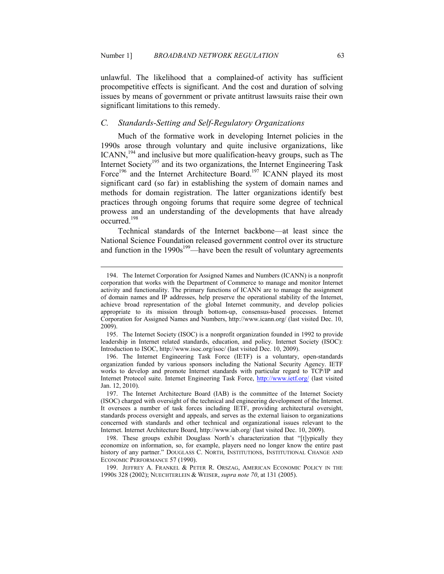unlawful. The likelihood that a complained-of activity has sufficient procompetitive effects is significant. And the cost and duration of solving issues by means of government or private antitrust lawsuits raise their own significant limitations to this remedy.

## *C. Standards-Setting and Self-Regulatory Organizations*

Much of the formative work in developing Internet policies in the 1990s arose through voluntary and quite inclusive organizations, like ICANN,<sup>194</sup> and inclusive but more qualification-heavy groups, such as The Internet Society<sup>195</sup> and its two organizations, the Internet Engineering Task Force<sup>196</sup> and the Internet Architecture Board.<sup>197</sup> ICANN played its most significant card (so far) in establishing the system of domain names and methods for domain registration. The latter organizations identify best practices through ongoing forums that require some degree of technical prowess and an understanding of the developments that have already  $\alpha$ ccurred<sup>198</sup>

Technical standards of the Internet backbone—at least since the National Science Foundation released government control over its structure and function in the  $1990s^{199}$ —have been the result of voluntary agreements

 <sup>194.</sup> The Internet Corporation for Assigned Names and Numbers (ICANN) is a nonprofit corporation that works with the Department of Commerce to manage and monitor Internet activity and functionality. The primary functions of ICANN are to manage the assignment of domain names and IP addresses, help preserve the operational stability of the Internet, achieve broad representation of the global Internet community, and develop policies appropriate to its mission through bottom-up, consensus-based processes. Internet Corporation for Assigned Names and Numbers, http://www.icann.org/ (last visited Dec. 10, 2009).

 <sup>195.</sup> The Internet Society (ISOC) is a nonprofit organization founded in 1992 to provide leadership in Internet related standards, education, and policy. Internet Society (ISOC): Introduction to ISOC, http://www.isoc.org/isoc/ (last visited Dec. 10, 2009).

 <sup>196.</sup> The Internet Engineering Task Force (IETF) is a voluntary, open-standards organization funded by various sponsors including the National Security Agency. IETF works to develop and promote Internet standards with particular regard to TCP/IP and Internet Protocol suite. Internet Engineering Task Force, http://www.ietf.org/ (last visited Jan. 12, 2010).

 <sup>197.</sup> The Internet Architecture Board (IAB) is the committee of the Internet Society (ISOC) charged with oversight of the technical and engineering development of the Internet. It oversees a number of task forces including IETF, providing architectural oversight, standards process oversight and appeals, and serves as the external liaison to organizations concerned with standards and other technical and organizational issues relevant to the Internet. Internet Architecture Board, http://www.iab.org/ (last visited Dec. 10, 2009).

 <sup>198.</sup> These groups exhibit Douglass North's characterization that "[t]ypically they economize on information, so, for example, players need no longer know the entire past history of any partner." DOUGLASS C. NORTH, INSTITUTIONS, INSTITUTIONAL CHANGE AND ECONOMIC PERFORMANCE 57 (1990).

 <sup>199.</sup> JEFFREY A. FRANKEL & PETER R. ORSZAG, AMERICAN ECONOMIC POLICY IN THE 1990S 328 (2002); NUECHTERLEIN & WEISER, *supra note 70*, at 131 (2005).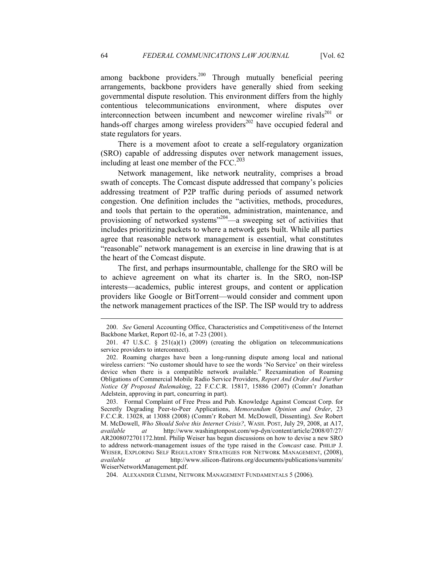among backbone providers.<sup>200</sup> Through mutually beneficial peering arrangements, backbone providers have generally shied from seeking governmental dispute resolution. This environment differs from the highly contentious telecommunications environment, where disputes over interconnection between incumbent and newcomer wireline rivals<sup>201</sup> or hands-off charges among wireless providers $^{202}$  have occupied federal and state regulators for years.

There is a movement afoot to create a self-regulatory organization (SRO) capable of addressing disputes over network management issues, including at least one member of the FCC. $^{203}$ 

Network management, like network neutrality, comprises a broad swath of concepts. The Comcast dispute addressed that company's policies addressing treatment of P2P traffic during periods of assumed network congestion. One definition includes the "activities, methods, procedures, and tools that pertain to the operation, administration, maintenance, and provisioning of networked systems"<sup>204</sup>—a sweeping set of activities that includes prioritizing packets to where a network gets built. While all parties agree that reasonable network management is essential, what constitutes "reasonable" network management is an exercise in line drawing that is at the heart of the Comcast dispute.

The first, and perhaps insurmountable, challenge for the SRO will be to achieve agreement on what its charter is. In the SRO, non-ISP interests—academics, public interest groups, and content or application providers like Google or BitTorrent—would consider and comment upon the network management practices of the ISP. The ISP would try to address

 <sup>200.</sup> *See* General Accounting Office, Characteristics and Competitiveness of the Internet Backbone Market, Report 02-16, at 7-23 (2001).

<sup>201. 47</sup> U.S.C.  $\S$  251(a)(1) (2009) (creating the obligation on telecommunications service providers to interconnect).

 <sup>202.</sup> Roaming charges have been a long-running dispute among local and national wireless carriers: "No customer should have to see the words 'No Service' on their wireless device when there is a compatible network available." Reexamination of Roaming Obligations of Commercial Mobile Radio Service Providers, *Report And Order And Further otice Of Proposed Rulemaking*, 22 F.C.C.R. 15817, 15886 (2007) (Comm'r Jonathan Adelstein, approving in part, concurring in part).

 <sup>203.</sup> Formal Complaint of Free Press and Pub. Knowledge Against Comcast Corp. for Secretly Degrading Peer-to-Peer Applications, *Memorandum Opinion and Order*, 23 F.C.C.R. 13028, at 13088 (2008) (Comm'r Robert M. McDowell, Dissenting). *See* Robert M. McDowell, *Who Should Solve this Internet Crisis?*, WASH. POST, July 29, 2008, at A17, *available at* http://www.washingtonpost.com/wp-dyn/content/article/2008/07/27/ AR2008072701172.html. Philip Weiser has begun discussions on how to devise a new SRO to address network-management issues of the type raised in the *Comcast* case. PHILIP J. WEISER, EXPLORING SELF REGULATORY STRATEGIES FOR NETWORK MANAGEMENT, (2008), available at http://www.silicon-flatirons.org/documents/publications/summits/ *available at* http://www.silicon-flatirons.org/documents/publications/summits/ WeiserNetworkManagement.pdf.

 <sup>204.</sup> ALEXANDER CLEMM, NETWORK MANAGEMENT FUNDAMENTALS 5 (2006).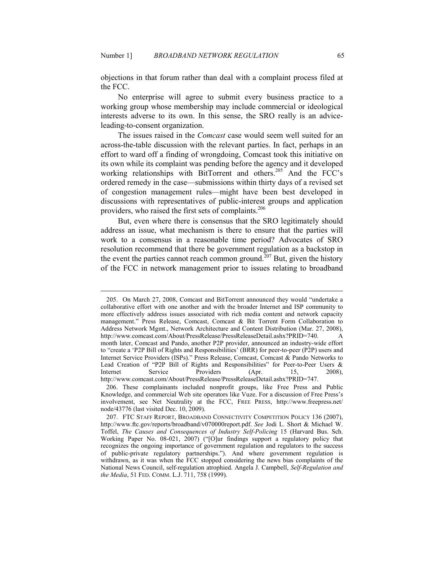objections in that forum rather than deal with a complaint process filed at the FCC.

No enterprise will agree to submit every business practice to a working group whose membership may include commercial or ideological interests adverse to its own. In this sense, the SRO really is an adviceleading-to-consent organization.

The issues raised in the *Comcast* case would seem well suited for an across-the-table discussion with the relevant parties. In fact, perhaps in an effort to ward off a finding of wrongdoing, Comcast took this initiative on its own while its complaint was pending before the agency and it developed working relationships with BitTorrent and others.<sup>205</sup> And the FCC's ordered remedy in the case—submissions within thirty days of a revised set of congestion management rules—might have been best developed in discussions with representatives of public-interest groups and application providers, who raised the first sets of complaints.<sup>206</sup>

But, even where there is consensus that the SRO legitimately should address an issue, what mechanism is there to ensure that the parties will work to a consensus in a reasonable time period? Advocates of SRO resolution recommend that there be government regulation as a backstop in the event the parties cannot reach common ground.<sup>207</sup> But, given the history of the FCC in network management prior to issues relating to broadband

 <sup>205.</sup> On March 27, 2008, Comcast and BitTorrent announced they would "undertake a collaborative effort with one another and with the broader Internet and ISP community to more effectively address issues associated with rich media content and network capacity management." Press Release, Comcast, Comcast & Bit Torrent Form Collaboration to Address Network Mgmt., Network Architecture and Content Distribution (Mar. 27, 2008), http://www.comcast.com/About/PressRelease/PressReleaseDetail.ashx?PRID=740. A month later, Comcast and Pando, another P2P provider, announced an industry-wide effort to "create a 'P2P Bill of Rights and Responsibilities' (BRR) for peer-to-peer (P2P) users and Internet Service Providers (ISPs)." Press Release, Comcast, Comcast & Pando Networks to Lead Creation of "P2P Bill of Rights and Responsibilities" for Peer-to-Peer Users & Internet Service Providers (Apr. 15, 2008). Internet Service Providers (Apr. 15, 2008), http://www.comcast.com/About/PressRelease/PressReleaseDetail.ashx?PRID=747.

 <sup>206.</sup> These complainants included nonprofit groups, like Free Press and Public Knowledge, and commercial Web site operators like Vuze. For a discussion of Free Press's involvement, see Net Neutrality at the FCC, FREE PRESS, http://www.freepress.net/ node/43776 (last visited Dec. 10, 2009).

 <sup>207.</sup> FTC STAFF REPORT, BROADBAND CONNECTIVITY COMPETITION POLICY 136 (2007), http://www.ftc.gov/reports/broadband/v070000report.pdf. *See* Jodi L. Short & Michael W. Toffel, *The Causes and Consequences of Industry Self-Policing* 15 (Harvard Bus. Sch. Working Paper No. 08-021, 2007) ("[O]ur findings support a regulatory policy that recognizes the ongoing importance of government regulation and regulators to the success of public-private regulatory partnerships."). And where government regulation is withdrawn, as it was when the FCC stopped considering the news bias complaints of the National News Council, self-regulation atrophied. Angela J. Campbell, *Self-Regulation and the Media*, 51 FED. COMM. L.J. 711, 758 (1999).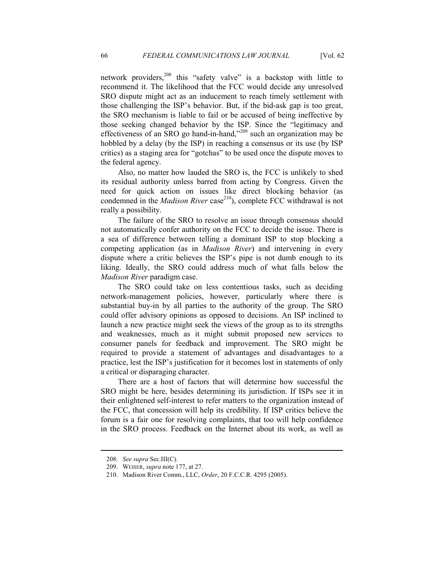network providers,<sup>208</sup> this "safety valve" is a backstop with little to recommend it. The likelihood that the FCC would decide any unresolved SRO dispute might act as an inducement to reach timely settlement with those challenging the ISP's behavior. But, if the bid-ask gap is too great, the SRO mechanism is liable to fail or be accused of being ineffective by those seeking changed behavior by the ISP. Since the "legitimacy and effectiveness of an SRO go hand-in-hand,"<sup>209</sup> such an organization may be hobbled by a delay (by the ISP) in reaching a consensus or its use (by ISP critics) as a staging area for "gotchas" to be used once the dispute moves to the federal agency.

Also, no matter how lauded the SRO is, the FCC is unlikely to shed its residual authority unless barred from acting by Congress. Given the need for quick action on issues like direct blocking behavior (as condemned in the *Madison River* case<sup>210</sup>), complete FCC withdrawal is not really a possibility.

The failure of the SRO to resolve an issue through consensus should not automatically confer authority on the FCC to decide the issue. There is a sea of difference between telling a dominant ISP to stop blocking a competing application (as in *Madison River*) and intervening in every dispute where a critic believes the ISP's pipe is not dumb enough to its liking. Ideally, the SRO could address much of what falls below the *Madison River* paradigm case.

The SRO could take on less contentious tasks, such as deciding network-management policies, however, particularly where there is substantial buy-in by all parties to the authority of the group. The SRO could offer advisory opinions as opposed to decisions. An ISP inclined to launch a new practice might seek the views of the group as to its strengths and weaknesses, much as it might submit proposed new services to consumer panels for feedback and improvement. The SRO might be required to provide a statement of advantages and disadvantages to a practice, lest the ISP's justification for it becomes lost in statements of only a critical or disparaging character.

There are a host of factors that will determine how successful the SRO might be here, besides determining its jurisdiction. If ISPs see it in their enlightened self-interest to refer matters to the organization instead of the FCC, that concession will help its credibility. If ISP critics believe the forum is a fair one for resolving complaints, that too will help confidence in the SRO process. Feedback on the Internet about its work, as well as

 <sup>208.</sup> *See supra* Sec.III(C)*.*

 <sup>209.</sup> WEISER, *supra* note 177, at 27.

 <sup>210.</sup> Madison River Comm., LLC, *Order*, 20 F.C.C.R. 4295 (2005).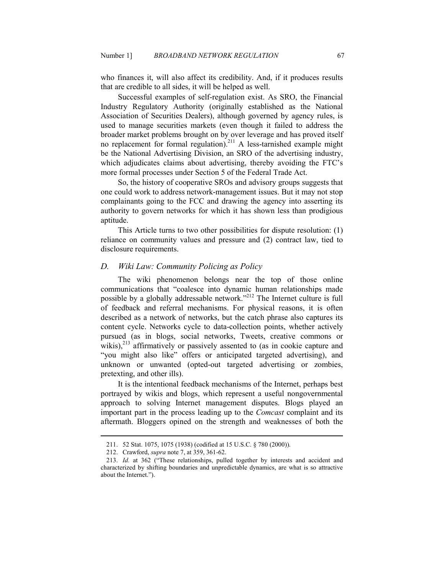who finances it, will also affect its credibility. And, if it produces results that are credible to all sides, it will be helped as well.

Successful examples of self-regulation exist. As SRO, the Financial Industry Regulatory Authority (originally established as the National Association of Securities Dealers), although governed by agency rules, is used to manage securities markets (even though it failed to address the broader market problems brought on by over leverage and has proved itself no replacement for formal regulation).<sup>211</sup> A less-tarnished example might be the National Advertising Division, an SRO of the advertising industry, which adjudicates claims about advertising, thereby avoiding the FTC's more formal processes under Section 5 of the Federal Trade Act.

So, the history of cooperative SROs and advisory groups suggests that one could work to address network-management issues. But it may not stop complainants going to the FCC and drawing the agency into asserting its authority to govern networks for which it has shown less than prodigious aptitude.

This Article turns to two other possibilities for dispute resolution: (1) reliance on community values and pressure and (2) contract law, tied to disclosure requirements.

#### *D. Wiki Law: Community Policing as Policy*

The wiki phenomenon belongs near the top of those online communications that "coalesce into dynamic human relationships made possible by a globally addressable network."<sup>212</sup> The Internet culture is full of feedback and referral mechanisms. For physical reasons, it is often described as a network of networks, but the catch phrase also captures its content cycle. Networks cycle to data-collection points, whether actively pursued (as in blogs, social networks, Tweets, creative commons or wikis), $^{213}$  affirmatively or passively assented to (as in cookie capture and "you might also like" offers or anticipated targeted advertising), and unknown or unwanted (opted-out targeted advertising or zombies, pretexting, and other ills).

It is the intentional feedback mechanisms of the Internet, perhaps best portrayed by wikis and blogs, which represent a useful nongovernmental approach to solving Internet management disputes. Blogs played an important part in the process leading up to the *Comcast* complaint and its aftermath. Bloggers opined on the strength and weaknesses of both the

 <sup>211. 52</sup> Stat. 1075, 1075 (1938) (codified at 15 U.S.C. § 780 (2000)).

 <sup>212.</sup> Crawford, *supra* note 7, at 359, 361-62.

 <sup>213.</sup> *Id.* at 362 ("These relationships, pulled together by interests and accident and characterized by shifting boundaries and unpredictable dynamics, are what is so attractive about the Internet.").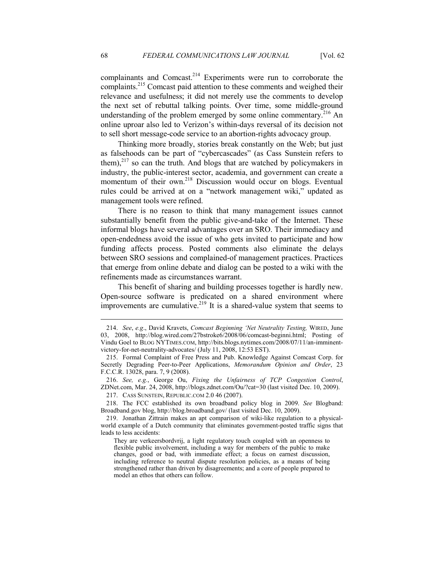complainants and Comcast.<sup>214</sup> Experiments were run to corroborate the complaints.<sup>215</sup> Comcast paid attention to these comments and weighed their relevance and usefulness; it did not merely use the comments to develop the next set of rebuttal talking points. Over time, some middle-ground understanding of the problem emerged by some online commentary.<sup>216</sup> An online uproar also led to Verizon's within-days reversal of its decision not to sell short message-code service to an abortion-rights advocacy group.

Thinking more broadly, stories break constantly on the Web; but just as falsehoods can be part of "cybercascades" (as Cass Sunstein refers to them), $^{217}$  so can the truth. And blogs that are watched by policymakers in industry, the public-interest sector, academia, and government can create a momentum of their own.<sup>218</sup> Discussion would occur on blogs. Eventual rules could be arrived at on a "network management wiki," updated as management tools were refined.

There is no reason to think that many management issues cannot substantially benefit from the public give-and-take of the Internet. These informal blogs have several advantages over an SRO. Their immediacy and open-endedness avoid the issue of who gets invited to participate and how funding affects process. Posted comments also eliminate the delays between SRO sessions and complained-of management practices. Practices that emerge from online debate and dialog can be posted to a wiki with the refinements made as circumstances warrant.

This benefit of sharing and building processes together is hardly new. Open-source software is predicated on a shared environment where improvements are cumulative.<sup>219</sup> It is a shared-value system that seems to

 216. *See, e.g.*, George Ou, *Fixing the Unfairness of TCP Congestion Control*, ZDNet.com, Mar. 24, 2008, http://blogs.zdnet.com/Ou/?cat=30 (last visited Dec. 10, 2009).

217. CASS SUNSTEIN, REPUBLIC.COM 2.0 46 (2007).

 218. The FCC established its own broadband policy blog in 2009. *See* Blogband: Broadband.gov blog, http://blog.broadband.gov/ (last visited Dec. 10, 2009).

<sup>214.</sup> *See*, *e.g.*, David Kravets, *Comcast Beginning 'Net Neutrality Testing*, WIRED, June 03, 2008, http://blog.wired.com/27bstroke6/2008/06/comcast-beginni.html; Posting of Vindu Goel to BLOG NYTIMES.COM, http://bits.blogs.nytimes.com/2008/07/11/an-imminentvictory-for-net-neutrality-advocates/ (July 11, 2008, 12:53 EST).

 <sup>215.</sup> Formal Complaint of Free Press and Pub. Knowledge Against Comcast Corp. for Secretly Degrading Peer-to-Peer Applications, *Memorandum Opinion and Order*, 23 F.C.C.R. 13028, para. 7, 9 (2008).

 <sup>219.</sup> Jonathan Zittrain makes an apt comparison of wiki-like regulation to a physicalworld example of a Dutch community that eliminates government-posted traffic signs that leads to less accidents:

They are verkeersbordvrij, a light regulatory touch coupled with an openness to flexible public involvement, including a way for members of the public to make changes, good or bad, with immediate effect; a focus on earnest discussion, including reference to neutral dispute resolution policies, as a means of being strengthened rather than driven by disagreements; and a core of people prepared to model an ethos that others can follow.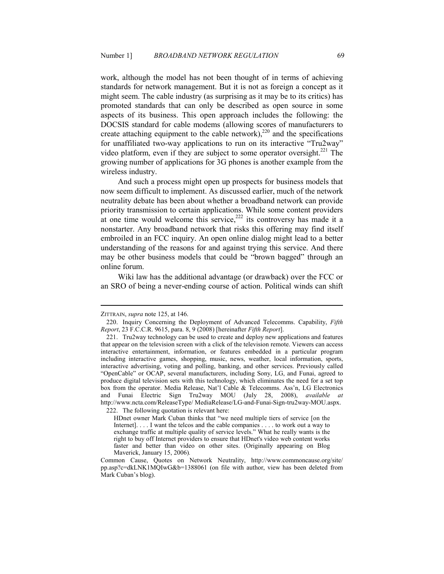work, although the model has not been thought of in terms of achieving standards for network management. But it is not as foreign a concept as it might seem. The cable industry (as surprising as it may be to its critics) has promoted standards that can only be described as open source in some aspects of its business. This open approach includes the following: the DOCSIS standard for cable modems (allowing scores of manufacturers to create attaching equipment to the cable network),<sup>220</sup> and the specifications for unaffiliated two-way applications to run on its interactive "Tru2way" video platform, even if they are subject to some operator oversight. $^{221}$  The growing number of applications for 3G phones is another example from the wireless industry.

And such a process might open up prospects for business models that now seem difficult to implement. As discussed earlier, much of the network neutrality debate has been about whether a broadband network can provide priority transmission to certain applications. While some content providers at one time would welcome this service,<sup>222</sup> its controversy has made it a nonstarter. Any broadband network that risks this offering may find itself embroiled in an FCC inquiry. An open online dialog might lead to a better understanding of the reasons for and against trying this service. And there may be other business models that could be "brown bagged" through an online forum.

Wiki law has the additional advantage (or drawback) over the FCC or an SRO of being a never-ending course of action. Political winds can shift

ZITTRAIN, *supra* note 125, at 146.

 <sup>220.</sup> Inquiry Concerning the Deployment of Advanced Telecomms. Capability, *Fifth Report*, 23 F.C.C.R. 9615, para. 8, 9 (2008) [hereinafter *Fifth Report*].

 <sup>221.</sup> Tru2way technology can be used to create and deploy new applications and features that appear on the television screen with a click of the television remote. Viewers can access interactive entertainment, information, or features embedded in a particular program including interactive games, shopping, music, news, weather, local information, sports, interactive advertising, voting and polling, banking, and other services. Previously called "OpenCable" or OCAP, several manufacturers, including Sony, LG, and Funai, agreed to produce digital television sets with this technology, which eliminates the need for a set top box from the operator. Media Release, Nat'l Cable & Telecomms. Ass'n, LG Electronics and Funai Electric Sign Tru2way MOU (July 28, 2008), *available at*  http://www.ncta.com/ReleaseType/ MediaRelease/LG-and-Funai-Sign-tru2way-MOU.aspx. 222. The following quotation is relevant here:

HDnet owner Mark Cuban thinks that "we need multiple tiers of service [on the

Internet]. . . . I want the telcos and the cable companies . . . . to work out a way to exchange traffic at multiple quality of service levels." What he really wants is the right to buy off Internet providers to ensure that HDnet's video web content works faster and better than video on other sites. (Originally appearing on Blog Maverick, January 15, 2006)*.*

Common Cause, Quotes on Network Neutrality, http://www.commoncause.org/site/ pp.asp?c=dkLNK1MQIwG&b=1388061 (on file with author, view has been deleted from Mark Cuban's blog).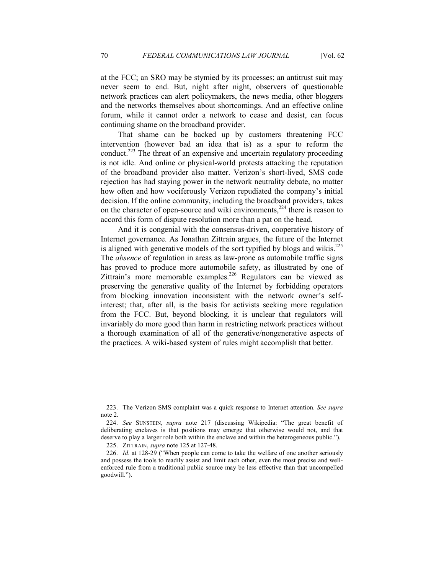at the FCC; an SRO may be stymied by its processes; an antitrust suit may never seem to end. But, night after night, observers of questionable network practices can alert policymakers, the news media, other bloggers and the networks themselves about shortcomings. And an effective online forum, while it cannot order a network to cease and desist, can focus continuing shame on the broadband provider.

That shame can be backed up by customers threatening FCC intervention (however bad an idea that is) as a spur to reform the conduct.<sup>223</sup> The threat of an expensive and uncertain regulatory proceeding is not idle. And online or physical-world protests attacking the reputation of the broadband provider also matter. Verizon's short-lived, SMS code rejection has had staying power in the network neutrality debate, no matter how often and how vociferously Verizon repudiated the company's initial decision. If the online community, including the broadband providers, takes on the character of open-source and wiki environments, $^{224}$  there is reason to accord this form of dispute resolution more than a pat on the head.

And it is congenial with the consensus-driven, cooperative history of Internet governance. As Jonathan Zittrain argues, the future of the Internet is aligned with generative models of the sort typified by blogs and wikis. $225$ The *absence* of regulation in areas as law-prone as automobile traffic signs has proved to produce more automobile safety, as illustrated by one of Zittrain's more memorable examples.<sup>226</sup> Regulators can be viewed as preserving the generative quality of the Internet by forbidding operators from blocking innovation inconsistent with the network owner's selfinterest; that, after all, is the basis for activists seeking more regulation from the FCC. But, beyond blocking, it is unclear that regulators will invariably do more good than harm in restricting network practices without a thorough examination of all of the generative/nongenerative aspects of the practices. A wiki-based system of rules might accomplish that better.

 <sup>223.</sup> The Verizon SMS complaint was a quick response to Internet attention. *See supra*  note 2.

 <sup>224.</sup> *See* SUNSTEIN, *supra* note 217 (discussing Wikipedia: "The great benefit of deliberating enclaves is that positions may emerge that otherwise would not, and that deserve to play a larger role both within the enclave and within the heterogeneous public.").

 <sup>225.</sup> ZITTRAIN, *supra* note 125 at 127-48.

 <sup>226.</sup> *Id.* at 128-29 ("When people can come to take the welfare of one another seriously and possess the tools to readily assist and limit each other, even the most precise and wellenforced rule from a traditional public source may be less effective than that uncompelled goodwill.").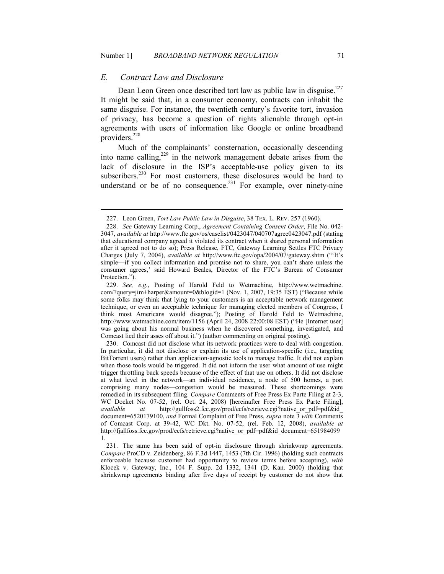## *E. Contract Law and Disclosure*

<u>.</u>

Dean Leon Green once described tort law as public law in disguise. $227$ It might be said that, in a consumer economy, contracts can inhabit the same disguise. For instance, the twentieth century's favorite tort, invasion of privacy, has become a question of rights alienable through opt-in agreements with users of information like Google or online broadband providers.<sup>228</sup>

Much of the complainants' consternation, occasionally descending into name calling, $2^{29}$  in the network management debate arises from the lack of disclosure in the ISP's acceptable-use policy given to its subscribers.<sup>230</sup> For most customers, these disclosures would be hard to understand or be of no consequence.<sup>231</sup> For example, over ninety-nine

 <sup>227.</sup> Leon Green, *Tort Law Public Law in Disguise*, 38 TEX. L. REV. 257 (1960).

 <sup>228.</sup> *See* Gateway Learning Corp., *Agreement Containing Consent Order*, File No. 042- 3047, *available at* http://www.ftc.gov/os/caselist/0423047/040707agree0423047.pdf (stating that educational company agreed it violated its contract when it shared personal information after it agreed not to do so); Press Release, FTC, Gateway Learning Settles FTC Privacy Charges (July 7, 2004), *available at* http://www.ftc.gov/opa/2004/07/gateway.shtm ("'It's simple—if you collect information and promise not to share, you can't share unless the consumer agrees,' said Howard Beales, Director of the FTC's Bureau of Consumer Protection.").

 <sup>229.</sup> *See, e.g.*, Posting of Harold Feld to Wetmachine, http://www.wetmachine. com/?query=jim+harper&amount=0&blogid=1 (Nov. 1, 2007, 19:35 EST) ("Because while some folks may think that lying to your customers is an acceptable network management technique, or even an acceptable technique for managing elected members of Congress, I think most Americans would disagree."); Posting of Harold Feld to Wetmachine, http://www.wetmachine.com/item/1156 (April 24, 2008 22:00:08 EST) ("He [Internet user] was going about his normal business when he discovered something, investigated, and Comcast lied their asses off about it.") (author commenting on original posting).

 <sup>230.</sup> Comcast did not disclose what its network practices were to deal with congestion. In particular, it did not disclose or explain its use of application-specific (i.e., targeting BitTorrent users) rather than application-agnostic tools to manage traffic. It did not explain when those tools would be triggered. It did not inform the user what amount of use might trigger throttling back speeds because of the effect of that use on others. It did not disclose at what level in the network—an individual residence, a node of 500 homes, a port comprising many nodes—congestion would be measured. These shortcomings were remedied in its subsequent filing. *Compare* Comments of Free Press Ex Parte Filing at 2-3, WC Docket No. 07-52, (rel. Oct. 24, 2008) [hereinafter Free Press Ex Parte Filing], *available at* http://gullfoss2.fcc.gov/prod/ecfs/retrieve.cgi?native\_or\_pdf=pdf&id\_ document=6520179100, *and* Formal Complaint of Free Press, *supra* note 3 *with* Comments of Comcast Corp. at 39-42, WC Dkt. No. 07-52, (rel. Feb. 12, 2008), *available at* http://fjallfoss.fcc.gov/prod/ecfs/retrieve.cgi?native\_or\_pdf=pdf&id\_document=651984099 1.

 <sup>231.</sup> The same has been said of opt-in disclosure through shrinkwrap agreements. *Compare* ProCD v. Zeidenberg, 86 F.3d 1447, 1453 (7th Cir. 1996) (holding such contracts enforceable because customer had opportunity to review terms before accepting), *with* Klocek v. Gateway, Inc., 104 F. Supp. 2d 1332, 1341 (D. Kan. 2000) (holding that shrinkwrap agreements binding after five days of receipt by customer do not show that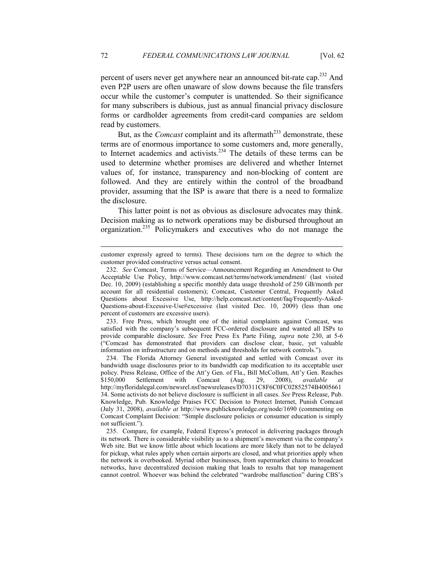percent of users never get anywhere near an announced bit-rate cap.<sup>232</sup> And even P2P users are often unaware of slow downs because the file transfers occur while the customer's computer is unattended. So their significance for many subscribers is dubious, just as annual financial privacy disclosure forms or cardholder agreements from credit-card companies are seldom read by customers.

But, as the *Comcast* complaint and its aftermath<sup>233</sup> demonstrate, these terms are of enormous importance to some customers and, more generally, to Internet academics and activists.<sup>234</sup> The details of these terms can be used to determine whether promises are delivered and whether Internet values of, for instance, transparency and non-blocking of content are followed. And they are entirely within the control of the broadband provider, assuming that the ISP is aware that there is a need to formalize the disclosure.

This latter point is not as obvious as disclosure advocates may think. Decision making as to network operations may be disbursed throughout an organization.<sup>235</sup> Policymakers and executives who do not manage the

 233. Free Press, which brought one of the initial complaints against Comcast, was satisfied with the company's subsequent FCC-ordered disclosure and wanted all ISPs to provide comparable disclosure. *See* Free Press Ex Parte Filing, *supra* note 230, at 5-6 ("Comcast has demonstrated that providers can disclose clear, basic, yet valuable information on infrastructure and on methods and thresholds for network controls.").

 234. The Florida Attorney General investigated and settled with Comcast over its bandwidth usage disclosures prior to its bandwidth cap modification to its acceptable user policy. Press Release, Office of the Att'y Gen. of Fla., Bill McCollum, Att'y Gen. Reaches<br>\$150,000 Settlement with Comcast (Aug. 29, 2008), *available at* \$150,000 Settlement with Comcast (Aug. 29, 2008), *available at*  http://myfloridalegal.com/newsrel.nsf/newsreleases/D70311C8F6C0FC02852574B4005661 34. Some activists do not believe disclosure is sufficient in all cases. *See* Press Release, Pub. Knowledge, Pub. Knowledge Praises FCC Decision to Protect Internet, Punish Comcast (July 31, 2008), *available at* http://www.publicknowledge.org/node/1690 (commenting on Comcast Complaint Decision: "Simple disclosure policies or consumer education is simply not sufficient.").

 235. Compare, for example, Federal Express's protocol in delivering packages through its network. There is considerable visibility as to a shipment's movement via the company's Web site. But we know little about which locations are more likely than not to be delayed for pickup, what rules apply when certain airports are closed, and what priorities apply when the network is overbooked. Myriad other businesses, from supermarket chains to broadcast networks, have decentralized decision making that leads to results that top management cannot control. Whoever was behind the celebrated "wardrobe malfunction" during CBS's

customer expressly agreed to terms). These decisions turn on the degree to which the customer provided constructive versus actual consent.

 <sup>232.</sup> *See* Comcast, Terms of Service—Announcement Regarding an Amendment to Our Acceptable Use Policy, http://www.comcast.net/terms/network/amendment/ (last visited Dec. 10, 2009) (establishing a specific monthly data usage threshold of 250 GB/month per account for all residential customers); Comcast, Customer Central, Frequently Asked Questions about Excessive Use, http://help.comcast.net/content/faq/Frequently-Asked-Questions-about-Excessive-Use#excessive (last visited Dec. 10, 2009) (less than one percent of customers are excessive users).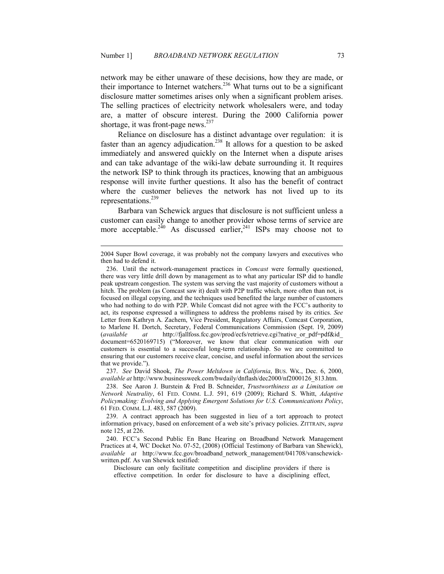network may be either unaware of these decisions, how they are made, or their importance to Internet watchers.<sup>236</sup> What turns out to be a significant disclosure matter sometimes arises only when a significant problem arises. The selling practices of electricity network wholesalers were, and today are, a matter of obscure interest. During the 2000 California power shortage, it was front-page news.<sup>237</sup>

Reliance on disclosure has a distinct advantage over regulation: it is faster than an agency adjudication.<sup>238</sup> It allows for a question to be asked immediately and answered quickly on the Internet when a dispute arises and can take advantage of the wiki-law debate surrounding it. It requires the network ISP to think through its practices, knowing that an ambiguous response will invite further questions. It also has the benefit of contract where the customer believes the network has not lived up to its representations.<sup>239</sup>

Barbara van Schewick argues that disclosure is not sufficient unless a customer can easily change to another provider whose terms of service are more acceptable.<sup>240</sup> As discussed earlier,<sup>241</sup> ISPs may choose not to

-

 237. *See* David Shook, *The Power Meltdown in California*, BUS. WK., Dec. 6, 2000, *available at* http://www.businessweek.com/bwdaily/dnflash/dec2000/nf2000126\_813.htm.

 238. See Aaron J. Burstein & Fred B. Schneider, *Trustworthiness as a Limitation on Network Neutrality*, 61 FED. COMM. L.J. 591, 619 (2009); Richard S. Whitt, *Adaptive Policymaking: Evolving and Applying Emergent Solutions for U.S. Communications Policy*, 61 FED. COMM. L.J. 483, 587 (2009).

 239. A contract approach has been suggested in lieu of a tort approach to protect information privacy, based on enforcement of a web site's privacy policies. ZITTRAIN, *supra*  note 125, at 226.

 240. FCC's Second Public En Banc Hearing on Broadband Network Management Practices at 4, WC Docket No. 07-52, (2008) (Official Testimony of Barbara van Shewick), *available at* http://www.fcc.gov/broadband\_network\_management/041708/vanschewickwritten.pdf. As van Shewick testified:

Disclosure can only facilitate competition and discipline providers if there is effective competition. In order for disclosure to have a disciplining effect,

<sup>2004</sup> Super Bowl coverage, it was probably not the company lawyers and executives who then had to defend it.

 <sup>236.</sup> Until the network-management practices in *Comcast* were formally questioned, there was very little drill down by management as to what any particular ISP did to handle peak upstream congestion. The system was serving the vast majority of customers without a hitch. The problem (as Comcast saw it) dealt with P2P traffic which, more often than not, is focused on illegal copying, and the techniques used benefited the large number of customers who had nothing to do with P2P. While Comcast did not agree with the FCC's authority to act, its response expressed a willingness to address the problems raised by its critics. *See* Letter from Kathryn A. Zachem, Vice President, Regulatory Affairs, Comcast Corporation, to Marlene H. Dortch, Secretary, Federal Communications Commission (Sept. 19, 2009) (*available at* http://fjallfoss.fcc.gov/prod/ecfs/retrieve.cgi?native\_or\_pdf=pdf&id\_ document=6520169715) ("Moreover, we know that clear communication with our customers is essential to a successful long-term relationship. So we are committed to ensuring that our customers receive clear, concise, and useful information about the services that we provide.").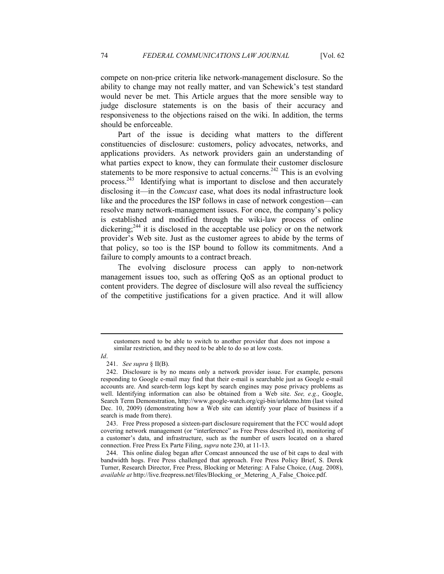compete on non-price criteria like network-management disclosure. So the ability to change may not really matter, and van Schewick's test standard would never be met. This Article argues that the more sensible way to judge disclosure statements is on the basis of their accuracy and responsiveness to the objections raised on the wiki. In addition, the terms should be enforceable.

Part of the issue is deciding what matters to the different constituencies of disclosure: customers, policy advocates, networks, and applications providers. As network providers gain an understanding of what parties expect to know, they can formulate their customer disclosure statements to be more responsive to actual concerns.<sup>242</sup> This is an evolving process.<sup>243</sup> Identifying what is important to disclose and then accurately disclosing it—in the *Comcast* case, what does its nodal infrastructure look like and the procedures the ISP follows in case of network congestion—can resolve many network-management issues. For once, the company's policy is established and modified through the wiki-law process of online dickering;<sup>244</sup> it is disclosed in the acceptable use policy or on the network provider's Web site. Just as the customer agrees to abide by the terms of that policy, so too is the ISP bound to follow its commitments. And a failure to comply amounts to a contract breach.

The evolving disclosure process can apply to non-network management issues too, such as offering QoS as an optional product to content providers. The degree of disclosure will also reveal the sufficiency of the competitive justifications for a given practice. And it will allow

customers need to be able to switch to another provider that does not impose a similar restriction, and they need to be able to do so at low costs.

*Id*.

 <sup>241.</sup> *See supra* § II(B).

 <sup>242.</sup> Disclosure is by no means only a network provider issue. For example, persons responding to Google e-mail may find that their e-mail is searchable just as Google e-mail accounts are. And search-term logs kept by search engines may pose privacy problems as well. Identifying information can also be obtained from a Web site. *See, e.g.*, Google, Search Term Demonstration, http://www.google-watch.org/cgi-bin/urldemo.htm (last visited Dec. 10, 2009) (demonstrating how a Web site can identify your place of business if a search is made from there).

 <sup>243.</sup> Free Press proposed a sixteen-part disclosure requirement that the FCC would adopt covering network management (or "interference" as Free Press described it), monitoring of a customer's data, and infrastructure, such as the number of users located on a shared connection. Free Press Ex Parte Filing, *supra* note 230, at 11-13.

 <sup>244.</sup> This online dialog began after Comcast announced the use of bit caps to deal with bandwidth hogs. Free Press challenged that approach. Free Press Policy Brief, S. Derek Turner, Research Director, Free Press, Blocking or Metering: A False Choice, (Aug. 2008), *available at* http://live.freepress.net/files/Blocking\_or\_Metering\_A\_False\_Choice.pdf.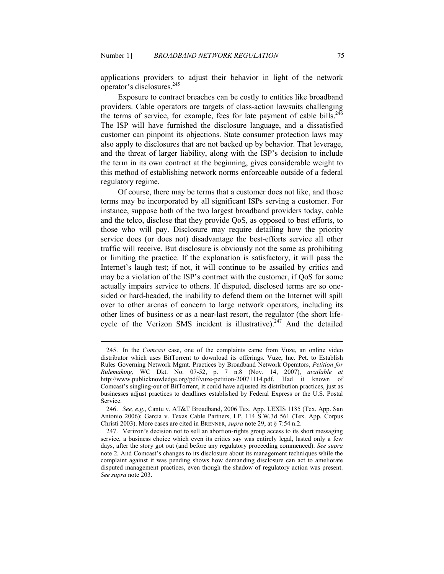applications providers to adjust their behavior in light of the network operator's disclosures.<sup>245</sup>

Exposure to contract breaches can be costly to entities like broadband providers. Cable operators are targets of class-action lawsuits challenging the terms of service, for example, fees for late payment of cable bills. $246$ The ISP will have furnished the disclosure language, and a dissatisfied customer can pinpoint its objections. State consumer protection laws may also apply to disclosures that are not backed up by behavior. That leverage, and the threat of larger liability, along with the ISP's decision to include the term in its own contract at the beginning, gives considerable weight to this method of establishing network norms enforceable outside of a federal regulatory regime.

Of course, there may be terms that a customer does not like, and those terms may be incorporated by all significant ISPs serving a customer. For instance, suppose both of the two largest broadband providers today, cable and the telco, disclose that they provide QoS, as opposed to best efforts, to those who will pay. Disclosure may require detailing how the priority service does (or does not) disadvantage the best-efforts service all other traffic will receive. But disclosure is obviously not the same as prohibiting or limiting the practice. If the explanation is satisfactory, it will pass the Internet's laugh test; if not, it will continue to be assailed by critics and may be a violation of the ISP's contract with the customer, if QoS for some actually impairs service to others. If disputed, disclosed terms are so onesided or hard-headed, the inability to defend them on the Internet will spill over to other arenas of concern to large network operators, including its other lines of business or as a near-last resort, the regulator (the short lifecycle of the Verizon SMS incident is illustrative).<sup>247</sup> And the detailed

 <sup>245.</sup> In the *Comcast* case, one of the complaints came from Vuze, an online video distributor which uses BitTorrent to download its offerings. Vuze, Inc. Pet. to Establish Rules Governing Network Mgmt. Practices by Broadband Network Operators, *Petition for Rulemaking*, WC Dkt. No. 07-52, p. 7 n.8 (Nov. 14, 2007), *available at* http://www.publicknowledge.org/pdf/vuze-petition-20071114.pdf. Had it known of Comcast's singling-out of BitTorrent, it could have adjusted its distribution practices, just as businesses adjust practices to deadlines established by Federal Express or the U.S. Postal Service.

 <sup>246.</sup> *See, e.g.*, Cantu v. AT&T Broadband, 2006 Tex. App. LEXIS 1185 (Tex. App. San Antonio 2006); Garcia v. Texas Cable Partners, LP, 114 S.W.3d 561 (Tex. App. Corpus Christi 2003). More cases are cited in BRENNER, *supra* note 29, at § 7:54 n.2.

 <sup>247.</sup> Verizon's decision not to sell an abortion-rights group access to its short messaging service, a business choice which even its critics say was entirely legal, lasted only a few days, after the story got out (and before any regulatory proceeding commenced). *See supra*  note 2*.* And Comcast's changes to its disclosure about its management techniques while the complaint against it was pending shows how demanding disclosure can act to ameliorate disputed management practices, even though the shadow of regulatory action was present. *See supra* note 203.